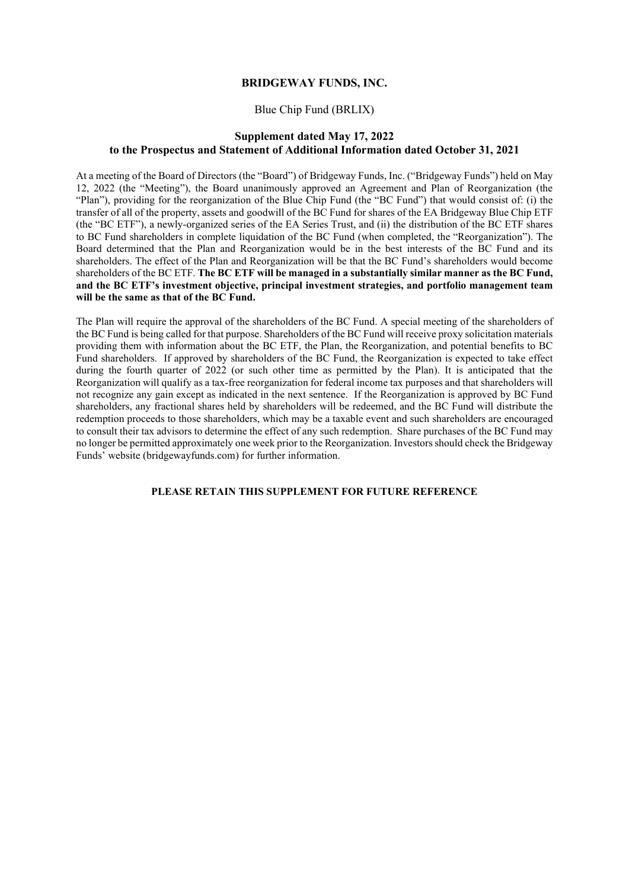# **BRIDGEWAY FUNDS, INC.**

# Blue Chip Fund (BRLIX)

# **Supplement dated May 17, 2022 to the Prospectus and Statement of Additional Information dated October 31, 2021**

At a meeting of the Board of Directors (the "Board") of Bridgeway Funds, Inc. ("Bridgeway Funds") held on May 12, 2022 (the "Meeting"), the Board unanimously approved an Agreement and Plan of Reorganization (the "Plan"), providing for the reorganization of the Blue Chip Fund (the "BC Fund") that would consist of: (i) the transfer of all of the property, assets and goodwill of the BC Fund for shares of the EA Bridgeway Blue Chip ETF (the "BC ETF"), a newly-organized series of the EA Series Trust, and (ii) the distribution of the BC ETF shares to BC Fund shareholders in complete liquidation of the BC Fund (when completed, the "Reorganization"). The Board determined that the Plan and Reorganization would be in the best interests of the BC Fund and its shareholders. The effect of the Plan and Reorganization will be that the BC Fund's shareholders would become shareholders of the BC ETF. **The BC ETF will be managed in a substantially similar manner as the BC Fund, and the BC ETF's investment objective, principal investment strategies, and portfolio management team will be the same as that of the BC Fund.**

The Plan will require the approval of the shareholders of the BC Fund. A special meeting of the shareholders of the BC Fund is being called for that purpose. Shareholders of the BC Fund will receive proxy solicitation materials providing them with information about the BC ETF, the Plan, the Reorganization, and potential benefits to BC Fund shareholders. If approved by shareholders of the BC Fund, the Reorganization is expected to take effect during the fourth quarter of 2022 (or such other time as permitted by the Plan). It is anticipated that the Reorganization will qualify as a tax-free reorganization for federal income tax purposes and that shareholders will not recognize any gain except as indicated in the next sentence. If the Reorganization is approved by BC Fund shareholders, any fractional shares held by shareholders will be redeemed, and the BC Fund will distribute the redemption proceeds to those shareholders, which may be a taxable event and such shareholders are encouraged to consult their tax advisors to determine the effect of any such redemption. Share purchases of the BC Fund may no longer be permitted approximately one week prior to the Reorganization. Investors should check the Bridgeway Funds' website (bridgewayfunds.com) for further information.

# **PLEASE RETAIN THIS SUPPLEMENT FOR FUTURE REFERENCE**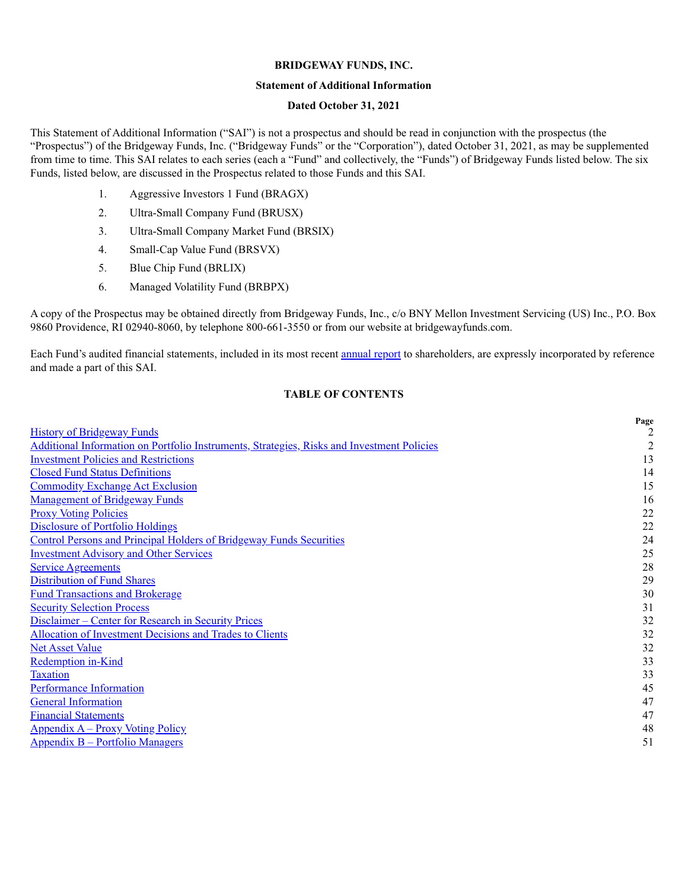#### **BRIDGEWAY FUNDS, INC.**

### **Statement of Additional Information**

### **Dated October 31, 2021**

This Statement of Additional Information ("SAI") is not a prospectus and should be read in conjunction with the prospectus (the "Prospectus") of the Bridgeway Funds, Inc. ("Bridgeway Funds" or the "Corporation"), dated October 31, 2021, as may be supplemented from time to time. This SAI relates to each series (each a "Fund" and collectively, the "Funds") of Bridgeway Funds listed below. The six Funds, listed below, are discussed in the Prospectus related to those Funds and this SAI.

- 1. Aggressive Investors 1 Fund (BRAGX)
- 2. Ultra-Small Company Fund (BRUSX)
- 3. Ultra-Small Company Market Fund (BRSIX)
- 4. Small-Cap Value Fund (BRSVX)
- 5. Blue Chip Fund (BRLIX)
- 6. Managed Volatility Fund (BRBPX)

A copy of the Prospectus may be obtained directly from Bridgeway Funds, Inc., c/o BNY Mellon Investment Servicing (US) Inc., P.O. Box 9860 Providence, RI 02940-8060, by telephone 800-661-3550 or from our website at bridgewayfunds.com.

Each Fund's audited financial statements, included in its most recent annual report to shareholders, are expressly incorporated by reference and made a part of this SAI.

### **TABLE OF CONTENTS**

|                                                                                            | Page |
|--------------------------------------------------------------------------------------------|------|
| <b>History of Bridgeway Funds</b>                                                          |      |
| Additional Information on Portfolio Instruments, Strategies, Risks and Investment Policies | 2    |
| <b>Investment Policies and Restrictions</b>                                                | 13   |
| <b>Closed Fund Status Definitions</b>                                                      | 14   |
| <b>Commodity Exchange Act Exclusion</b>                                                    | 15   |
| <b>Management of Bridgeway Funds</b>                                                       | 16   |
| <b>Proxy Voting Policies</b>                                                               | 22   |
| <b>Disclosure of Portfolio Holdings</b>                                                    | 22   |
| <b>Control Persons and Principal Holders of Bridgeway Funds Securities</b>                 | 24   |
| <b>Investment Advisory and Other Services</b>                                              | 25   |
| <b>Service Agreements</b>                                                                  | 28   |
| <b>Distribution of Fund Shares</b>                                                         | 29   |
| <b>Fund Transactions and Brokerage</b>                                                     | 30   |
| <b>Security Selection Process</b>                                                          | 31   |
| Disclaimer – Center for Research in Security Prices                                        | 32   |
| <b>Allocation of Investment Decisions and Trades to Clients</b>                            | 32   |
| <b>Net Asset Value</b>                                                                     | 32   |
| <b>Redemption in-Kind</b>                                                                  | 33   |
| <b>Taxation</b>                                                                            | 33   |
| <b>Performance Information</b>                                                             | 45   |
| <b>General Information</b>                                                                 | 47   |
| <b>Financial Statements</b>                                                                | 47   |
| <u> Appendix A – Proxy Voting Policy</u>                                                   | 48   |
| <b>Appendix B – Portfolio Managers</b>                                                     | 51   |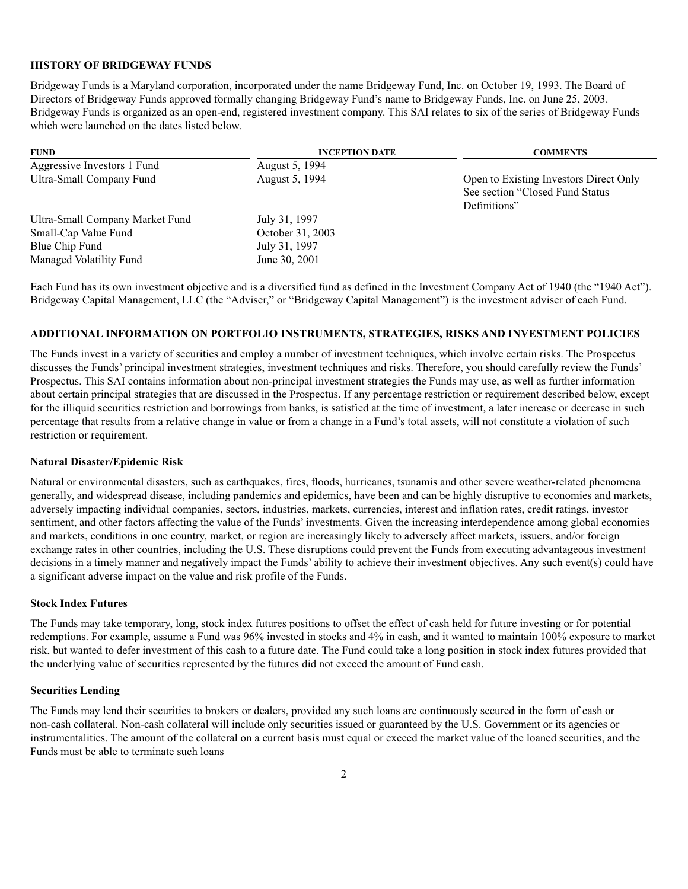#### **HISTORY OF BRIDGEWAY FUNDS**

Bridgeway Funds is a Maryland corporation, incorporated under the name Bridgeway Fund, Inc. on October 19, 1993. The Board of Directors of Bridgeway Funds approved formally changing Bridgeway Fund's name to Bridgeway Funds, Inc. on June 25, 2003. Bridgeway Funds is organized as an open-end, registered investment company. This SAI relates to six of the series of Bridgeway Funds which were launched on the dates listed below.

| <b>FUND</b>                     | <b>INCEPTION DATE</b> | <b>COMMENTS</b>                                                                            |
|---------------------------------|-----------------------|--------------------------------------------------------------------------------------------|
| Aggressive Investors 1 Fund     | August 5, 1994        |                                                                                            |
| Ultra-Small Company Fund        | August 5, 1994        | Open to Existing Investors Direct Only<br>See section "Closed Fund Status"<br>Definitions" |
| Ultra-Small Company Market Fund | July 31, 1997         |                                                                                            |
| Small-Cap Value Fund            | October 31, 2003      |                                                                                            |
| Blue Chip Fund                  | July 31, 1997         |                                                                                            |
| Managed Volatility Fund         | June 30, 2001         |                                                                                            |

Each Fund has its own investment objective and is a diversified fund as defined in the Investment Company Act of 1940 (the "1940 Act"). Bridgeway Capital Management, LLC (the "Adviser," or "Bridgeway Capital Management") is the investment adviser of each Fund.

## **ADDITIONAL INFORMATION ON PORTFOLIO INSTRUMENTS, STRATEGIES, RISKS AND INVESTMENT POLICIES**

The Funds invest in a variety of securities and employ a number of investment techniques, which involve certain risks. The Prospectus discusses the Funds' principal investment strategies, investment techniques and risks. Therefore, you should carefully review the Funds' Prospectus. This SAI contains information about non-principal investment strategies the Funds may use, as well as further information about certain principal strategies that are discussed in the Prospectus. If any percentage restriction or requirement described below, except for the illiquid securities restriction and borrowings from banks, is satisfied at the time of investment, a later increase or decrease in such percentage that results from a relative change in value or from a change in a Fund's total assets, will not constitute a violation of such restriction or requirement.

#### **Natural Disaster/Epidemic Risk**

Natural or environmental disasters, such as earthquakes, fires, floods, hurricanes, tsunamis and other severe weather-related phenomena generally, and widespread disease, including pandemics and epidemics, have been and can be highly disruptive to economies and markets, adversely impacting individual companies, sectors, industries, markets, currencies, interest and inflation rates, credit ratings, investor sentiment, and other factors affecting the value of the Funds' investments. Given the increasing interdependence among global economies and markets, conditions in one country, market, or region are increasingly likely to adversely affect markets, issuers, and/or foreign exchange rates in other countries, including the U.S. These disruptions could prevent the Funds from executing advantageous investment decisions in a timely manner and negatively impact the Funds' ability to achieve their investment objectives. Any such event(s) could have a significant adverse impact on the value and risk profile of the Funds.

#### **Stock Index Futures**

The Funds may take temporary, long, stock index futures positions to offset the effect of cash held for future investing or for potential redemptions. For example, assume a Fund was 96% invested in stocks and 4% in cash, and it wanted to maintain 100% exposure to market risk, but wanted to defer investment of this cash to a future date. The Fund could take a long position in stock index futures provided that the underlying value of securities represented by the futures did not exceed the amount of Fund cash.

#### **Securities Lending**

The Funds may lend their securities to brokers or dealers, provided any such loans are continuously secured in the form of cash or non-cash collateral. Non-cash collateral will include only securities issued or guaranteed by the U.S. Government or its agencies or instrumentalities. The amount of the collateral on a current basis must equal or exceed the market value of the loaned securities, and the Funds must be able to terminate such loans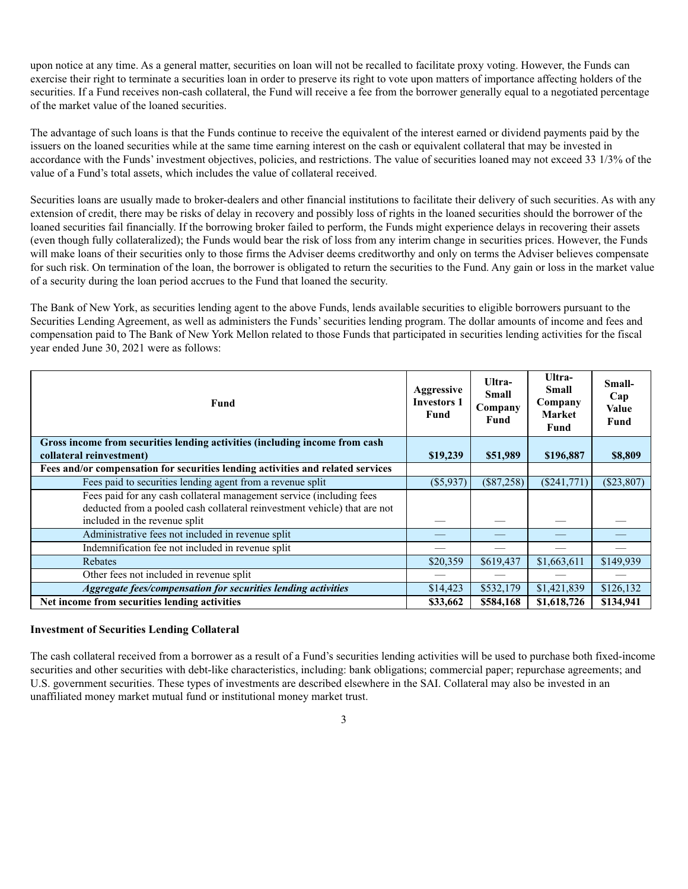upon notice at any time. As a general matter, securities on loan will not be recalled to facilitate proxy voting. However, the Funds can exercise their right to terminate a securities loan in order to preserve its right to vote upon matters of importance affecting holders of the securities. If a Fund receives non-cash collateral, the Fund will receive a fee from the borrower generally equal to a negotiated percentage of the market value of the loaned securities.

The advantage of such loans is that the Funds continue to receive the equivalent of the interest earned or dividend payments paid by the issuers on the loaned securities while at the same time earning interest on the cash or equivalent collateral that may be invested in accordance with the Funds' investment objectives, policies, and restrictions. The value of securities loaned may not exceed 33 1/3% of the value of a Fund's total assets, which includes the value of collateral received.

Securities loans are usually made to broker-dealers and other financial institutions to facilitate their delivery of such securities. As with any extension of credit, there may be risks of delay in recovery and possibly loss of rights in the loaned securities should the borrower of the loaned securities fail financially. If the borrowing broker failed to perform, the Funds might experience delays in recovering their assets (even though fully collateralized); the Funds would bear the risk of loss from any interim change in securities prices. However, the Funds will make loans of their securities only to those firms the Adviser deems creditworthy and only on terms the Adviser believes compensate for such risk. On termination of the loan, the borrower is obligated to return the securities to the Fund. Any gain or loss in the market value of a security during the loan period accrues to the Fund that loaned the security.

The Bank of New York, as securities lending agent to the above Funds, lends available securities to eligible borrowers pursuant to the Securities Lending Agreement, as well as administers the Funds' securities lending program. The dollar amounts of income and fees and compensation paid to The Bank of New York Mellon related to those Funds that participated in securities lending activities for the fiscal year ended June 30, 2021 were as follows:

| <b>Fund</b>                                                                                                                                                                        | Aggressive<br><b>Investors 1</b><br><b>Fund</b> | Ultra-<br>Small<br>Company<br><b>Fund</b> | Ultra-<br>Small<br>Company<br><b>Market</b><br>Fund | Small-<br>Cap<br><b>Value</b><br>Fund |
|------------------------------------------------------------------------------------------------------------------------------------------------------------------------------------|-------------------------------------------------|-------------------------------------------|-----------------------------------------------------|---------------------------------------|
| Gross income from securities lending activities (including income from cash                                                                                                        |                                                 |                                           |                                                     |                                       |
| collateral reinvestment)                                                                                                                                                           | \$19,239                                        | \$51,989                                  | \$196,887                                           | \$8,809                               |
| Fees and/or compensation for securities lending activities and related services                                                                                                    |                                                 |                                           |                                                     |                                       |
| Fees paid to securities lending agent from a revenue split                                                                                                                         | $(\$5,937)$                                     | $(\$87,258)$                              | $(\$241,771)$                                       | $(\$23,807)$                          |
| Fees paid for any cash collateral management service (including fees<br>deducted from a pooled cash collateral reinvestment vehicle) that are not<br>included in the revenue split |                                                 |                                           |                                                     |                                       |
| Administrative fees not included in revenue split                                                                                                                                  |                                                 |                                           |                                                     |                                       |
| Indemnification fee not included in revenue split                                                                                                                                  |                                                 |                                           |                                                     |                                       |
| Rebates                                                                                                                                                                            | \$20,359                                        | \$619,437                                 | \$1,663,611                                         | \$149,939                             |
| Other fees not included in revenue split                                                                                                                                           |                                                 |                                           |                                                     |                                       |
| Aggregate fees/compensation for securities lending activities                                                                                                                      | \$14,423                                        | \$532,179                                 | \$1,421,839                                         | \$126,132                             |
| Net income from securities lending activities                                                                                                                                      | \$33,662                                        | \$584,168                                 | \$1,618,726                                         | \$134,941                             |

### **Investment of Securities Lending Collateral**

The cash collateral received from a borrower as a result of a Fund's securities lending activities will be used to purchase both fixed-income securities and other securities with debt-like characteristics, including: bank obligations; commercial paper; repurchase agreements; and U.S. government securities. These types of investments are described elsewhere in the SAI. Collateral may also be invested in an unaffiliated money market mutual fund or institutional money market trust.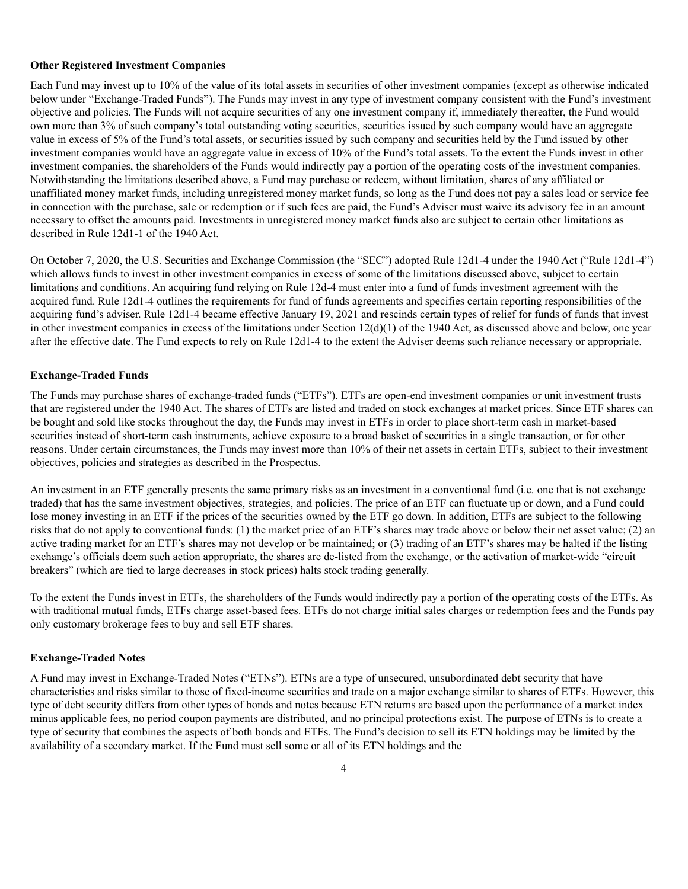#### **Other Registered Investment Companies**

Each Fund may invest up to 10% of the value of its total assets in securities of other investment companies (except as otherwise indicated below under "Exchange-Traded Funds"). The Funds may invest in any type of investment company consistent with the Fund's investment objective and policies. The Funds will not acquire securities of any one investment company if, immediately thereafter, the Fund would own more than 3% of such company's total outstanding voting securities, securities issued by such company would have an aggregate value in excess of 5% of the Fund's total assets, or securities issued by such company and securities held by the Fund issued by other investment companies would have an aggregate value in excess of 10% of the Fund's total assets. To the extent the Funds invest in other investment companies, the shareholders of the Funds would indirectly pay a portion of the operating costs of the investment companies. Notwithstanding the limitations described above, a Fund may purchase or redeem, without limitation, shares of any affiliated or unaffiliated money market funds, including unregistered money market funds, so long as the Fund does not pay a sales load or service fee in connection with the purchase, sale or redemption or if such fees are paid, the Fund's Adviser must waive its advisory fee in an amount necessary to offset the amounts paid. Investments in unregistered money market funds also are subject to certain other limitations as described in Rule 12d1-1 of the 1940 Act.

On October 7, 2020, the U.S. Securities and Exchange Commission (the "SEC") adopted Rule 12d1-4 under the 1940 Act ("Rule 12d1-4") which allows funds to invest in other investment companies in excess of some of the limitations discussed above, subject to certain limitations and conditions. An acquiring fund relying on Rule 12d-4 must enter into a fund of funds investment agreement with the acquired fund. Rule 12d1-4 outlines the requirements for fund of funds agreements and specifies certain reporting responsibilities of the acquiring fund's adviser. Rule 12d1-4 became effective January 19, 2021 and rescinds certain types of relief for funds of funds that invest in other investment companies in excess of the limitations under Section 12(d)(1) of the 1940 Act, as discussed above and below, one year after the effective date. The Fund expects to rely on Rule 12d1-4 to the extent the Adviser deems such reliance necessary or appropriate.

### **Exchange-Traded Funds**

The Funds may purchase shares of exchange-traded funds ("ETFs"). ETFs are open-end investment companies or unit investment trusts that are registered under the 1940 Act. The shares of ETFs are listed and traded on stock exchanges at market prices. Since ETF shares can be bought and sold like stocks throughout the day, the Funds may invest in ETFs in order to place short-term cash in market-based securities instead of short-term cash instruments, achieve exposure to a broad basket of securities in a single transaction, or for other reasons. Under certain circumstances, the Funds may invest more than 10% of their net assets in certain ETFs, subject to their investment objectives, policies and strategies as described in the Prospectus.

An investment in an ETF generally presents the same primary risks as an investment in a conventional fund (i.e*.* one that is not exchange traded) that has the same investment objectives, strategies, and policies. The price of an ETF can fluctuate up or down, and a Fund could lose money investing in an ETF if the prices of the securities owned by the ETF go down. In addition, ETFs are subject to the following risks that do not apply to conventional funds: (1) the market price of an ETF's shares may trade above or below their net asset value; (2) an active trading market for an ETF's shares may not develop or be maintained; or (3) trading of an ETF's shares may be halted if the listing exchange's officials deem such action appropriate, the shares are de-listed from the exchange, or the activation of market-wide "circuit breakers" (which are tied to large decreases in stock prices) halts stock trading generally.

To the extent the Funds invest in ETFs, the shareholders of the Funds would indirectly pay a portion of the operating costs of the ETFs. As with traditional mutual funds, ETFs charge asset-based fees. ETFs do not charge initial sales charges or redemption fees and the Funds pay only customary brokerage fees to buy and sell ETF shares.

### **Exchange-Traded Notes**

A Fund may invest in Exchange-Traded Notes ("ETNs"). ETNs are a type of unsecured, unsubordinated debt security that have characteristics and risks similar to those of fixed-income securities and trade on a major exchange similar to shares of ETFs. However, this type of debt security differs from other types of bonds and notes because ETN returns are based upon the performance of a market index minus applicable fees, no period coupon payments are distributed, and no principal protections exist. The purpose of ETNs is to create a type of security that combines the aspects of both bonds and ETFs. The Fund's decision to sell its ETN holdings may be limited by the availability of a secondary market. If the Fund must sell some or all of its ETN holdings and the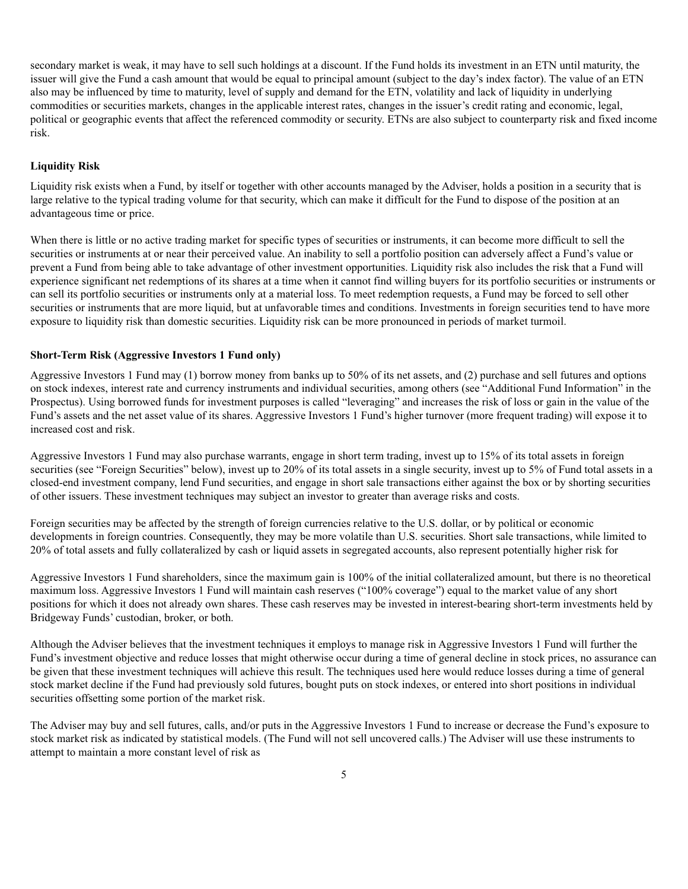secondary market is weak, it may have to sell such holdings at a discount. If the Fund holds its investment in an ETN until maturity, the issuer will give the Fund a cash amount that would be equal to principal amount (subject to the day's index factor). The value of an ETN also may be influenced by time to maturity, level of supply and demand for the ETN, volatility and lack of liquidity in underlying commodities or securities markets, changes in the applicable interest rates, changes in the issuer's credit rating and economic, legal, political or geographic events that affect the referenced commodity or security. ETNs are also subject to counterparty risk and fixed income risk.

### **Liquidity Risk**

Liquidity risk exists when a Fund, by itself or together with other accounts managed by the Adviser, holds a position in a security that is large relative to the typical trading volume for that security, which can make it difficult for the Fund to dispose of the position at an advantageous time or price.

When there is little or no active trading market for specific types of securities or instruments, it can become more difficult to sell the securities or instruments at or near their perceived value. An inability to sell a portfolio position can adversely affect a Fund's value or prevent a Fund from being able to take advantage of other investment opportunities. Liquidity risk also includes the risk that a Fund will experience significant net redemptions of its shares at a time when it cannot find willing buyers for its portfolio securities or instruments or can sell its portfolio securities or instruments only at a material loss. To meet redemption requests, a Fund may be forced to sell other securities or instruments that are more liquid, but at unfavorable times and conditions. Investments in foreign securities tend to have more exposure to liquidity risk than domestic securities. Liquidity risk can be more pronounced in periods of market turmoil.

#### **Short-Term Risk (Aggressive Investors 1 Fund only)**

Aggressive Investors 1 Fund may (1) borrow money from banks up to 50% of its net assets, and (2) purchase and sell futures and options on stock indexes, interest rate and currency instruments and individual securities, among others (see "Additional Fund Information" in the Prospectus). Using borrowed funds for investment purposes is called "leveraging" and increases the risk of loss or gain in the value of the Fund's assets and the net asset value of its shares. Aggressive Investors 1 Fund's higher turnover (more frequent trading) will expose it to increased cost and risk.

Aggressive Investors 1 Fund may also purchase warrants, engage in short term trading, invest up to 15% of its total assets in foreign securities (see "Foreign Securities" below), invest up to 20% of its total assets in a single security, invest up to 5% of Fund total assets in a closed-end investment company, lend Fund securities, and engage in short sale transactions either against the box or by shorting securities of other issuers. These investment techniques may subject an investor to greater than average risks and costs.

Foreign securities may be affected by the strength of foreign currencies relative to the U.S. dollar, or by political or economic developments in foreign countries. Consequently, they may be more volatile than U.S. securities. Short sale transactions, while limited to 20% of total assets and fully collateralized by cash or liquid assets in segregated accounts, also represent potentially higher risk for

Aggressive Investors 1 Fund shareholders, since the maximum gain is 100% of the initial collateralized amount, but there is no theoretical maximum loss. Aggressive Investors 1 Fund will maintain cash reserves ("100% coverage") equal to the market value of any short positions for which it does not already own shares. These cash reserves may be invested in interest-bearing short-term investments held by Bridgeway Funds' custodian, broker, or both.

Although the Adviser believes that the investment techniques it employs to manage risk in Aggressive Investors 1 Fund will further the Fund's investment objective and reduce losses that might otherwise occur during a time of general decline in stock prices, no assurance can be given that these investment techniques will achieve this result. The techniques used here would reduce losses during a time of general stock market decline if the Fund had previously sold futures, bought puts on stock indexes, or entered into short positions in individual securities offsetting some portion of the market risk.

The Adviser may buy and sell futures, calls, and/or puts in the Aggressive Investors 1 Fund to increase or decrease the Fund's exposure to stock market risk as indicated by statistical models. (The Fund will not sell uncovered calls.) The Adviser will use these instruments to attempt to maintain a more constant level of risk as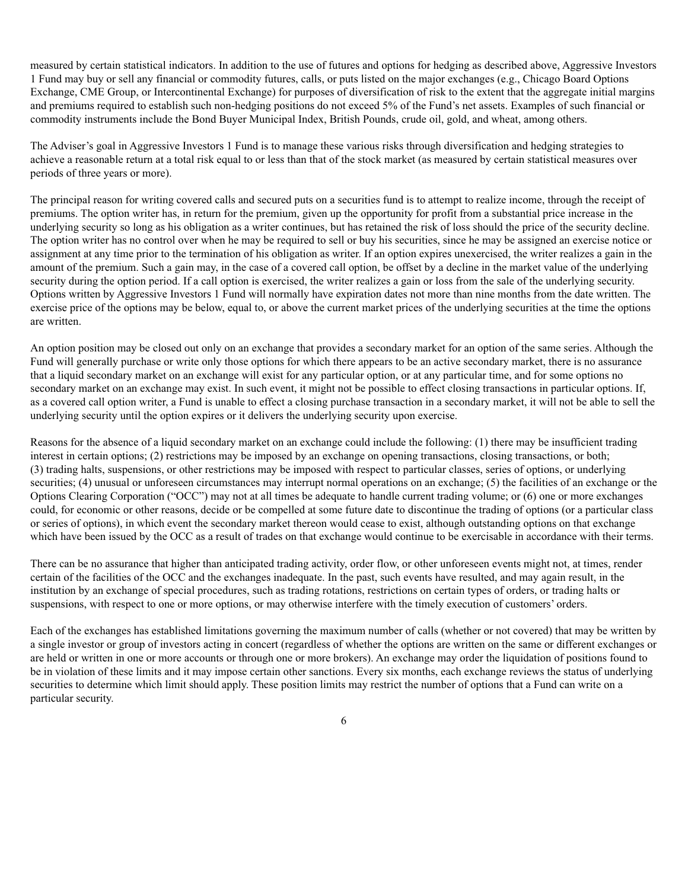measured by certain statistical indicators. In addition to the use of futures and options for hedging as described above, Aggressive Investors 1 Fund may buy or sell any financial or commodity futures, calls, or puts listed on the major exchanges (e.g., Chicago Board Options Exchange, CME Group, or Intercontinental Exchange) for purposes of diversification of risk to the extent that the aggregate initial margins and premiums required to establish such non-hedging positions do not exceed 5% of the Fund's net assets. Examples of such financial or commodity instruments include the Bond Buyer Municipal Index, British Pounds, crude oil, gold, and wheat, among others.

The Adviser's goal in Aggressive Investors 1 Fund is to manage these various risks through diversification and hedging strategies to achieve a reasonable return at a total risk equal to or less than that of the stock market (as measured by certain statistical measures over periods of three years or more).

The principal reason for writing covered calls and secured puts on a securities fund is to attempt to realize income, through the receipt of premiums. The option writer has, in return for the premium, given up the opportunity for profit from a substantial price increase in the underlying security so long as his obligation as a writer continues, but has retained the risk of loss should the price of the security decline. The option writer has no control over when he may be required to sell or buy his securities, since he may be assigned an exercise notice or assignment at any time prior to the termination of his obligation as writer. If an option expires unexercised, the writer realizes a gain in the amount of the premium. Such a gain may, in the case of a covered call option, be offset by a decline in the market value of the underlying security during the option period. If a call option is exercised, the writer realizes a gain or loss from the sale of the underlying security. Options written by Aggressive Investors 1 Fund will normally have expiration dates not more than nine months from the date written. The exercise price of the options may be below, equal to, or above the current market prices of the underlying securities at the time the options are written.

An option position may be closed out only on an exchange that provides a secondary market for an option of the same series. Although the Fund will generally purchase or write only those options for which there appears to be an active secondary market, there is no assurance that a liquid secondary market on an exchange will exist for any particular option, or at any particular time, and for some options no secondary market on an exchange may exist. In such event, it might not be possible to effect closing transactions in particular options. If, as a covered call option writer, a Fund is unable to effect a closing purchase transaction in a secondary market, it will not be able to sell the underlying security until the option expires or it delivers the underlying security upon exercise.

Reasons for the absence of a liquid secondary market on an exchange could include the following: (1) there may be insufficient trading interest in certain options; (2) restrictions may be imposed by an exchange on opening transactions, closing transactions, or both; (3) trading halts, suspensions, or other restrictions may be imposed with respect to particular classes, series of options, or underlying securities; (4) unusual or unforeseen circumstances may interrupt normal operations on an exchange; (5) the facilities of an exchange or the Options Clearing Corporation ("OCC") may not at all times be adequate to handle current trading volume; or (6) one or more exchanges could, for economic or other reasons, decide or be compelled at some future date to discontinue the trading of options (or a particular class or series of options), in which event the secondary market thereon would cease to exist, although outstanding options on that exchange which have been issued by the OCC as a result of trades on that exchange would continue to be exercisable in accordance with their terms.

There can be no assurance that higher than anticipated trading activity, order flow, or other unforeseen events might not, at times, render certain of the facilities of the OCC and the exchanges inadequate. In the past, such events have resulted, and may again result, in the institution by an exchange of special procedures, such as trading rotations, restrictions on certain types of orders, or trading halts or suspensions, with respect to one or more options, or may otherwise interfere with the timely execution of customers' orders.

Each of the exchanges has established limitations governing the maximum number of calls (whether or not covered) that may be written by a single investor or group of investors acting in concert (regardless of whether the options are written on the same or different exchanges or are held or written in one or more accounts or through one or more brokers). An exchange may order the liquidation of positions found to be in violation of these limits and it may impose certain other sanctions. Every six months, each exchange reviews the status of underlying securities to determine which limit should apply. These position limits may restrict the number of options that a Fund can write on a particular security.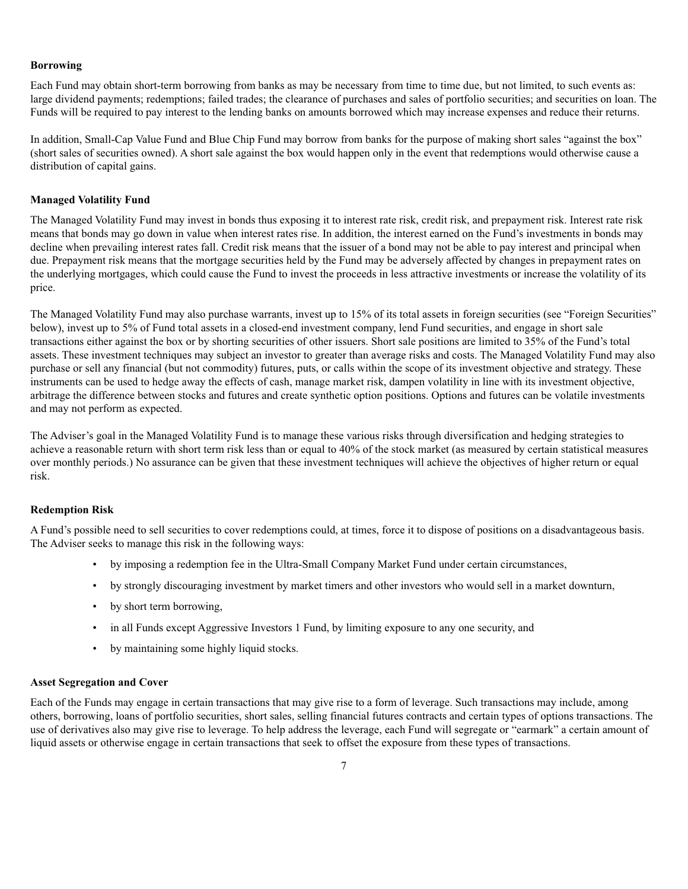#### **Borrowing**

Each Fund may obtain short-term borrowing from banks as may be necessary from time to time due, but not limited, to such events as: large dividend payments; redemptions; failed trades; the clearance of purchases and sales of portfolio securities; and securities on loan. The Funds will be required to pay interest to the lending banks on amounts borrowed which may increase expenses and reduce their returns.

In addition, Small-Cap Value Fund and Blue Chip Fund may borrow from banks for the purpose of making short sales "against the box" (short sales of securities owned). A short sale against the box would happen only in the event that redemptions would otherwise cause a distribution of capital gains.

### **Managed Volatility Fund**

The Managed Volatility Fund may invest in bonds thus exposing it to interest rate risk, credit risk, and prepayment risk. Interest rate risk means that bonds may go down in value when interest rates rise. In addition, the interest earned on the Fund's investments in bonds may decline when prevailing interest rates fall. Credit risk means that the issuer of a bond may not be able to pay interest and principal when due. Prepayment risk means that the mortgage securities held by the Fund may be adversely affected by changes in prepayment rates on the underlying mortgages, which could cause the Fund to invest the proceeds in less attractive investments or increase the volatility of its price.

The Managed Volatility Fund may also purchase warrants, invest up to 15% of its total assets in foreign securities (see "Foreign Securities" below), invest up to 5% of Fund total assets in a closed-end investment company, lend Fund securities, and engage in short sale transactions either against the box or by shorting securities of other issuers. Short sale positions are limited to 35% of the Fund's total assets. These investment techniques may subject an investor to greater than average risks and costs. The Managed Volatility Fund may also purchase or sell any financial (but not commodity) futures, puts, or calls within the scope of its investment objective and strategy. These instruments can be used to hedge away the effects of cash, manage market risk, dampen volatility in line with its investment objective, arbitrage the difference between stocks and futures and create synthetic option positions. Options and futures can be volatile investments and may not perform as expected.

The Adviser's goal in the Managed Volatility Fund is to manage these various risks through diversification and hedging strategies to achieve a reasonable return with short term risk less than or equal to 40% of the stock market (as measured by certain statistical measures over monthly periods.) No assurance can be given that these investment techniques will achieve the objectives of higher return or equal risk.

### **Redemption Risk**

A Fund's possible need to sell securities to cover redemptions could, at times, force it to dispose of positions on a disadvantageous basis. The Adviser seeks to manage this risk in the following ways:

- by imposing a redemption fee in the Ultra-Small Company Market Fund under certain circumstances,
- by strongly discouraging investment by market timers and other investors who would sell in a market downturn,
- by short term borrowing,
- in all Funds except Aggressive Investors 1 Fund, by limiting exposure to any one security, and
- by maintaining some highly liquid stocks.

#### **Asset Segregation and Cover**

Each of the Funds may engage in certain transactions that may give rise to a form of leverage. Such transactions may include, among others, borrowing, loans of portfolio securities, short sales, selling financial futures contracts and certain types of options transactions. The use of derivatives also may give rise to leverage. To help address the leverage, each Fund will segregate or "earmark" a certain amount of liquid assets or otherwise engage in certain transactions that seek to offset the exposure from these types of transactions.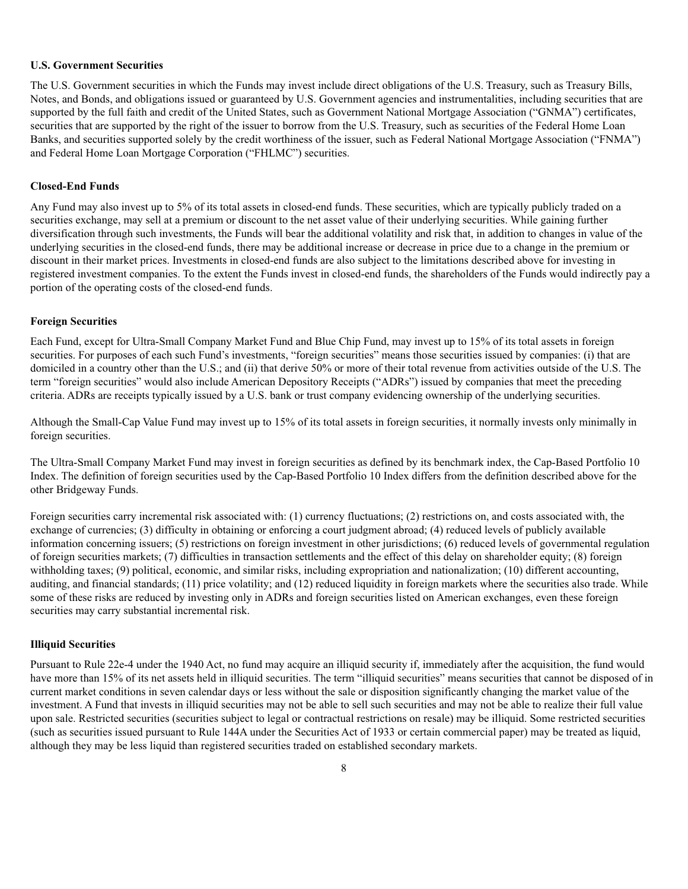#### **U.S. Government Securities**

The U.S. Government securities in which the Funds may invest include direct obligations of the U.S. Treasury, such as Treasury Bills, Notes, and Bonds, and obligations issued or guaranteed by U.S. Government agencies and instrumentalities, including securities that are supported by the full faith and credit of the United States, such as Government National Mortgage Association ("GNMA") certificates, securities that are supported by the right of the issuer to borrow from the U.S. Treasury, such as securities of the Federal Home Loan Banks, and securities supported solely by the credit worthiness of the issuer, such as Federal National Mortgage Association ("FNMA") and Federal Home Loan Mortgage Corporation ("FHLMC") securities.

#### **Closed-End Funds**

Any Fund may also invest up to 5% of its total assets in closed-end funds. These securities, which are typically publicly traded on a securities exchange, may sell at a premium or discount to the net asset value of their underlying securities. While gaining further diversification through such investments, the Funds will bear the additional volatility and risk that, in addition to changes in value of the underlying securities in the closed-end funds, there may be additional increase or decrease in price due to a change in the premium or discount in their market prices. Investments in closed-end funds are also subject to the limitations described above for investing in registered investment companies. To the extent the Funds invest in closed-end funds, the shareholders of the Funds would indirectly pay a portion of the operating costs of the closed-end funds.

#### **Foreign Securities**

Each Fund, except for Ultra-Small Company Market Fund and Blue Chip Fund, may invest up to 15% of its total assets in foreign securities. For purposes of each such Fund's investments, "foreign securities" means those securities issued by companies: (i) that are domiciled in a country other than the U.S.; and (ii) that derive 50% or more of their total revenue from activities outside of the U.S. The term "foreign securities" would also include American Depository Receipts ("ADRs") issued by companies that meet the preceding criteria. ADRs are receipts typically issued by a U.S. bank or trust company evidencing ownership of the underlying securities.

Although the Small-Cap Value Fund may invest up to 15% of its total assets in foreign securities, it normally invests only minimally in foreign securities.

The Ultra-Small Company Market Fund may invest in foreign securities as defined by its benchmark index, the Cap-Based Portfolio 10 Index. The definition of foreign securities used by the Cap-Based Portfolio 10 Index differs from the definition described above for the other Bridgeway Funds.

Foreign securities carry incremental risk associated with: (1) currency fluctuations; (2) restrictions on, and costs associated with, the exchange of currencies; (3) difficulty in obtaining or enforcing a court judgment abroad; (4) reduced levels of publicly available information concerning issuers; (5) restrictions on foreign investment in other jurisdictions; (6) reduced levels of governmental regulation of foreign securities markets; (7) difficulties in transaction settlements and the effect of this delay on shareholder equity; (8) foreign withholding taxes; (9) political, economic, and similar risks, including expropriation and nationalization; (10) different accounting, auditing, and financial standards; (11) price volatility; and (12) reduced liquidity in foreign markets where the securities also trade. While some of these risks are reduced by investing only in ADRs and foreign securities listed on American exchanges, even these foreign securities may carry substantial incremental risk.

#### **Illiquid Securities**

Pursuant to Rule 22e-4 under the 1940 Act, no fund may acquire an illiquid security if, immediately after the acquisition, the fund would have more than 15% of its net assets held in illiquid securities. The term "illiquid securities" means securities that cannot be disposed of in current market conditions in seven calendar days or less without the sale or disposition significantly changing the market value of the investment. A Fund that invests in illiquid securities may not be able to sell such securities and may not be able to realize their full value upon sale. Restricted securities (securities subject to legal or contractual restrictions on resale) may be illiquid. Some restricted securities (such as securities issued pursuant to Rule 144A under the Securities Act of 1933 or certain commercial paper) may be treated as liquid, although they may be less liquid than registered securities traded on established secondary markets.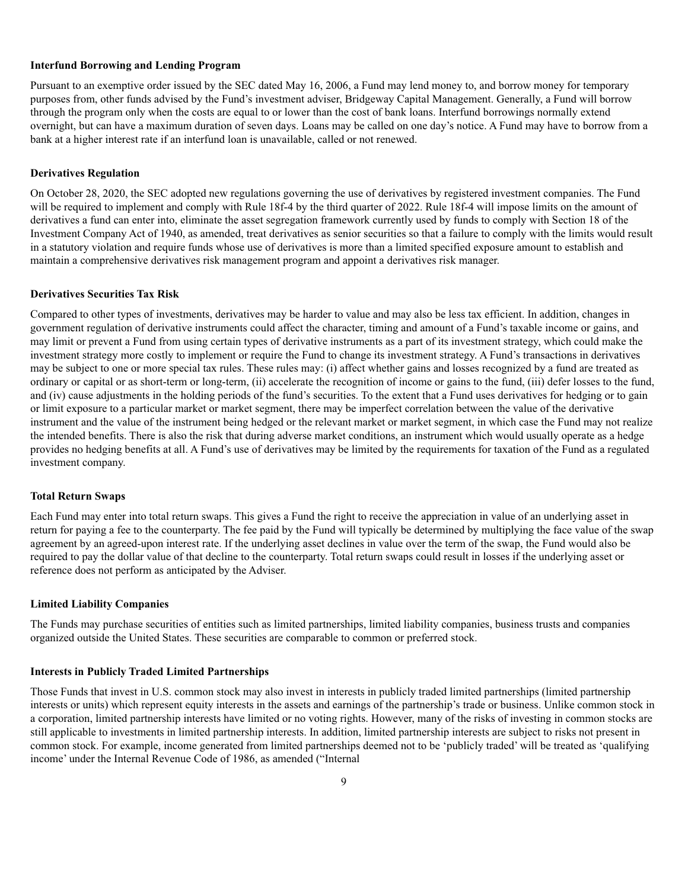#### **Interfund Borrowing and Lending Program**

Pursuant to an exemptive order issued by the SEC dated May 16, 2006, a Fund may lend money to, and borrow money for temporary purposes from, other funds advised by the Fund's investment adviser, Bridgeway Capital Management. Generally, a Fund will borrow through the program only when the costs are equal to or lower than the cost of bank loans. Interfund borrowings normally extend overnight, but can have a maximum duration of seven days. Loans may be called on one day's notice. A Fund may have to borrow from a bank at a higher interest rate if an interfund loan is unavailable, called or not renewed.

#### **Derivatives Regulation**

On October 28, 2020, the SEC adopted new regulations governing the use of derivatives by registered investment companies. The Fund will be required to implement and comply with Rule 18f-4 by the third quarter of 2022. Rule 18f-4 will impose limits on the amount of derivatives a fund can enter into, eliminate the asset segregation framework currently used by funds to comply with Section 18 of the Investment Company Act of 1940, as amended, treat derivatives as senior securities so that a failure to comply with the limits would result in a statutory violation and require funds whose use of derivatives is more than a limited specified exposure amount to establish and maintain a comprehensive derivatives risk management program and appoint a derivatives risk manager.

#### **Derivatives Securities Tax Risk**

Compared to other types of investments, derivatives may be harder to value and may also be less tax efficient. In addition, changes in government regulation of derivative instruments could affect the character, timing and amount of a Fund's taxable income or gains, and may limit or prevent a Fund from using certain types of derivative instruments as a part of its investment strategy, which could make the investment strategy more costly to implement or require the Fund to change its investment strategy. A Fund's transactions in derivatives may be subject to one or more special tax rules. These rules may: (i) affect whether gains and losses recognized by a fund are treated as ordinary or capital or as short-term or long-term, (ii) accelerate the recognition of income or gains to the fund, (iii) defer losses to the fund, and (iv) cause adjustments in the holding periods of the fund's securities. To the extent that a Fund uses derivatives for hedging or to gain or limit exposure to a particular market or market segment, there may be imperfect correlation between the value of the derivative instrument and the value of the instrument being hedged or the relevant market or market segment, in which case the Fund may not realize the intended benefits. There is also the risk that during adverse market conditions, an instrument which would usually operate as a hedge provides no hedging benefits at all. A Fund's use of derivatives may be limited by the requirements for taxation of the Fund as a regulated investment company.

#### **Total Return Swaps**

Each Fund may enter into total return swaps. This gives a Fund the right to receive the appreciation in value of an underlying asset in return for paying a fee to the counterparty. The fee paid by the Fund will typically be determined by multiplying the face value of the swap agreement by an agreed-upon interest rate. If the underlying asset declines in value over the term of the swap, the Fund would also be required to pay the dollar value of that decline to the counterparty. Total return swaps could result in losses if the underlying asset or reference does not perform as anticipated by the Adviser.

#### **Limited Liability Companies**

The Funds may purchase securities of entities such as limited partnerships, limited liability companies, business trusts and companies organized outside the United States. These securities are comparable to common or preferred stock.

#### **Interests in Publicly Traded Limited Partnerships**

Those Funds that invest in U.S. common stock may also invest in interests in publicly traded limited partnerships (limited partnership interests or units) which represent equity interests in the assets and earnings of the partnership's trade or business. Unlike common stock in a corporation, limited partnership interests have limited or no voting rights. However, many of the risks of investing in common stocks are still applicable to investments in limited partnership interests. In addition, limited partnership interests are subject to risks not present in common stock. For example, income generated from limited partnerships deemed not to be 'publicly traded' will be treated as 'qualifying income' under the Internal Revenue Code of 1986, as amended ("Internal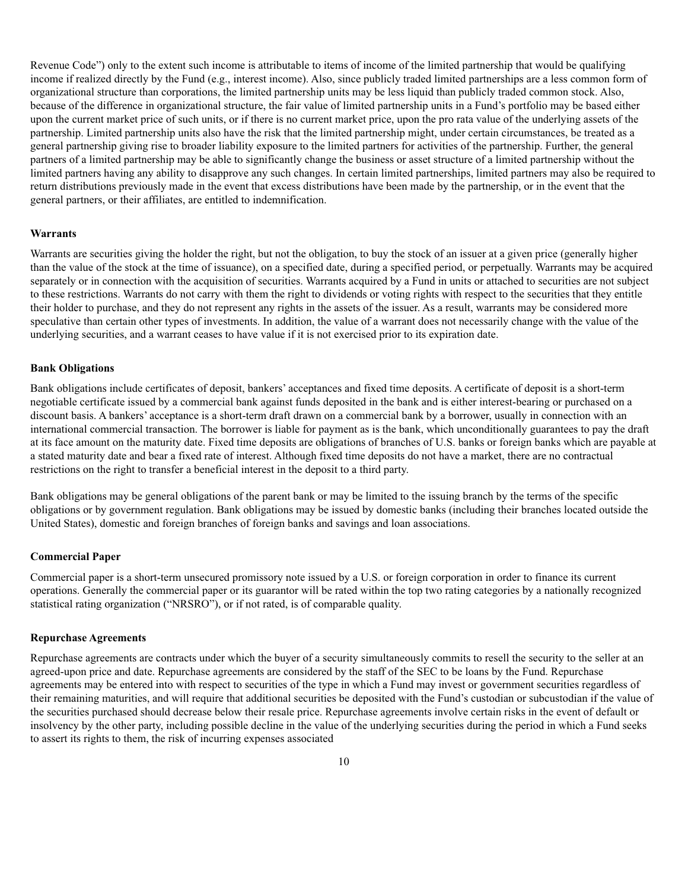Revenue Code") only to the extent such income is attributable to items of income of the limited partnership that would be qualifying income if realized directly by the Fund (e.g., interest income). Also, since publicly traded limited partnerships are a less common form of organizational structure than corporations, the limited partnership units may be less liquid than publicly traded common stock. Also, because of the difference in organizational structure, the fair value of limited partnership units in a Fund's portfolio may be based either upon the current market price of such units, or if there is no current market price, upon the pro rata value of the underlying assets of the partnership. Limited partnership units also have the risk that the limited partnership might, under certain circumstances, be treated as a general partnership giving rise to broader liability exposure to the limited partners for activities of the partnership. Further, the general partners of a limited partnership may be able to significantly change the business or asset structure of a limited partnership without the limited partners having any ability to disapprove any such changes. In certain limited partnerships, limited partners may also be required to return distributions previously made in the event that excess distributions have been made by the partnership, or in the event that the general partners, or their affiliates, are entitled to indemnification.

#### **Warrants**

Warrants are securities giving the holder the right, but not the obligation, to buy the stock of an issuer at a given price (generally higher than the value of the stock at the time of issuance), on a specified date, during a specified period, or perpetually. Warrants may be acquired separately or in connection with the acquisition of securities. Warrants acquired by a Fund in units or attached to securities are not subject to these restrictions. Warrants do not carry with them the right to dividends or voting rights with respect to the securities that they entitle their holder to purchase, and they do not represent any rights in the assets of the issuer. As a result, warrants may be considered more speculative than certain other types of investments. In addition, the value of a warrant does not necessarily change with the value of the underlying securities, and a warrant ceases to have value if it is not exercised prior to its expiration date.

#### **Bank Obligations**

Bank obligations include certificates of deposit, bankers' acceptances and fixed time deposits. A certificate of deposit is a short-term negotiable certificate issued by a commercial bank against funds deposited in the bank and is either interest-bearing or purchased on a discount basis. A bankers' acceptance is a short-term draft drawn on a commercial bank by a borrower, usually in connection with an international commercial transaction. The borrower is liable for payment as is the bank, which unconditionally guarantees to pay the draft at its face amount on the maturity date. Fixed time deposits are obligations of branches of U.S. banks or foreign banks which are payable at a stated maturity date and bear a fixed rate of interest. Although fixed time deposits do not have a market, there are no contractual restrictions on the right to transfer a beneficial interest in the deposit to a third party.

Bank obligations may be general obligations of the parent bank or may be limited to the issuing branch by the terms of the specific obligations or by government regulation. Bank obligations may be issued by domestic banks (including their branches located outside the United States), domestic and foreign branches of foreign banks and savings and loan associations.

#### **Commercial Paper**

Commercial paper is a short-term unsecured promissory note issued by a U.S. or foreign corporation in order to finance its current operations. Generally the commercial paper or its guarantor will be rated within the top two rating categories by a nationally recognized statistical rating organization ("NRSRO"), or if not rated, is of comparable quality.

#### **Repurchase Agreements**

Repurchase agreements are contracts under which the buyer of a security simultaneously commits to resell the security to the seller at an agreed-upon price and date. Repurchase agreements are considered by the staff of the SEC to be loans by the Fund. Repurchase agreements may be entered into with respect to securities of the type in which a Fund may invest or government securities regardless of their remaining maturities, and will require that additional securities be deposited with the Fund's custodian or subcustodian if the value of the securities purchased should decrease below their resale price. Repurchase agreements involve certain risks in the event of default or insolvency by the other party, including possible decline in the value of the underlying securities during the period in which a Fund seeks to assert its rights to them, the risk of incurring expenses associated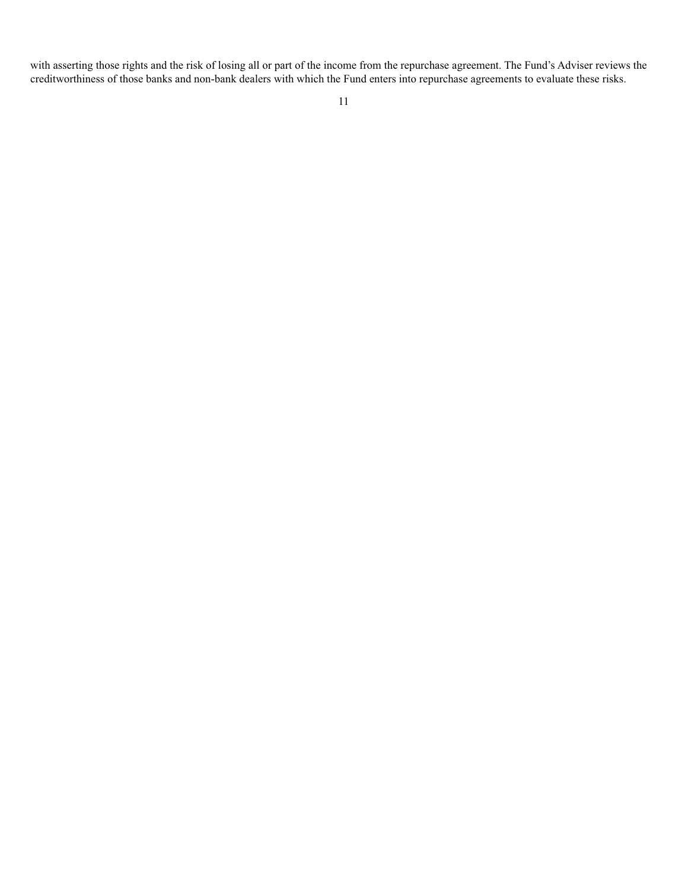with asserting those rights and the risk of losing all or part of the income from the repurchase agreement. The Fund's Adviser reviews the creditworthiness of those banks and non-bank dealers with which the Fund enters into repurchase agreements to evaluate these risks.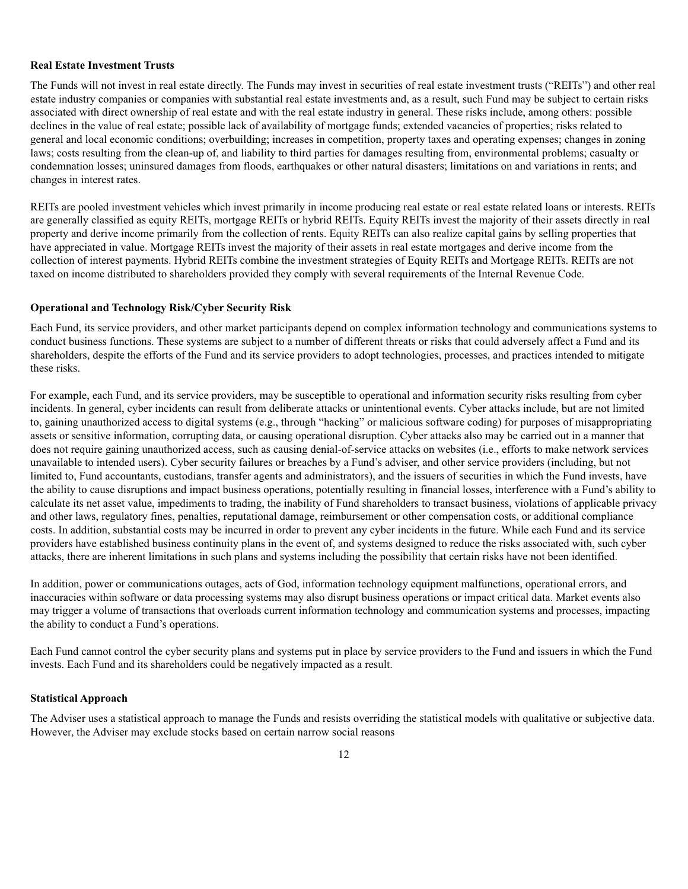#### **Real Estate Investment Trusts**

The Funds will not invest in real estate directly. The Funds may invest in securities of real estate investment trusts ("REITs") and other real estate industry companies or companies with substantial real estate investments and, as a result, such Fund may be subject to certain risks associated with direct ownership of real estate and with the real estate industry in general. These risks include, among others: possible declines in the value of real estate; possible lack of availability of mortgage funds; extended vacancies of properties; risks related to general and local economic conditions; overbuilding; increases in competition, property taxes and operating expenses; changes in zoning laws; costs resulting from the clean-up of, and liability to third parties for damages resulting from, environmental problems; casualty or condemnation losses; uninsured damages from floods, earthquakes or other natural disasters; limitations on and variations in rents; and changes in interest rates.

REITs are pooled investment vehicles which invest primarily in income producing real estate or real estate related loans or interests. REITs are generally classified as equity REITs, mortgage REITs or hybrid REITs. Equity REITs invest the majority of their assets directly in real property and derive income primarily from the collection of rents. Equity REITs can also realize capital gains by selling properties that have appreciated in value. Mortgage REITs invest the majority of their assets in real estate mortgages and derive income from the collection of interest payments. Hybrid REITs combine the investment strategies of Equity REITs and Mortgage REITs. REITs are not taxed on income distributed to shareholders provided they comply with several requirements of the Internal Revenue Code.

### **Operational and Technology Risk/Cyber Security Risk**

Each Fund, its service providers, and other market participants depend on complex information technology and communications systems to conduct business functions. These systems are subject to a number of different threats or risks that could adversely affect a Fund and its shareholders, despite the efforts of the Fund and its service providers to adopt technologies, processes, and practices intended to mitigate these risks.

For example, each Fund, and its service providers, may be susceptible to operational and information security risks resulting from cyber incidents. In general, cyber incidents can result from deliberate attacks or unintentional events. Cyber attacks include, but are not limited to, gaining unauthorized access to digital systems (e.g., through "hacking" or malicious software coding) for purposes of misappropriating assets or sensitive information, corrupting data, or causing operational disruption. Cyber attacks also may be carried out in a manner that does not require gaining unauthorized access, such as causing denial-of-service attacks on websites (i.e., efforts to make network services unavailable to intended users). Cyber security failures or breaches by a Fund's adviser, and other service providers (including, but not limited to, Fund accountants, custodians, transfer agents and administrators), and the issuers of securities in which the Fund invests, have the ability to cause disruptions and impact business operations, potentially resulting in financial losses, interference with a Fund's ability to calculate its net asset value, impediments to trading, the inability of Fund shareholders to transact business, violations of applicable privacy and other laws, regulatory fines, penalties, reputational damage, reimbursement or other compensation costs, or additional compliance costs. In addition, substantial costs may be incurred in order to prevent any cyber incidents in the future. While each Fund and its service providers have established business continuity plans in the event of, and systems designed to reduce the risks associated with, such cyber attacks, there are inherent limitations in such plans and systems including the possibility that certain risks have not been identified.

In addition, power or communications outages, acts of God, information technology equipment malfunctions, operational errors, and inaccuracies within software or data processing systems may also disrupt business operations or impact critical data. Market events also may trigger a volume of transactions that overloads current information technology and communication systems and processes, impacting the ability to conduct a Fund's operations.

Each Fund cannot control the cyber security plans and systems put in place by service providers to the Fund and issuers in which the Fund invests. Each Fund and its shareholders could be negatively impacted as a result.

#### **Statistical Approach**

The Adviser uses a statistical approach to manage the Funds and resists overriding the statistical models with qualitative or subjective data. However, the Adviser may exclude stocks based on certain narrow social reasons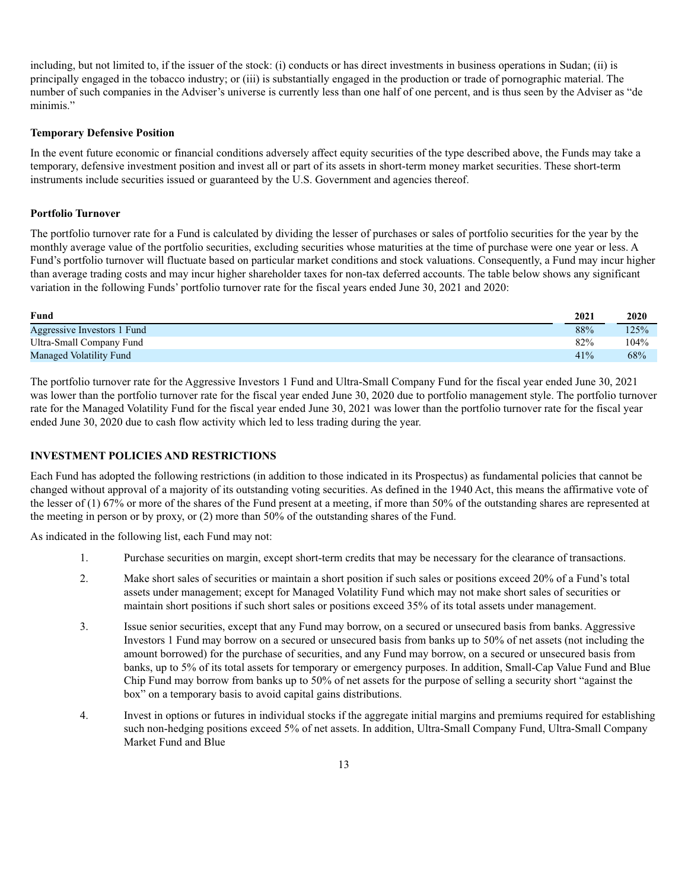including, but not limited to, if the issuer of the stock: (i) conducts or has direct investments in business operations in Sudan; (ii) is principally engaged in the tobacco industry; or (iii) is substantially engaged in the production or trade of pornographic material. The number of such companies in the Adviser's universe is currently less than one half of one percent, and is thus seen by the Adviser as "de minimis."

### **Temporary Defensive Position**

In the event future economic or financial conditions adversely affect equity securities of the type described above, the Funds may take a temporary, defensive investment position and invest all or part of its assets in short-term money market securities. These short-term instruments include securities issued or guaranteed by the U.S. Government and agencies thereof.

### **Portfolio Turnover**

The portfolio turnover rate for a Fund is calculated by dividing the lesser of purchases or sales of portfolio securities for the year by the monthly average value of the portfolio securities, excluding securities whose maturities at the time of purchase were one year or less. A Fund's portfolio turnover will fluctuate based on particular market conditions and stock valuations. Consequently, a Fund may incur higher than average trading costs and may incur higher shareholder taxes for non-tax deferred accounts. The table below shows any significant variation in the following Funds' portfolio turnover rate for the fiscal years ended June 30, 2021 and 2020:

| Fund                        | 2021 | <b>2020</b> |
|-----------------------------|------|-------------|
| Aggressive Investors 1 Fund | 88%  | 125%        |
| Ultra-Small Company Fund    | 82%  | 104%        |
| Managed Volatility Fund     | 41%  | 68%         |

The portfolio turnover rate for the Aggressive Investors 1 Fund and Ultra-Small Company Fund for the fiscal year ended June 30, 2021 was lower than the portfolio turnover rate for the fiscal year ended June 30, 2020 due to portfolio management style. The portfolio turnover rate for the Managed Volatility Fund for the fiscal year ended June 30, 2021 was lower than the portfolio turnover rate for the fiscal year ended June 30, 2020 due to cash flow activity which led to less trading during the year.

### **INVESTMENT POLICIES AND RESTRICTIONS**

Each Fund has adopted the following restrictions (in addition to those indicated in its Prospectus) as fundamental policies that cannot be changed without approval of a majority of its outstanding voting securities. As defined in the 1940 Act, this means the affirmative vote of the lesser of (1) 67% or more of the shares of the Fund present at a meeting, if more than 50% of the outstanding shares are represented at the meeting in person or by proxy, or (2) more than 50% of the outstanding shares of the Fund.

As indicated in the following list, each Fund may not:

- 1. Purchase securities on margin, except short-term credits that may be necessary for the clearance of transactions.
- 2. Make short sales of securities or maintain a short position if such sales or positions exceed 20% of a Fund's total assets under management; except for Managed Volatility Fund which may not make short sales of securities or maintain short positions if such short sales or positions exceed 35% of its total assets under management.
- 3. Issue senior securities, except that any Fund may borrow, on a secured or unsecured basis from banks. Aggressive Investors 1 Fund may borrow on a secured or unsecured basis from banks up to 50% of net assets (not including the amount borrowed) for the purchase of securities, and any Fund may borrow, on a secured or unsecured basis from banks, up to 5% of its total assets for temporary or emergency purposes. In addition, Small-Cap Value Fund and Blue Chip Fund may borrow from banks up to 50% of net assets for the purpose of selling a security short "against the box" on a temporary basis to avoid capital gains distributions.
- 4. Invest in options or futures in individual stocks if the aggregate initial margins and premiums required for establishing such non-hedging positions exceed 5% of net assets. In addition, Ultra-Small Company Fund, Ultra-Small Company Market Fund and Blue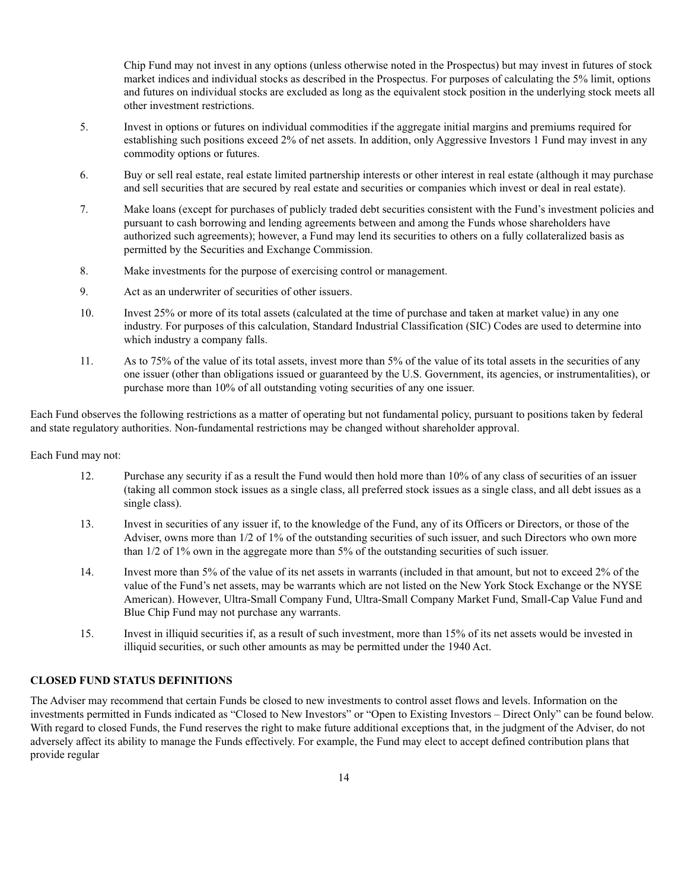Chip Fund may not invest in any options (unless otherwise noted in the Prospectus) but may invest in futures of stock market indices and individual stocks as described in the Prospectus. For purposes of calculating the 5% limit, options and futures on individual stocks are excluded as long as the equivalent stock position in the underlying stock meets all other investment restrictions.

- 5. Invest in options or futures on individual commodities if the aggregate initial margins and premiums required for establishing such positions exceed 2% of net assets. In addition, only Aggressive Investors 1 Fund may invest in any commodity options or futures.
- 6. Buy or sell real estate, real estate limited partnership interests or other interest in real estate (although it may purchase and sell securities that are secured by real estate and securities or companies which invest or deal in real estate).
- 7. Make loans (except for purchases of publicly traded debt securities consistent with the Fund's investment policies and pursuant to cash borrowing and lending agreements between and among the Funds whose shareholders have authorized such agreements); however, a Fund may lend its securities to others on a fully collateralized basis as permitted by the Securities and Exchange Commission.
- 8. Make investments for the purpose of exercising control or management.
- 9. Act as an underwriter of securities of other issuers.
- 10. Invest 25% or more of its total assets (calculated at the time of purchase and taken at market value) in any one industry. For purposes of this calculation, Standard Industrial Classification (SIC) Codes are used to determine into which industry a company falls.
- 11. As to 75% of the value of its total assets, invest more than 5% of the value of its total assets in the securities of any one issuer (other than obligations issued or guaranteed by the U.S. Government, its agencies, or instrumentalities), or purchase more than 10% of all outstanding voting securities of any one issuer.

Each Fund observes the following restrictions as a matter of operating but not fundamental policy, pursuant to positions taken by federal and state regulatory authorities. Non-fundamental restrictions may be changed without shareholder approval.

#### Each Fund may not:

- 12. Purchase any security if as a result the Fund would then hold more than 10% of any class of securities of an issuer (taking all common stock issues as a single class, all preferred stock issues as a single class, and all debt issues as a single class).
- 13. Invest in securities of any issuer if, to the knowledge of the Fund, any of its Officers or Directors, or those of the Adviser, owns more than  $1/2$  of  $1%$  of the outstanding securities of such issuer, and such Directors who own more than 1/2 of 1% own in the aggregate more than 5% of the outstanding securities of such issuer.
- 14. Invest more than 5% of the value of its net assets in warrants (included in that amount, but not to exceed 2% of the value of the Fund's net assets, may be warrants which are not listed on the New York Stock Exchange or the NYSE American). However, Ultra-Small Company Fund, Ultra-Small Company Market Fund, Small-Cap Value Fund and Blue Chip Fund may not purchase any warrants.
- 15. Invest in illiquid securities if, as a result of such investment, more than 15% of its net assets would be invested in illiquid securities, or such other amounts as may be permitted under the 1940 Act.

### **CLOSED FUND STATUS DEFINITIONS**

The Adviser may recommend that certain Funds be closed to new investments to control asset flows and levels. Information on the investments permitted in Funds indicated as "Closed to New Investors" or "Open to Existing Investors – Direct Only" can be found below. With regard to closed Funds, the Fund reserves the right to make future additional exceptions that, in the judgment of the Adviser, do not adversely affect its ability to manage the Funds effectively. For example, the Fund may elect to accept defined contribution plans that provide regular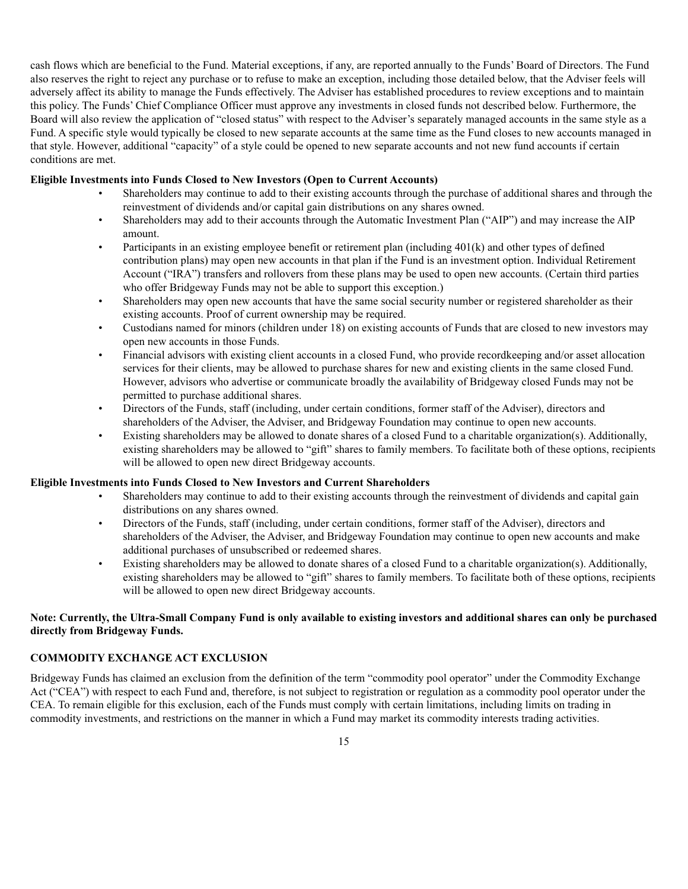cash flows which are beneficial to the Fund. Material exceptions, if any, are reported annually to the Funds' Board of Directors. The Fund also reserves the right to reject any purchase or to refuse to make an exception, including those detailed below, that the Adviser feels will adversely affect its ability to manage the Funds effectively. The Adviser has established procedures to review exceptions and to maintain this policy. The Funds' Chief Compliance Officer must approve any investments in closed funds not described below. Furthermore, the Board will also review the application of "closed status" with respect to the Adviser's separately managed accounts in the same style as a Fund. A specific style would typically be closed to new separate accounts at the same time as the Fund closes to new accounts managed in that style. However, additional "capacity" of a style could be opened to new separate accounts and not new fund accounts if certain conditions are met.

### **Eligible Investments into Funds Closed to New Investors (Open to Current Accounts)**

- Shareholders may continue to add to their existing accounts through the purchase of additional shares and through the reinvestment of dividends and/or capital gain distributions on any shares owned.
- Shareholders may add to their accounts through the Automatic Investment Plan ("AIP") and may increase the AIP amount.
- Participants in an existing employee benefit or retirement plan (including 401(k) and other types of defined contribution plans) may open new accounts in that plan if the Fund is an investment option. Individual Retirement Account ("IRA") transfers and rollovers from these plans may be used to open new accounts. (Certain third parties who offer Bridgeway Funds may not be able to support this exception.)
- Shareholders may open new accounts that have the same social security number or registered shareholder as their existing accounts. Proof of current ownership may be required.
- Custodians named for minors (children under 18) on existing accounts of Funds that are closed to new investors may open new accounts in those Funds.
- Financial advisors with existing client accounts in a closed Fund, who provide recordkeeping and/or asset allocation services for their clients, may be allowed to purchase shares for new and existing clients in the same closed Fund. However, advisors who advertise or communicate broadly the availability of Bridgeway closed Funds may not be permitted to purchase additional shares.
- Directors of the Funds, staff (including, under certain conditions, former staff of the Adviser), directors and shareholders of the Adviser, the Adviser, and Bridgeway Foundation may continue to open new accounts.
- Existing shareholders may be allowed to donate shares of a closed Fund to a charitable organization(s). Additionally, existing shareholders may be allowed to "gift" shares to family members. To facilitate both of these options, recipients will be allowed to open new direct Bridgeway accounts.

#### **Eligible Investments into Funds Closed to New Investors and Current Shareholders**

- Shareholders may continue to add to their existing accounts through the reinvestment of dividends and capital gain distributions on any shares owned.
- Directors of the Funds, staff (including, under certain conditions, former staff of the Adviser), directors and shareholders of the Adviser, the Adviser, and Bridgeway Foundation may continue to open new accounts and make additional purchases of unsubscribed or redeemed shares.
- Existing shareholders may be allowed to donate shares of a closed Fund to a charitable organization(s). Additionally, existing shareholders may be allowed to "gift" shares to family members. To facilitate both of these options, recipients will be allowed to open new direct Bridgeway accounts.

## **Note: Currently, the Ultra-Small Company Fund is only available to existing investors and additional shares can only be purchased directly from Bridgeway Funds.**

### **COMMODITY EXCHANGE ACT EXCLUSION**

Bridgeway Funds has claimed an exclusion from the definition of the term "commodity pool operator" under the Commodity Exchange Act ("CEA") with respect to each Fund and, therefore, is not subject to registration or regulation as a commodity pool operator under the CEA. To remain eligible for this exclusion, each of the Funds must comply with certain limitations, including limits on trading in commodity investments, and restrictions on the manner in which a Fund may market its commodity interests trading activities.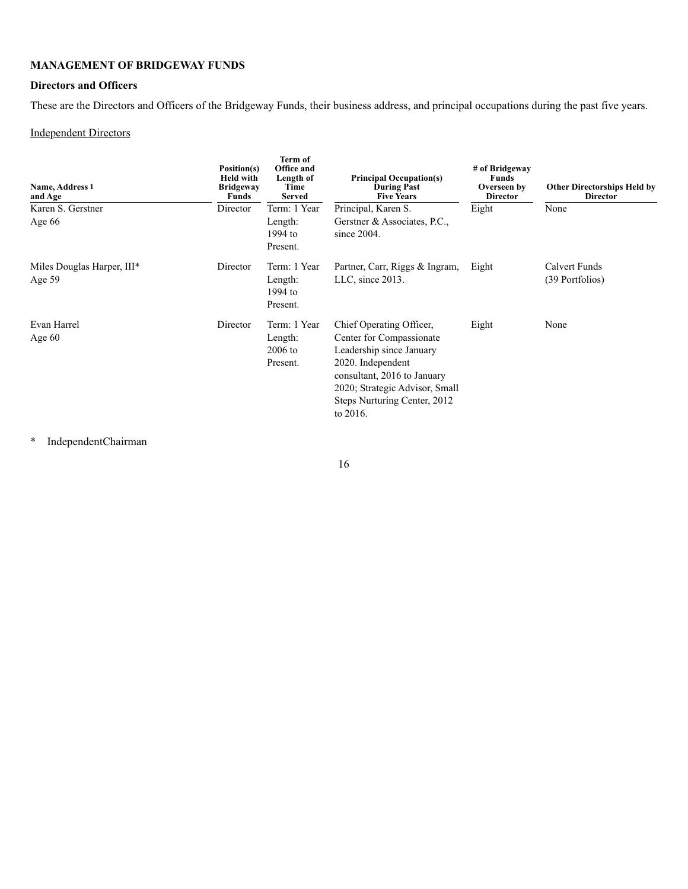# **MANAGEMENT OF BRIDGEWAY FUNDS**

# **Directors and Officers**

These are the Directors and Officers of the Bridgeway Funds, their business address, and principal occupations during the past five years.

# Independent Directors

| Name, Address 1<br>and Age             | Position(s)<br><b>Held with</b><br><b>Bridgeway</b><br>Funds | Term of<br>Office and<br>Length of<br>Time<br><b>Served</b> | <b>Principal Occupation(s)</b><br><b>During Past</b><br><b>Five Years</b>                                                                                                                                          | # of Bridgeway<br><b>Funds</b><br>Overseen by<br><b>Director</b> | <b>Other Directorships Held by</b><br><b>Director</b> |
|----------------------------------------|--------------------------------------------------------------|-------------------------------------------------------------|--------------------------------------------------------------------------------------------------------------------------------------------------------------------------------------------------------------------|------------------------------------------------------------------|-------------------------------------------------------|
| Karen S. Gerstner                      | Director                                                     | Term: 1 Year                                                | Principal, Karen S.                                                                                                                                                                                                | Eight                                                            | None                                                  |
| Age 66                                 |                                                              | Length:<br>$1994$ to<br>Present.                            | Gerstner & Associates, P.C.,<br>since $2004$ .                                                                                                                                                                     |                                                                  |                                                       |
| Miles Douglas Harper, III*<br>Age $59$ | Director                                                     | Term: 1 Year<br>Length:<br>1994 to<br>Present.              | Partner, Carr, Riggs & Ingram,<br>LLC, since 2013.                                                                                                                                                                 | Eight                                                            | <b>Calvert Funds</b><br>(39 Portfolios)               |
| Evan Harrel<br>Age $60$                | Director                                                     | Term: 1 Year<br>Length:<br>$2006$ to<br>Present.            | Chief Operating Officer,<br>Center for Compassionate<br>Leadership since January<br>2020. Independent<br>consultant, 2016 to January<br>2020; Strategic Advisor, Small<br>Steps Nurturing Center, 2012<br>to 2016. | Eight                                                            | None                                                  |

\* IndependentChairman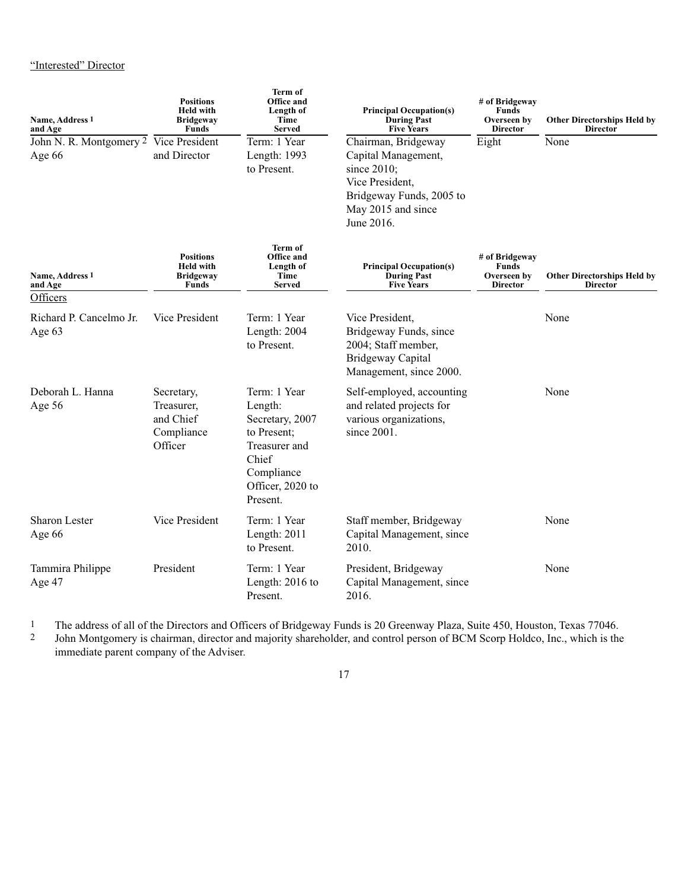| Name, Address 1<br>and Age                       | <b>Positions</b><br><b>Held with</b><br><b>Bridgeway</b><br><b>Funds</b> | Term of<br>Office and<br>Length of<br>Time<br><b>Served</b>                                                                       | <b>Principal Occupation(s)</b><br><b>During Past</b><br><b>Five Years</b>                                                                    | # of Bridgeway<br>Funds<br>Overseen by<br><b>Director</b> | <b>Other Directorships Held by</b><br><b>Director</b> |
|--------------------------------------------------|--------------------------------------------------------------------------|-----------------------------------------------------------------------------------------------------------------------------------|----------------------------------------------------------------------------------------------------------------------------------------------|-----------------------------------------------------------|-------------------------------------------------------|
| John N. R. Montgomery 2 Vice President<br>Age 66 | and Director                                                             | Term: 1 Year<br>Length: 1993<br>to Present.                                                                                       | Chairman, Bridgeway<br>Capital Management,<br>since 2010;<br>Vice President,<br>Bridgeway Funds, 2005 to<br>May 2015 and since<br>June 2016. | Eight                                                     | None                                                  |
| Name, Address 1<br>and Age<br>Officers           | <b>Positions</b><br><b>Held with</b><br><b>Bridgeway</b><br><b>Funds</b> | Term of<br>Office and<br>Length of<br>Time<br><b>Served</b>                                                                       | <b>Principal Occupation(s)</b><br><b>During Past</b><br><b>Five Years</b>                                                                    | # of Bridgeway<br>Funds<br>Overseen by<br><b>Director</b> | <b>Other Directorships Held by</b><br><b>Director</b> |
| Richard P. Cancelmo Jr.<br>Age 63                | Vice President                                                           | Term: 1 Year<br>Length: 2004<br>to Present.                                                                                       | Vice President,<br>Bridgeway Funds, since<br>2004; Staff member,<br><b>Bridgeway Capital</b><br>Management, since 2000.                      |                                                           | None                                                  |
| Deborah L. Hanna<br>Age 56                       | Secretary,<br>Treasurer,<br>and Chief<br>Compliance<br>Officer           | Term: 1 Year<br>Length:<br>Secretary, 2007<br>to Present;<br>Treasurer and<br>Chief<br>Compliance<br>Officer, 2020 to<br>Present. | Self-employed, accounting<br>and related projects for<br>various organizations,<br>since 2001.                                               |                                                           | None                                                  |
| <b>Sharon Lester</b><br>Age 66                   | Vice President                                                           | Term: 1 Year<br>Length: 2011<br>to Present.                                                                                       | Staff member, Bridgeway<br>Capital Management, since<br>2010.                                                                                |                                                           | None                                                  |
| Tammira Philippe<br>Age 47                       | President                                                                | Term: 1 Year<br>Length: 2016 to<br>Present.                                                                                       | President, Bridgeway<br>Capital Management, since<br>2016.                                                                                   |                                                           | None                                                  |

1 The address of all of the Directors and Officers of Bridgeway Funds is 20 Greenway Plaza, Suite 450, Houston, Texas 77046.<br>1 John Montgomery is chairman, director and maiority shareholder, and control person of BCM Scorp

2 John Montgomery is chairman, director and majority shareholder, and control person of BCM Scorp Holdco, Inc., which is the immediate parent company of the Adviser.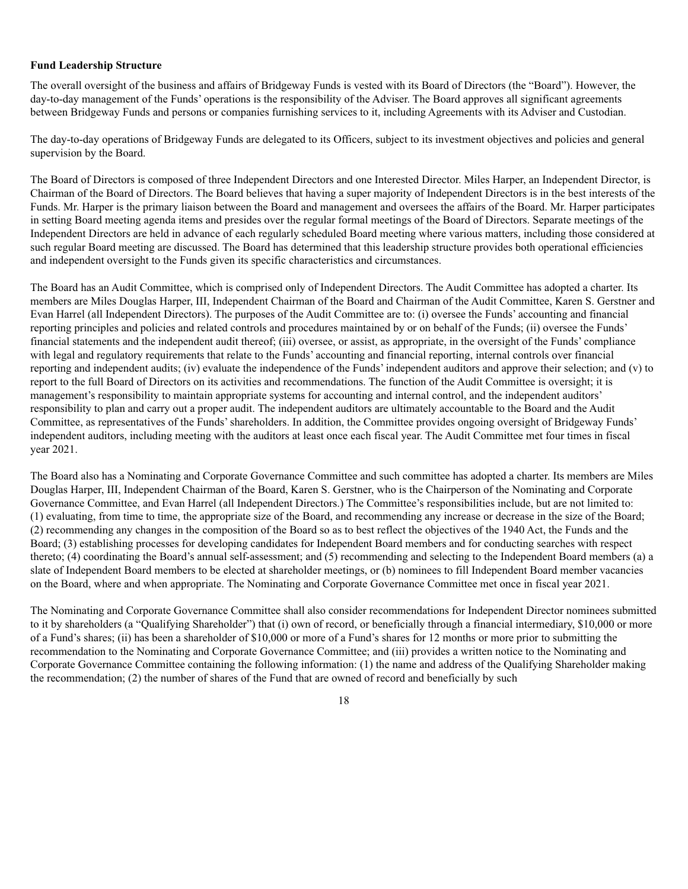### **Fund Leadership Structure**

The overall oversight of the business and affairs of Bridgeway Funds is vested with its Board of Directors (the "Board"). However, the day-to-day management of the Funds' operations is the responsibility of the Adviser. The Board approves all significant agreements between Bridgeway Funds and persons or companies furnishing services to it, including Agreements with its Adviser and Custodian.

The day-to-day operations of Bridgeway Funds are delegated to its Officers, subject to its investment objectives and policies and general supervision by the Board.

The Board of Directors is composed of three Independent Directors and one Interested Director. Miles Harper, an Independent Director, is Chairman of the Board of Directors. The Board believes that having a super majority of Independent Directors is in the best interests of the Funds. Mr. Harper is the primary liaison between the Board and management and oversees the affairs of the Board. Mr. Harper participates in setting Board meeting agenda items and presides over the regular formal meetings of the Board of Directors. Separate meetings of the Independent Directors are held in advance of each regularly scheduled Board meeting where various matters, including those considered at such regular Board meeting are discussed. The Board has determined that this leadership structure provides both operational efficiencies and independent oversight to the Funds given its specific characteristics and circumstances.

The Board has an Audit Committee, which is comprised only of Independent Directors. The Audit Committee has adopted a charter. Its members are Miles Douglas Harper, III, Independent Chairman of the Board and Chairman of the Audit Committee, Karen S. Gerstner and Evan Harrel (all Independent Directors). The purposes of the Audit Committee are to: (i) oversee the Funds' accounting and financial reporting principles and policies and related controls and procedures maintained by or on behalf of the Funds; (ii) oversee the Funds' financial statements and the independent audit thereof; (iii) oversee, or assist, as appropriate, in the oversight of the Funds' compliance with legal and regulatory requirements that relate to the Funds' accounting and financial reporting, internal controls over financial reporting and independent audits; (iv) evaluate the independence of the Funds' independent auditors and approve their selection; and (v) to report to the full Board of Directors on its activities and recommendations. The function of the Audit Committee is oversight; it is management's responsibility to maintain appropriate systems for accounting and internal control, and the independent auditors' responsibility to plan and carry out a proper audit. The independent auditors are ultimately accountable to the Board and the Audit Committee, as representatives of the Funds' shareholders. In addition, the Committee provides ongoing oversight of Bridgeway Funds' independent auditors, including meeting with the auditors at least once each fiscal year. The Audit Committee met four times in fiscal year 2021.

The Board also has a Nominating and Corporate Governance Committee and such committee has adopted a charter. Its members are Miles Douglas Harper, III, Independent Chairman of the Board, Karen S. Gerstner, who is the Chairperson of the Nominating and Corporate Governance Committee, and Evan Harrel (all Independent Directors.) The Committee's responsibilities include, but are not limited to: (1) evaluating, from time to time, the appropriate size of the Board, and recommending any increase or decrease in the size of the Board; (2) recommending any changes in the composition of the Board so as to best reflect the objectives of the 1940 Act, the Funds and the Board; (3) establishing processes for developing candidates for Independent Board members and for conducting searches with respect thereto; (4) coordinating the Board's annual self-assessment; and (5) recommending and selecting to the Independent Board members (a) a slate of Independent Board members to be elected at shareholder meetings, or (b) nominees to fill Independent Board member vacancies on the Board, where and when appropriate. The Nominating and Corporate Governance Committee met once in fiscal year 2021.

The Nominating and Corporate Governance Committee shall also consider recommendations for Independent Director nominees submitted to it by shareholders (a "Qualifying Shareholder") that (i) own of record, or beneficially through a financial intermediary, \$10,000 or more of a Fund's shares; (ii) has been a shareholder of \$10,000 or more of a Fund's shares for 12 months or more prior to submitting the recommendation to the Nominating and Corporate Governance Committee; and (iii) provides a written notice to the Nominating and Corporate Governance Committee containing the following information: (1) the name and address of the Qualifying Shareholder making the recommendation; (2) the number of shares of the Fund that are owned of record and beneficially by such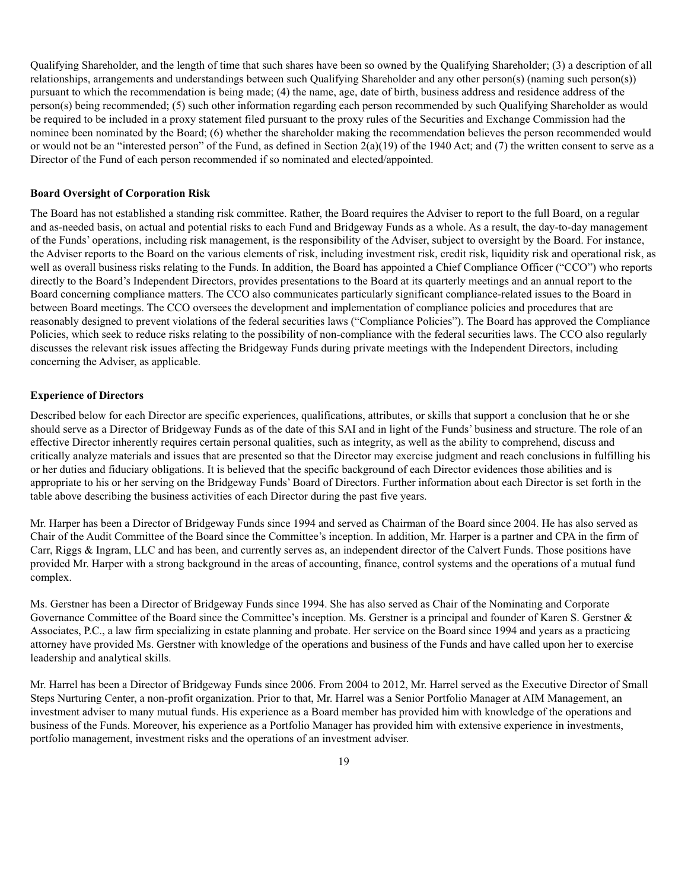Qualifying Shareholder, and the length of time that such shares have been so owned by the Qualifying Shareholder; (3) a description of all relationships, arrangements and understandings between such Qualifying Shareholder and any other person(s) (naming such person(s)) pursuant to which the recommendation is being made; (4) the name, age, date of birth, business address and residence address of the person(s) being recommended; (5) such other information regarding each person recommended by such Qualifying Shareholder as would be required to be included in a proxy statement filed pursuant to the proxy rules of the Securities and Exchange Commission had the nominee been nominated by the Board; (6) whether the shareholder making the recommendation believes the person recommended would or would not be an "interested person" of the Fund, as defined in Section 2(a)(19) of the 1940 Act; and (7) the written consent to serve as a Director of the Fund of each person recommended if so nominated and elected/appointed.

#### **Board Oversight of Corporation Risk**

The Board has not established a standing risk committee. Rather, the Board requires the Adviser to report to the full Board, on a regular and as-needed basis, on actual and potential risks to each Fund and Bridgeway Funds as a whole. As a result, the day-to-day management of the Funds' operations, including risk management, is the responsibility of the Adviser, subject to oversight by the Board. For instance, the Adviser reports to the Board on the various elements of risk, including investment risk, credit risk, liquidity risk and operational risk, as well as overall business risks relating to the Funds. In addition, the Board has appointed a Chief Compliance Officer ("CCO") who reports directly to the Board's Independent Directors, provides presentations to the Board at its quarterly meetings and an annual report to the Board concerning compliance matters. The CCO also communicates particularly significant compliance-related issues to the Board in between Board meetings. The CCO oversees the development and implementation of compliance policies and procedures that are reasonably designed to prevent violations of the federal securities laws ("Compliance Policies"). The Board has approved the Compliance Policies, which seek to reduce risks relating to the possibility of non-compliance with the federal securities laws. The CCO also regularly discusses the relevant risk issues affecting the Bridgeway Funds during private meetings with the Independent Directors, including concerning the Adviser, as applicable.

### **Experience of Directors**

Described below for each Director are specific experiences, qualifications, attributes, or skills that support a conclusion that he or she should serve as a Director of Bridgeway Funds as of the date of this SAI and in light of the Funds' business and structure. The role of an effective Director inherently requires certain personal qualities, such as integrity, as well as the ability to comprehend, discuss and critically analyze materials and issues that are presented so that the Director may exercise judgment and reach conclusions in fulfilling his or her duties and fiduciary obligations. It is believed that the specific background of each Director evidences those abilities and is appropriate to his or her serving on the Bridgeway Funds' Board of Directors. Further information about each Director is set forth in the table above describing the business activities of each Director during the past five years.

Mr. Harper has been a Director of Bridgeway Funds since 1994 and served as Chairman of the Board since 2004. He has also served as Chair of the Audit Committee of the Board since the Committee's inception. In addition, Mr. Harper is a partner and CPA in the firm of Carr, Riggs & Ingram, LLC and has been, and currently serves as, an independent director of the Calvert Funds. Those positions have provided Mr. Harper with a strong background in the areas of accounting, finance, control systems and the operations of a mutual fund complex.

Ms. Gerstner has been a Director of Bridgeway Funds since 1994. She has also served as Chair of the Nominating and Corporate Governance Committee of the Board since the Committee's inception. Ms. Gerstner is a principal and founder of Karen S. Gerstner & Associates, P.C., a law firm specializing in estate planning and probate. Her service on the Board since 1994 and years as a practicing attorney have provided Ms. Gerstner with knowledge of the operations and business of the Funds and have called upon her to exercise leadership and analytical skills.

Mr. Harrel has been a Director of Bridgeway Funds since 2006. From 2004 to 2012, Mr. Harrel served as the Executive Director of Small Steps Nurturing Center, a non-profit organization. Prior to that, Mr. Harrel was a Senior Portfolio Manager at AIM Management, an investment adviser to many mutual funds. His experience as a Board member has provided him with knowledge of the operations and business of the Funds. Moreover, his experience as a Portfolio Manager has provided him with extensive experience in investments, portfolio management, investment risks and the operations of an investment adviser.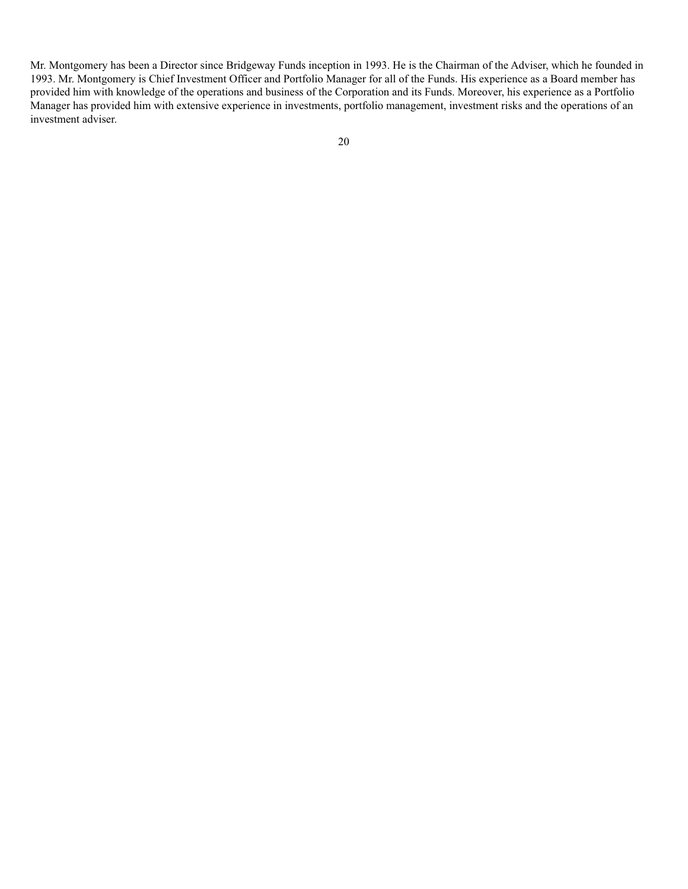Mr. Montgomery has been a Director since Bridgeway Funds inception in 1993. He is the Chairman of the Adviser, which he founded in 1993. Mr. Montgomery is Chief Investment Officer and Portfolio Manager for all of the Funds. His experience as a Board member has provided him with knowledge of the operations and business of the Corporation and its Funds. Moreover, his experience as a Portfolio Manager has provided him with extensive experience in investments, portfolio management, investment risks and the operations of an investment adviser.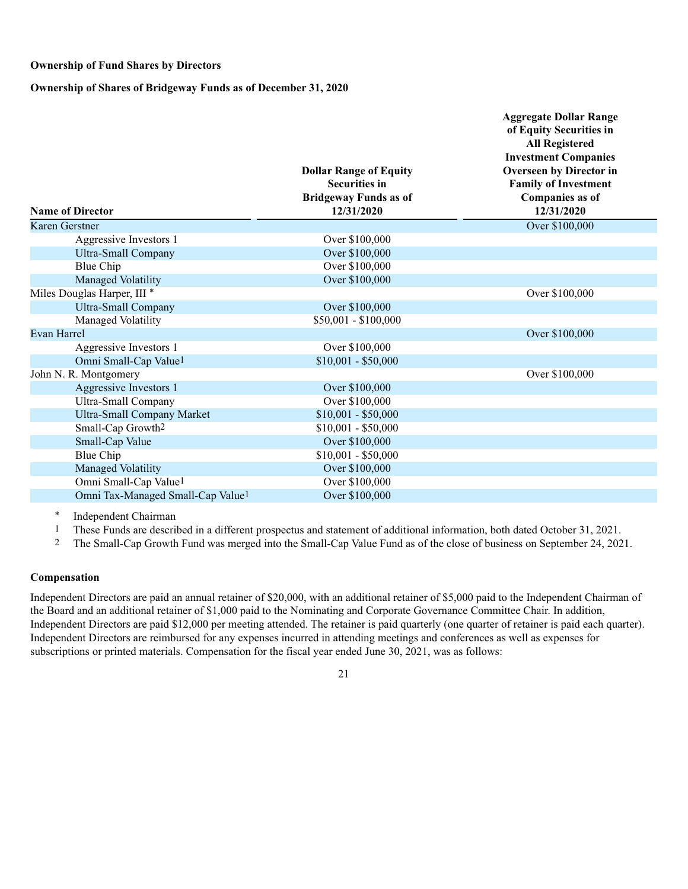#### **Ownership of Fund Shares by Directors**

**Ownership of Shares of Bridgeway Funds as of December 31, 2020**

| <b>Name of Director</b>                       | <b>Dollar Range of Equity</b><br><b>Securities in</b><br><b>Bridgeway Funds as of</b><br>12/31/2020 | <b>Aggregate Dollar Range</b><br>of Equity Securities in<br><b>All Registered</b><br><b>Investment Companies</b><br>Overseen by Director in<br><b>Family of Investment</b><br><b>Companies as of</b><br>12/31/2020 |
|-----------------------------------------------|-----------------------------------------------------------------------------------------------------|--------------------------------------------------------------------------------------------------------------------------------------------------------------------------------------------------------------------|
| Karen Gerstner                                |                                                                                                     | Over \$100,000                                                                                                                                                                                                     |
| Aggressive Investors 1                        | Over \$100,000                                                                                      |                                                                                                                                                                                                                    |
| <b>Ultra-Small Company</b>                    | Over \$100,000                                                                                      |                                                                                                                                                                                                                    |
| Blue Chip                                     | Over \$100,000                                                                                      |                                                                                                                                                                                                                    |
| Managed Volatility                            | Over \$100,000                                                                                      |                                                                                                                                                                                                                    |
| Miles Douglas Harper, III <sup>*</sup>        |                                                                                                     | Over \$100,000                                                                                                                                                                                                     |
| <b>Ultra-Small Company</b>                    | Over \$100,000                                                                                      |                                                                                                                                                                                                                    |
| Managed Volatility                            | $$50,001 - $100,000$                                                                                |                                                                                                                                                                                                                    |
| <b>Evan Harrel</b>                            |                                                                                                     | Over \$100,000                                                                                                                                                                                                     |
| Aggressive Investors 1                        | Over \$100,000                                                                                      |                                                                                                                                                                                                                    |
| Omni Small-Cap Value <sup>1</sup>             | $$10,001 - $50,000$                                                                                 |                                                                                                                                                                                                                    |
| John N. R. Montgomery                         |                                                                                                     | Over \$100,000                                                                                                                                                                                                     |
| Aggressive Investors 1                        | Over \$100,000                                                                                      |                                                                                                                                                                                                                    |
| Ultra-Small Company                           | Over \$100,000                                                                                      |                                                                                                                                                                                                                    |
| <b>Ultra-Small Company Market</b>             | $$10,001 - $50,000$                                                                                 |                                                                                                                                                                                                                    |
| Small-Cap Growth <sup>2</sup>                 | $$10,001 - $50,000$                                                                                 |                                                                                                                                                                                                                    |
| Small-Cap Value                               | Over \$100,000                                                                                      |                                                                                                                                                                                                                    |
| Blue Chip                                     | $$10,001 - $50,000$                                                                                 |                                                                                                                                                                                                                    |
| Managed Volatility                            | Over \$100,000                                                                                      |                                                                                                                                                                                                                    |
| Omni Small-Cap Value <sup>1</sup>             | Over \$100,000                                                                                      |                                                                                                                                                                                                                    |
| Omni Tax-Managed Small-Cap Value <sup>1</sup> | Over \$100,000                                                                                      |                                                                                                                                                                                                                    |

\* Independent Chairman

1 These Funds are described in a different prospectus and statement of additional information, both dated October 31, 2021.<br>2 The Small-Can Growth Fund was merged into the Small-Can Value Fund as of the close of business o

2 The Small-Cap Growth Fund was merged into the Small-Cap Value Fund as of the close of business on September 24, 2021.

### **Compensation**

Independent Directors are paid an annual retainer of \$20,000, with an additional retainer of \$5,000 paid to the Independent Chairman of the Board and an additional retainer of \$1,000 paid to the Nominating and Corporate Governance Committee Chair. In addition, Independent Directors are paid \$12,000 per meeting attended. The retainer is paid quarterly (one quarter of retainer is paid each quarter). Independent Directors are reimbursed for any expenses incurred in attending meetings and conferences as well as expenses for subscriptions or printed materials. Compensation for the fiscal year ended June 30, 2021, was as follows: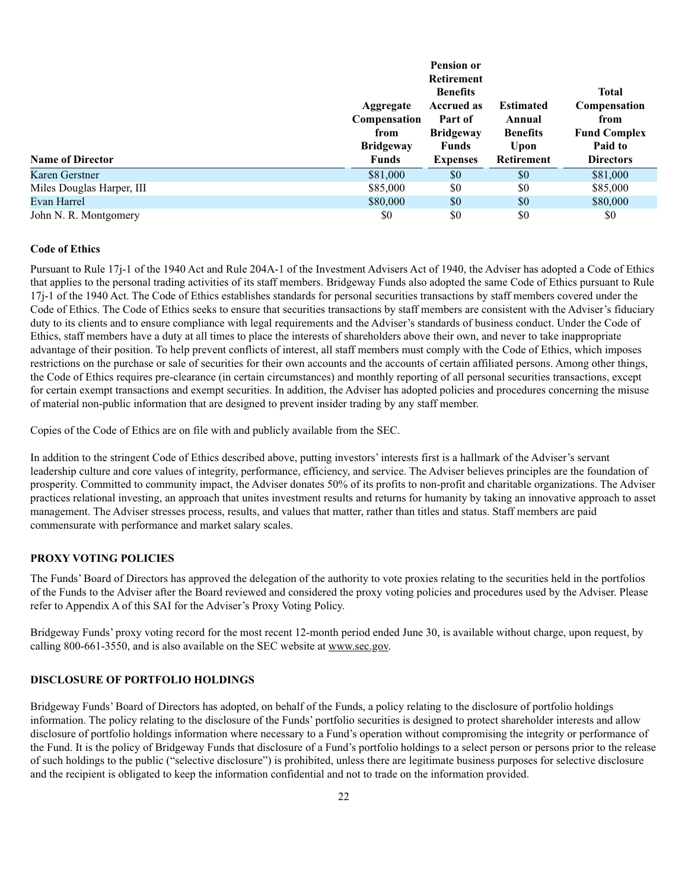|                           | Aggregate                                                | <b>Pension or</b><br><b>Retirement</b><br><b>Benefits</b><br><b>Accrued as</b> | <b>Estimated</b>                                       | <b>Total</b><br>Compensation                               |
|---------------------------|----------------------------------------------------------|--------------------------------------------------------------------------------|--------------------------------------------------------|------------------------------------------------------------|
| <b>Name of Director</b>   | Compensation<br>from<br><b>Bridgeway</b><br><b>Funds</b> | Part of<br><b>Bridgeway</b><br><b>Funds</b><br><b>Expenses</b>                 | Annual<br><b>Benefits</b><br>Upon<br><b>Retirement</b> | from<br><b>Fund Complex</b><br>Paid to<br><b>Directors</b> |
| Karen Gerstner            | \$81,000                                                 | \$0                                                                            | \$0                                                    | \$81,000                                                   |
| Miles Douglas Harper, III | \$85,000                                                 | \$0                                                                            | \$0                                                    | \$85,000                                                   |
| Evan Harrel               | \$80,000                                                 | \$0                                                                            | \$0                                                    | \$80,000                                                   |
| John N. R. Montgomery     | \$0                                                      | \$0                                                                            | \$0                                                    | \$0                                                        |

#### **Code of Ethics**

Pursuant to Rule 17j-1 of the 1940 Act and Rule 204A-1 of the Investment Advisers Act of 1940, the Adviser has adopted a Code of Ethics that applies to the personal trading activities of its staff members. Bridgeway Funds also adopted the same Code of Ethics pursuant to Rule 17j-1 of the 1940 Act. The Code of Ethics establishes standards for personal securities transactions by staff members covered under the Code of Ethics. The Code of Ethics seeks to ensure that securities transactions by staff members are consistent with the Adviser's fiduciary duty to its clients and to ensure compliance with legal requirements and the Adviser's standards of business conduct. Under the Code of Ethics, staff members have a duty at all times to place the interests of shareholders above their own, and never to take inappropriate advantage of their position. To help prevent conflicts of interest, all staff members must comply with the Code of Ethics, which imposes restrictions on the purchase or sale of securities for their own accounts and the accounts of certain affiliated persons. Among other things, the Code of Ethics requires pre-clearance (in certain circumstances) and monthly reporting of all personal securities transactions, except for certain exempt transactions and exempt securities. In addition, the Adviser has adopted policies and procedures concerning the misuse of material non-public information that are designed to prevent insider trading by any staff member.

Copies of the Code of Ethics are on file with and publicly available from the SEC.

In addition to the stringent Code of Ethics described above, putting investors' interests first is a hallmark of the Adviser's servant leadership culture and core values of integrity, performance, efficiency, and service. The Adviser believes principles are the foundation of prosperity. Committed to community impact, the Adviser donates 50% of its profits to non-profit and charitable organizations. The Adviser practices relational investing, an approach that unites investment results and returns for humanity by taking an innovative approach to asset management. The Adviser stresses process, results, and values that matter, rather than titles and status. Staff members are paid commensurate with performance and market salary scales.

### **PROXY VOTING POLICIES**

The Funds' Board of Directors has approved the delegation of the authority to vote proxies relating to the securities held in the portfolios of the Funds to the Adviser after the Board reviewed and considered the proxy voting policies and procedures used by the Adviser. Please refer to Appendix A of this SAI for the Adviser's Proxy Voting Policy.

Bridgeway Funds' proxy voting record for the most recent 12-month period ended June 30, is available without charge, upon request, by calling 800-661-3550, and is also available on the SEC website at www.sec.gov.

#### **DISCLOSURE OF PORTFOLIO HOLDINGS**

Bridgeway Funds' Board of Directors has adopted, on behalf of the Funds, a policy relating to the disclosure of portfolio holdings information. The policy relating to the disclosure of the Funds' portfolio securities is designed to protect shareholder interests and allow disclosure of portfolio holdings information where necessary to a Fund's operation without compromising the integrity or performance of the Fund. It is the policy of Bridgeway Funds that disclosure of a Fund's portfolio holdings to a select person or persons prior to the release of such holdings to the public ("selective disclosure") is prohibited, unless there are legitimate business purposes for selective disclosure and the recipient is obligated to keep the information confidential and not to trade on the information provided.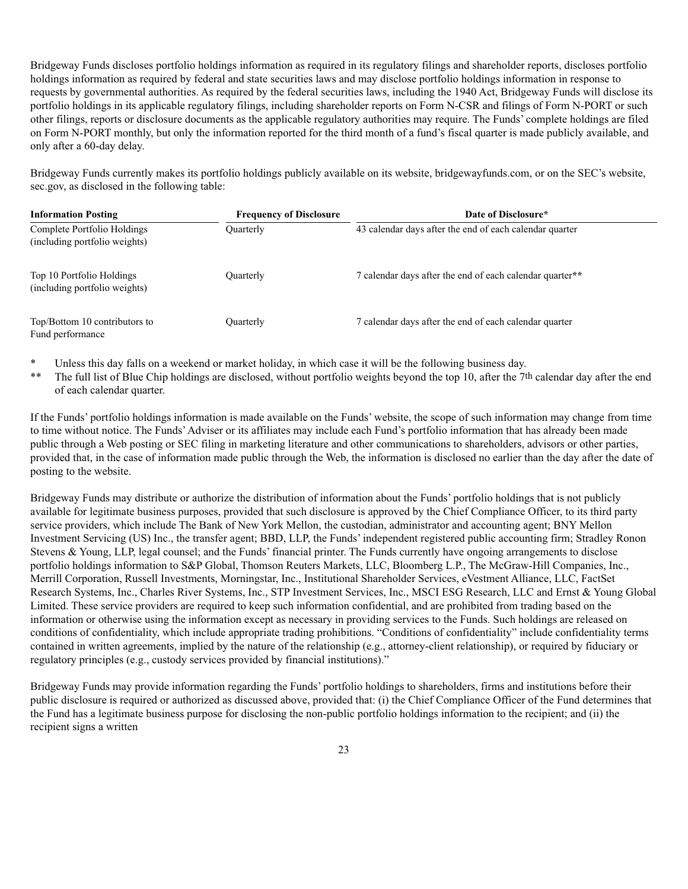Bridgeway Funds discloses portfolio holdings information as required in its regulatory filings and shareholder reports, discloses portfolio holdings information as required by federal and state securities laws and may disclose portfolio holdings information in response to requests by governmental authorities. As required by the federal securities laws, including the 1940 Act, Bridgeway Funds will disclose its portfolio holdings in its applicable regulatory filings, including shareholder reports on Form N-CSR and filings of Form N-PORT or such other filings, reports or disclosure documents as the applicable regulatory authorities may require. The Funds' complete holdings are filed on Form N-PORT monthly, but only the information reported for the third month of a fund's fiscal quarter is made publicly available, and only after a 60-day delay.

Bridgeway Funds currently makes its portfolio holdings publicly available on its website, bridgewayfunds.com, or on the SEC's website, sec.gov, as disclosed in the following table:

| <b>Information Posting</b>                                   | Date of Disclosure* |                                                          |
|--------------------------------------------------------------|---------------------|----------------------------------------------------------|
| Complete Portfolio Holdings<br>(including portfolio weights) | <b>Ouarterly</b>    | 43 calendar days after the end of each calendar quarter  |
| Top 10 Portfolio Holdings<br>(including portfolio weights)   | Quarterly           | 7 calendar days after the end of each calendar quarter** |
| Top/Bottom 10 contributors to<br>Fund performance            | Quarterly           | 7 calendar days after the end of each calendar quarter   |

- \* Unless this day falls on a weekend or market holiday, in which case it will be the following business day.<br>\*\* The full list of Blue Chin holdings are disclosed, without portfolio weights beyond the top 10, after the 7t
- The full list of Blue Chip holdings are disclosed, without portfolio weights beyond the top 10, after the 7<sup>th</sup> calendar day after the end of each calendar quarter.

If the Funds' portfolio holdings information is made available on the Funds' website, the scope of such information may change from time to time without notice. The Funds' Adviser or its affiliates may include each Fund's portfolio information that has already been made public through a Web posting or SEC filing in marketing literature and other communications to shareholders, advisors or other parties, provided that, in the case of information made public through the Web, the information is disclosed no earlier than the day after the date of posting to the website.

Bridgeway Funds may distribute or authorize the distribution of information about the Funds' portfolio holdings that is not publicly available for legitimate business purposes, provided that such disclosure is approved by the Chief Compliance Officer, to its third party service providers, which include The Bank of New York Mellon, the custodian, administrator and accounting agent; BNY Mellon Investment Servicing (US) Inc., the transfer agent; BBD, LLP, the Funds' independent registered public accounting firm; Stradley Ronon Stevens & Young, LLP, legal counsel; and the Funds' financial printer. The Funds currently have ongoing arrangements to disclose portfolio holdings information to S&P Global, Thomson Reuters Markets, LLC, Bloomberg L.P., The McGraw-Hill Companies, Inc., Merrill Corporation, Russell Investments, Morningstar, Inc., Institutional Shareholder Services, eVestment Alliance, LLC, FactSet Research Systems, Inc., Charles River Systems, Inc., STP Investment Services, Inc., MSCI ESG Research, LLC and Ernst & Young Global Limited. These service providers are required to keep such information confidential, and are prohibited from trading based on the information or otherwise using the information except as necessary in providing services to the Funds. Such holdings are released on conditions of confidentiality, which include appropriate trading prohibitions. "Conditions of confidentiality" include confidentiality terms contained in written agreements, implied by the nature of the relationship (e.g., attorney-client relationship), or required by fiduciary or regulatory principles (e.g., custody services provided by financial institutions)."

Bridgeway Funds may provide information regarding the Funds' portfolio holdings to shareholders, firms and institutions before their public disclosure is required or authorized as discussed above, provided that: (i) the Chief Compliance Officer of the Fund determines that the Fund has a legitimate business purpose for disclosing the non-public portfolio holdings information to the recipient; and (ii) the recipient signs a written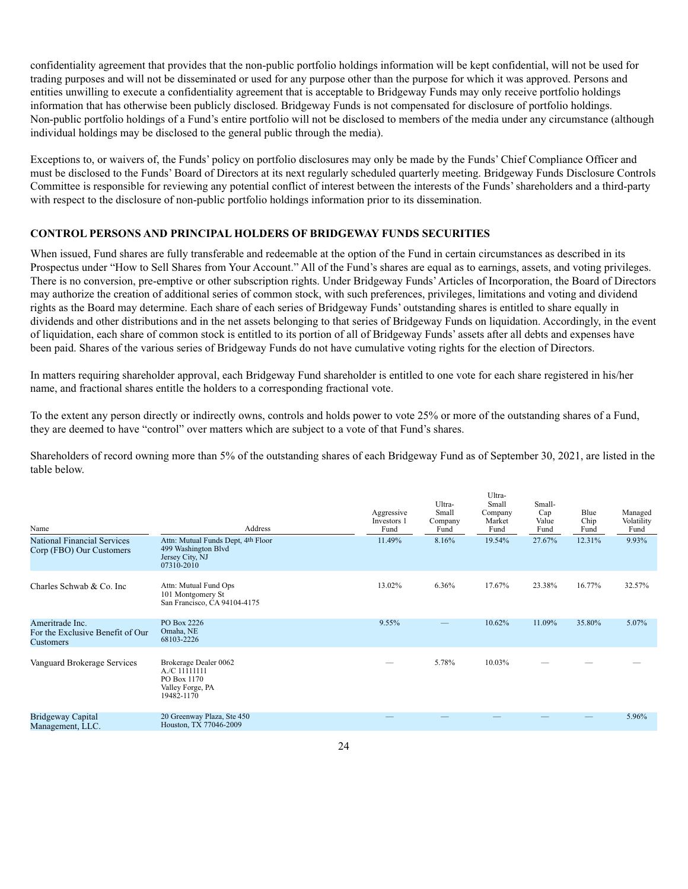confidentiality agreement that provides that the non-public portfolio holdings information will be kept confidential, will not be used for trading purposes and will not be disseminated or used for any purpose other than the purpose for which it was approved. Persons and entities unwilling to execute a confidentiality agreement that is acceptable to Bridgeway Funds may only receive portfolio holdings information that has otherwise been publicly disclosed. Bridgeway Funds is not compensated for disclosure of portfolio holdings. Non-public portfolio holdings of a Fund's entire portfolio will not be disclosed to members of the media under any circumstance (although individual holdings may be disclosed to the general public through the media).

Exceptions to, or waivers of, the Funds' policy on portfolio disclosures may only be made by the Funds' Chief Compliance Officer and must be disclosed to the Funds' Board of Directors at its next regularly scheduled quarterly meeting. Bridgeway Funds Disclosure Controls Committee is responsible for reviewing any potential conflict of interest between the interests of the Funds' shareholders and a third-party with respect to the disclosure of non-public portfolio holdings information prior to its dissemination.

### **CONTROL PERSONS AND PRINCIPAL HOLDERS OF BRIDGEWAY FUNDS SECURITIES**

When issued, Fund shares are fully transferable and redeemable at the option of the Fund in certain circumstances as described in its Prospectus under "How to Sell Shares from Your Account." All of the Fund's shares are equal as to earnings, assets, and voting privileges. There is no conversion, pre-emptive or other subscription rights. Under Bridgeway Funds' Articles of Incorporation, the Board of Directors may authorize the creation of additional series of common stock, with such preferences, privileges, limitations and voting and dividend rights as the Board may determine. Each share of each series of Bridgeway Funds' outstanding shares is entitled to share equally in dividends and other distributions and in the net assets belonging to that series of Bridgeway Funds on liquidation. Accordingly, in the event of liquidation, each share of common stock is entitled to its portion of all of Bridgeway Funds' assets after all debts and expenses have been paid. Shares of the various series of Bridgeway Funds do not have cumulative voting rights for the election of Directors.

In matters requiring shareholder approval, each Bridgeway Fund shareholder is entitled to one vote for each share registered in his/her name, and fractional shares entitle the holders to a corresponding fractional vote.

To the extent any person directly or indirectly owns, controls and holds power to vote 25% or more of the outstanding shares of a Fund, they are deemed to have "control" over matters which are subject to a vote of that Fund's shares.

Shareholders of record owning more than 5% of the outstanding shares of each Bridgeway Fund as of September 30, 2021, are listed in the table below.

| Name                                                             | Address                                                                                    | Aggressive<br>Investors 1<br>Fund | Ultra-<br>Small<br>Company<br>Fund | Ultra-<br>Small<br>Company<br>Market<br>Fund | Small-<br>Cap<br>Value<br>Fund | Blue<br>Chip<br>Fund | Managed<br>Volatility<br>Fund |
|------------------------------------------------------------------|--------------------------------------------------------------------------------------------|-----------------------------------|------------------------------------|----------------------------------------------|--------------------------------|----------------------|-------------------------------|
| National Financial Services<br>Corp (FBO) Our Customers          | Attn: Mutual Funds Dept, 4th Floor<br>499 Washington Blvd<br>Jersey City, NJ<br>07310-2010 | 11.49%                            | 8.16%                              | 19.54%                                       | 27.67%                         | 12.31%               | 9.93%                         |
| Charles Schwab & Co. Inc.                                        | Attn: Mutual Fund Ops<br>101 Montgomery St<br>San Francisco, CA 94104-4175                 | 13.02%                            | 6.36%                              | 17.67%                                       | 23.38%                         | 16.77%               | 32.57%                        |
| Ameritrade Inc.<br>For the Exclusive Benefit of Our<br>Customers | PO Box 2226<br>Omaha, NE<br>68103-2226                                                     | 9.55%                             |                                    | 10.62%                                       | 11.09%                         | 35.80%               | 5.07%                         |
| Vanguard Brokerage Services                                      | Brokerage Dealer 0062<br>A./C 11111111<br>PO Box 1170<br>Valley Forge, PA<br>19482-1170    |                                   | 5.78%                              | 10.03%                                       |                                |                      |                               |
| Bridgeway Capital<br>Management, LLC.                            | 20 Greenway Plaza, Ste 450<br>Houston, TX 77046-2009                                       |                                   |                                    |                                              |                                |                      | 5.96%                         |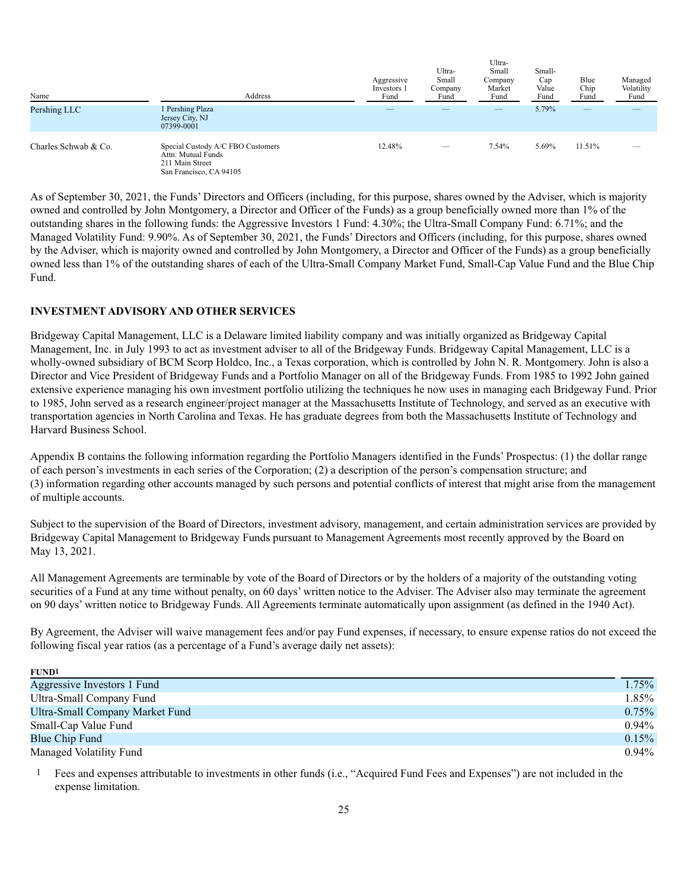| Name                 | Address                                                                                               | Aggressive<br>Investors 1<br>Fund | Ultra-<br>Small<br>Company<br>Fund | Ultra-<br>Small<br>Company<br>Market<br>Fund | Small-<br>Cap<br>Value<br>Fund | Blue<br>Chip<br>Fund     | Managed<br>Volatility<br>Fund |
|----------------------|-------------------------------------------------------------------------------------------------------|-----------------------------------|------------------------------------|----------------------------------------------|--------------------------------|--------------------------|-------------------------------|
| Pershing LLC         | 1 Pershing Plaza<br>Jersey City, NJ<br>07399-0001                                                     |                                   | __                                 |                                              | 5.79%                          | $\overline{\phantom{m}}$ |                               |
| Charles Schwab & Co. | Special Custody A/C FBO Customers<br>Attn: Mutual Funds<br>211 Main Street<br>San Francisco, CA 94105 | 12.48%                            | $\overline{\phantom{m}}$           | 7.54%                                        | 5.69%                          | 11.51%                   |                               |

As of September 30, 2021, the Funds' Directors and Officers (including, for this purpose, shares owned by the Adviser, which is majority owned and controlled by John Montgomery, a Director and Officer of the Funds) as a group beneficially owned more than 1% of the outstanding shares in the following funds: the Aggressive Investors 1 Fund: 4.30%; the Ultra-Small Company Fund: 6.71%; and the Managed Volatility Fund: 9.90%. As of September 30, 2021, the Funds' Directors and Officers (including, for this purpose, shares owned by the Adviser, which is majority owned and controlled by John Montgomery, a Director and Officer of the Funds) as a group beneficially owned less than 1% of the outstanding shares of each of the Ultra-Small Company Market Fund, Small-Cap Value Fund and the Blue Chip Fund.

### **INVESTMENT ADVISORY AND OTHER SERVICES**

Bridgeway Capital Management, LLC is a Delaware limited liability company and was initially organized as Bridgeway Capital Management, Inc. in July 1993 to act as investment adviser to all of the Bridgeway Funds. Bridgeway Capital Management, LLC is a wholly-owned subsidiary of BCM Scorp Holdco, Inc., a Texas corporation, which is controlled by John N. R. Montgomery. John is also a Director and Vice President of Bridgeway Funds and a Portfolio Manager on all of the Bridgeway Funds. From 1985 to 1992 John gained extensive experience managing his own investment portfolio utilizing the techniques he now uses in managing each Bridgeway Fund. Prior to 1985, John served as a research engineer/project manager at the Massachusetts Institute of Technology, and served as an executive with transportation agencies in North Carolina and Texas. He has graduate degrees from both the Massachusetts Institute of Technology and Harvard Business School.

Appendix B contains the following information regarding the Portfolio Managers identified in the Funds' Prospectus: (1) the dollar range of each person's investments in each series of the Corporation; (2) a description of the person's compensation structure; and (3) information regarding other accounts managed by such persons and potential conflicts of interest that might arise from the management of multiple accounts.

Subject to the supervision of the Board of Directors, investment advisory, management, and certain administration services are provided by Bridgeway Capital Management to Bridgeway Funds pursuant to Management Agreements most recently approved by the Board on May 13, 2021.

All Management Agreements are terminable by vote of the Board of Directors or by the holders of a majority of the outstanding voting securities of a Fund at any time without penalty, on 60 days' written notice to the Adviser. The Adviser also may terminate the agreement on 90 days' written notice to Bridgeway Funds. All Agreements terminate automatically upon assignment (as defined in the 1940 Act).

By Agreement, the Adviser will waive management fees and/or pay Fund expenses, if necessary, to ensure expense ratios do not exceed the following fiscal year ratios (as a percentage of a Fund's average daily net assets):

| <b>FUND1</b>                    |          |
|---------------------------------|----------|
| Aggressive Investors 1 Fund     | $1.75\%$ |
| Ultra-Small Company Fund        | $1.85\%$ |
| Ultra-Small Company Market Fund | $0.75\%$ |
| Small-Cap Value Fund            | $0.94\%$ |
| Blue Chip Fund                  | $0.15\%$ |
| Managed Volatility Fund         | $0.94\%$ |

1 Fees and expenses attributable to investments in other funds (i.e., "Acquired Fund Fees and Expenses") are not included in the expense limitation.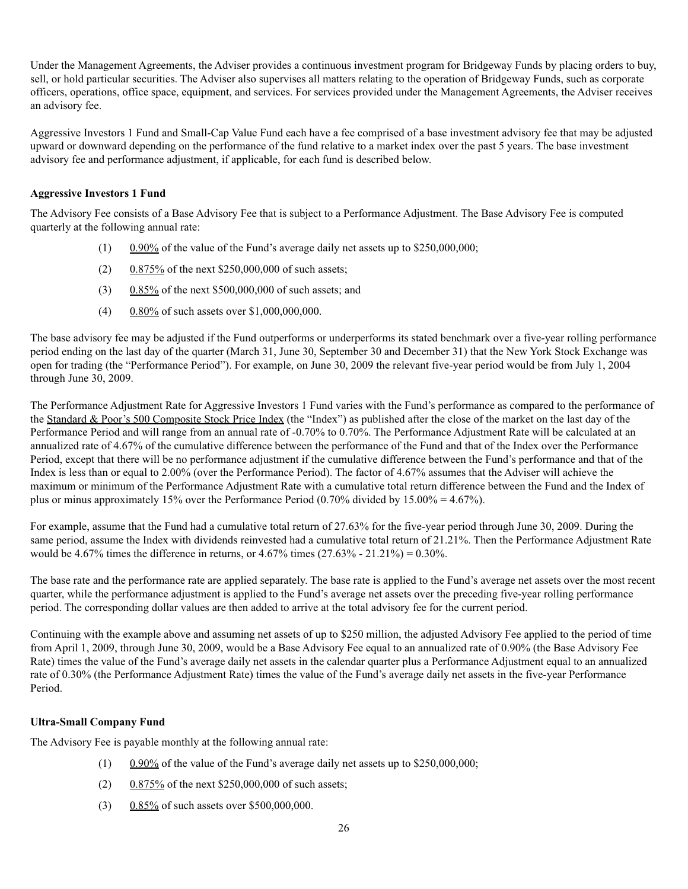Under the Management Agreements, the Adviser provides a continuous investment program for Bridgeway Funds by placing orders to buy, sell, or hold particular securities. The Adviser also supervises all matters relating to the operation of Bridgeway Funds, such as corporate officers, operations, office space, equipment, and services. For services provided under the Management Agreements, the Adviser receives an advisory fee.

Aggressive Investors 1 Fund and Small-Cap Value Fund each have a fee comprised of a base investment advisory fee that may be adjusted upward or downward depending on the performance of the fund relative to a market index over the past 5 years. The base investment advisory fee and performance adjustment, if applicable, for each fund is described below.

# **Aggressive Investors 1 Fund**

The Advisory Fee consists of a Base Advisory Fee that is subject to a Performance Adjustment. The Base Advisory Fee is computed quarterly at the following annual rate:

- (1) 0.90% of the value of the Fund's average daily net assets up to \$250,000,000;
- (2) 0.875% of the next \$250,000,000 of such assets;
- (3) 0.85% of the next \$500,000,000 of such assets; and
- (4) 0.80% of such assets over \$1,000,000,000.

The base advisory fee may be adjusted if the Fund outperforms or underperforms its stated benchmark over a five-year rolling performance period ending on the last day of the quarter (March 31, June 30, September 30 and December 31) that the New York Stock Exchange was open for trading (the "Performance Period"). For example, on June 30, 2009 the relevant five-year period would be from July 1, 2004 through June 30, 2009.

The Performance Adjustment Rate for Aggressive Investors 1 Fund varies with the Fund's performance as compared to the performance of the Standard & Poor's 500 Composite Stock Price Index (the "Index") as published after the close of the market on the last day of the Performance Period and will range from an annual rate of -0.70% to 0.70%. The Performance Adjustment Rate will be calculated at an annualized rate of 4.67% of the cumulative difference between the performance of the Fund and that of the Index over the Performance Period, except that there will be no performance adjustment if the cumulative difference between the Fund's performance and that of the Index is less than or equal to 2.00% (over the Performance Period). The factor of 4.67% assumes that the Adviser will achieve the maximum or minimum of the Performance Adjustment Rate with a cumulative total return difference between the Fund and the Index of plus or minus approximately 15% over the Performance Period (0.70% divided by 15.00% = 4.67%).

For example, assume that the Fund had a cumulative total return of 27.63% for the five-year period through June 30, 2009. During the same period, assume the Index with dividends reinvested had a cumulative total return of 21.21%. Then the Performance Adjustment Rate would be 4.67% times the difference in returns, or  $4.67\%$  times  $(27.63\% - 21.21\%) = 0.30\%$ .

The base rate and the performance rate are applied separately. The base rate is applied to the Fund's average net assets over the most recent quarter, while the performance adjustment is applied to the Fund's average net assets over the preceding five-year rolling performance period. The corresponding dollar values are then added to arrive at the total advisory fee for the current period.

Continuing with the example above and assuming net assets of up to \$250 million, the adjusted Advisory Fee applied to the period of time from April 1, 2009, through June 30, 2009, would be a Base Advisory Fee equal to an annualized rate of 0.90% (the Base Advisory Fee Rate) times the value of the Fund's average daily net assets in the calendar quarter plus a Performance Adjustment equal to an annualized rate of 0.30% (the Performance Adjustment Rate) times the value of the Fund's average daily net assets in the five-year Performance Period.

### **Ultra-Small Company Fund**

The Advisory Fee is payable monthly at the following annual rate:

- (1)  $0.90\%$  of the value of the Fund's average daily net assets up to \$250,000,000;
- (2)  $0.875\%$  of the next \$250,000,000 of such assets;
- (3) 0.85% of such assets over \$500,000,000.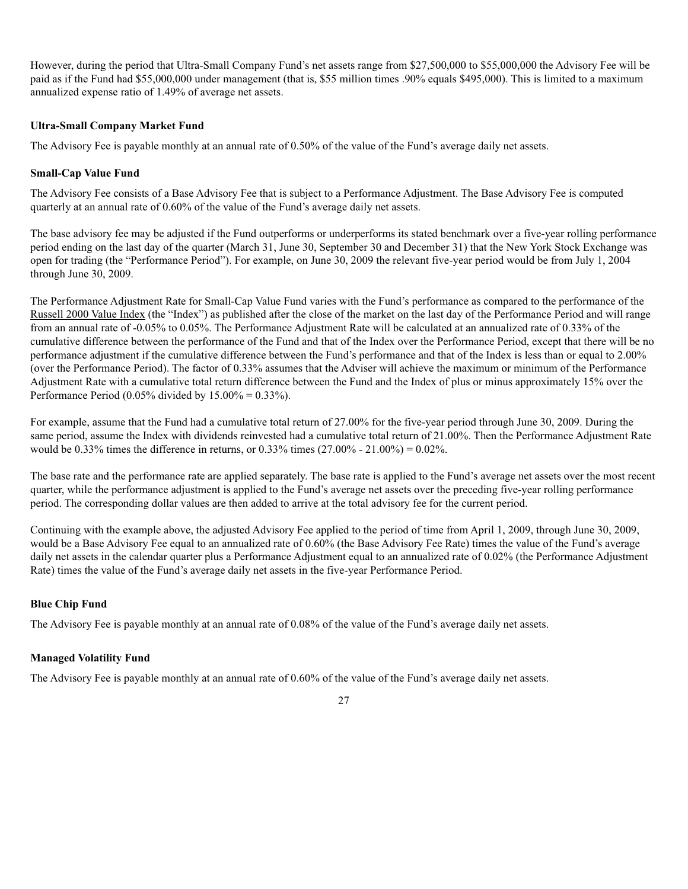However, during the period that Ultra-Small Company Fund's net assets range from \$27,500,000 to \$55,000,000 the Advisory Fee will be paid as if the Fund had \$55,000,000 under management (that is, \$55 million times .90% equals \$495,000). This is limited to a maximum annualized expense ratio of 1.49% of average net assets.

## **Ultra-Small Company Market Fund**

The Advisory Fee is payable monthly at an annual rate of 0.50% of the value of the Fund's average daily net assets.

# **Small-Cap Value Fund**

The Advisory Fee consists of a Base Advisory Fee that is subject to a Performance Adjustment. The Base Advisory Fee is computed quarterly at an annual rate of 0.60% of the value of the Fund's average daily net assets.

The base advisory fee may be adjusted if the Fund outperforms or underperforms its stated benchmark over a five-year rolling performance period ending on the last day of the quarter (March 31, June 30, September 30 and December 31) that the New York Stock Exchange was open for trading (the "Performance Period"). For example, on June 30, 2009 the relevant five-year period would be from July 1, 2004 through June 30, 2009.

The Performance Adjustment Rate for Small-Cap Value Fund varies with the Fund's performance as compared to the performance of the Russell 2000 Value Index (the "Index") as published after the close of the market on the last day of the Performance Period and will range from an annual rate of -0.05% to 0.05%. The Performance Adjustment Rate will be calculated at an annualized rate of 0.33% of the cumulative difference between the performance of the Fund and that of the Index over the Performance Period, except that there will be no performance adjustment if the cumulative difference between the Fund's performance and that of the Index is less than or equal to 2.00% (over the Performance Period). The factor of 0.33% assumes that the Adviser will achieve the maximum or minimum of the Performance Adjustment Rate with a cumulative total return difference between the Fund and the Index of plus or minus approximately 15% over the Performance Period (0.05% divided by  $15.00\% = 0.33\%$ ).

For example, assume that the Fund had a cumulative total return of 27.00% for the five-year period through June 30, 2009. During the same period, assume the Index with dividends reinvested had a cumulative total return of 21.00%. Then the Performance Adjustment Rate would be 0.33% times the difference in returns, or 0.33% times  $(27.00\% - 21.00\%) = 0.02\%$ .

The base rate and the performance rate are applied separately. The base rate is applied to the Fund's average net assets over the most recent quarter, while the performance adjustment is applied to the Fund's average net assets over the preceding five-year rolling performance period. The corresponding dollar values are then added to arrive at the total advisory fee for the current period.

Continuing with the example above, the adjusted Advisory Fee applied to the period of time from April 1, 2009, through June 30, 2009, would be a Base Advisory Fee equal to an annualized rate of 0.60% (the Base Advisory Fee Rate) times the value of the Fund's average daily net assets in the calendar quarter plus a Performance Adjustment equal to an annualized rate of 0.02% (the Performance Adjustment Rate) times the value of the Fund's average daily net assets in the five-year Performance Period.

# **Blue Chip Fund**

The Advisory Fee is payable monthly at an annual rate of 0.08% of the value of the Fund's average daily net assets.

# **Managed Volatility Fund**

The Advisory Fee is payable monthly at an annual rate of 0.60% of the value of the Fund's average daily net assets.

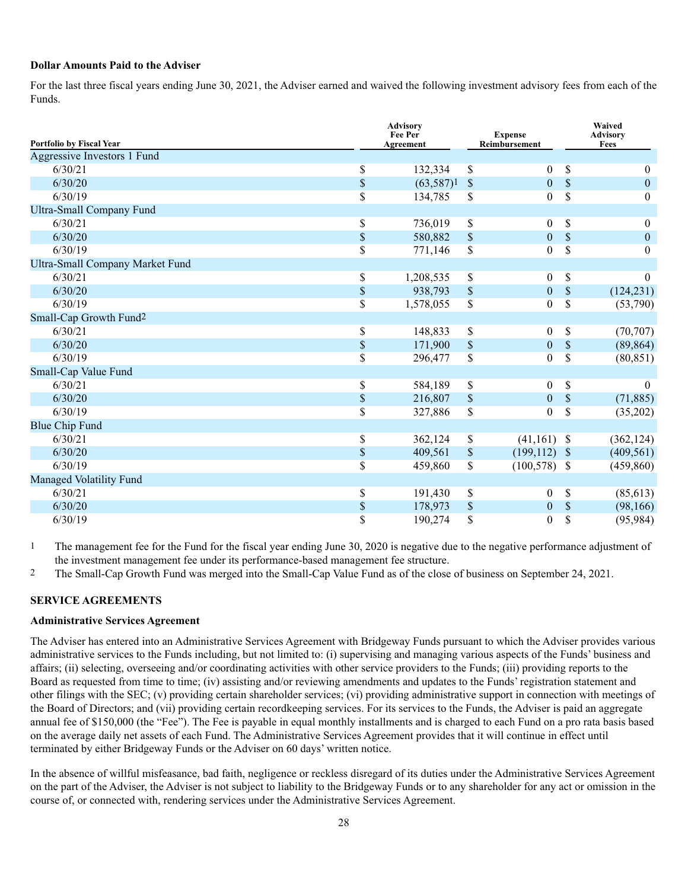### **Dollar Amounts Paid to the Adviser**

For the last three fiscal years ending June 30, 2021, the Adviser earned and waived the following investment advisory fees from each of the Funds.

|                                        | <b>Advisory</b><br>Fee Per<br>Agreement |           | <b>Expense</b><br>Reimbursement |                  | Waived<br><b>Advisory</b><br>Fees |                  |
|----------------------------------------|-----------------------------------------|-----------|---------------------------------|------------------|-----------------------------------|------------------|
| Portfolio by Fiscal Year               |                                         |           |                                 |                  |                                   |                  |
| Aggressive Investors 1 Fund            |                                         |           |                                 |                  |                                   |                  |
| 6/30/21                                | \$                                      | 132,334   | \$                              | $\overline{0}$   | \$                                | $\theta$         |
| 6/30/20                                | $\mathbb S$                             | (63,587)1 | $\mathbb{S}$                    | $\overline{0}$   | $\mathbb{S}$                      | $\boldsymbol{0}$ |
| 6/30/19                                | \$                                      | 134,785   | \$                              | $\overline{0}$   | \$                                | $\mathbf{0}$     |
| <b>Ultra-Small Company Fund</b>        |                                         |           |                                 |                  |                                   |                  |
| 6/30/21                                | \$                                      | 736,019   | $\mathbb S$                     | $\boldsymbol{0}$ | <b>S</b>                          | $\mathbf{0}$     |
| 6/30/20                                | $\mathbb{S}$                            | 580,882   | $\mathbb{S}$                    | $\boldsymbol{0}$ | $\mathcal{S}$                     | $\mathbf{0}$     |
| 6/30/19                                | \$                                      | 771,146   | \$                              | $\boldsymbol{0}$ | \$                                | $\boldsymbol{0}$ |
| <b>Ultra-Small Company Market Fund</b> |                                         |           |                                 |                  |                                   |                  |
| 6/30/21                                | $\$$                                    | 1,208,535 | $\mathbb S$                     | $\overline{0}$   | $\mathbb{S}$                      | $\theta$         |
| 6/30/20                                | $\mathbb{S}$                            | 938,793   | $\$$                            | $\boldsymbol{0}$ | $\mathbb{S}$                      | (124, 231)       |
| 6/30/19                                | \$                                      | 1,578,055 | \$                              | $\boldsymbol{0}$ | \$                                | (53,790)         |
| Small-Cap Growth Fund <sup>2</sup>     |                                         |           |                                 |                  |                                   |                  |
| 6/30/21                                | \$                                      | 148,833   | $\$$                            | $\boldsymbol{0}$ | $\mathbb{S}$                      | (70, 707)        |
| 6/30/20                                | $\$$                                    | 171,900   | \$                              | $\boldsymbol{0}$ | \$                                | (89, 864)        |
| 6/30/19                                | $\mathbb{S}$                            | 296,477   | \$                              | $\boldsymbol{0}$ | \$                                | (80, 851)        |
| Small-Cap Value Fund                   |                                         |           |                                 |                  |                                   |                  |
| 6/30/21                                | \$                                      | 584,189   | \$                              | $\overline{0}$   | $\mathbb{S}$                      | $\theta$         |
| 6/30/20                                | $\mathbb{S}$                            | 216,807   | $\$$                            | $\overline{0}$   | $\boldsymbol{\mathsf{S}}$         | (71, 885)        |
| 6/30/19                                | \$                                      | 327,886   | \$                              | $\boldsymbol{0}$ | \$                                | (35,202)         |
| <b>Blue Chip Fund</b>                  |                                         |           |                                 |                  |                                   |                  |
| 6/30/21                                | \$                                      | 362,124   | $\mathbb{S}$                    | $(41,161)$ \$    |                                   | (362, 124)       |
| 6/30/20                                | $\$$                                    | 409,561   | $\boldsymbol{\mathsf{S}}$       | $(199, 112)$ \$  |                                   | (409, 561)       |
| 6/30/19                                | \$                                      | 459,860   | \$                              | $(100,578)$ \$   |                                   | (459, 860)       |
| Managed Volatility Fund                |                                         |           |                                 |                  |                                   |                  |
| 6/30/21                                | \$                                      | 191,430   | $\mathbb S$                     | $\boldsymbol{0}$ | \$                                | (85, 613)        |
| 6/30/20                                | $\mathbb S$                             | 178,973   | $\$$                            | $\boldsymbol{0}$ | $\mathcal{S}$                     | (98, 166)        |
| 6/30/19                                | \$                                      | 190,274   | \$                              | $\boldsymbol{0}$ | $\mathbb S$                       | (95, 984)        |

<sup>1</sup> The management fee for the Fund for the fiscal year ending June 30, 2020 is negative due to the negative performance adjustment of the investment management fee under its performance-based management fee structure.

2 The Small-Cap Growth Fund was merged into the Small-Cap Value Fund as of the close of business on September 24, 2021.

### **SERVICE AGREEMENTS**

#### **Administrative Services Agreement**

The Adviser has entered into an Administrative Services Agreement with Bridgeway Funds pursuant to which the Adviser provides various administrative services to the Funds including, but not limited to: (i) supervising and managing various aspects of the Funds' business and affairs; (ii) selecting, overseeing and/or coordinating activities with other service providers to the Funds; (iii) providing reports to the Board as requested from time to time; (iv) assisting and/or reviewing amendments and updates to the Funds' registration statement and other filings with the SEC; (v) providing certain shareholder services; (vi) providing administrative support in connection with meetings of the Board of Directors; and (vii) providing certain recordkeeping services. For its services to the Funds, the Adviser is paid an aggregate annual fee of \$150,000 (the "Fee"). The Fee is payable in equal monthly installments and is charged to each Fund on a pro rata basis based on the average daily net assets of each Fund. The Administrative Services Agreement provides that it will continue in effect until terminated by either Bridgeway Funds or the Adviser on 60 days' written notice.

In the absence of willful misfeasance, bad faith, negligence or reckless disregard of its duties under the Administrative Services Agreement on the part of the Adviser, the Adviser is not subject to liability to the Bridgeway Funds or to any shareholder for any act or omission in the course of, or connected with, rendering services under the Administrative Services Agreement.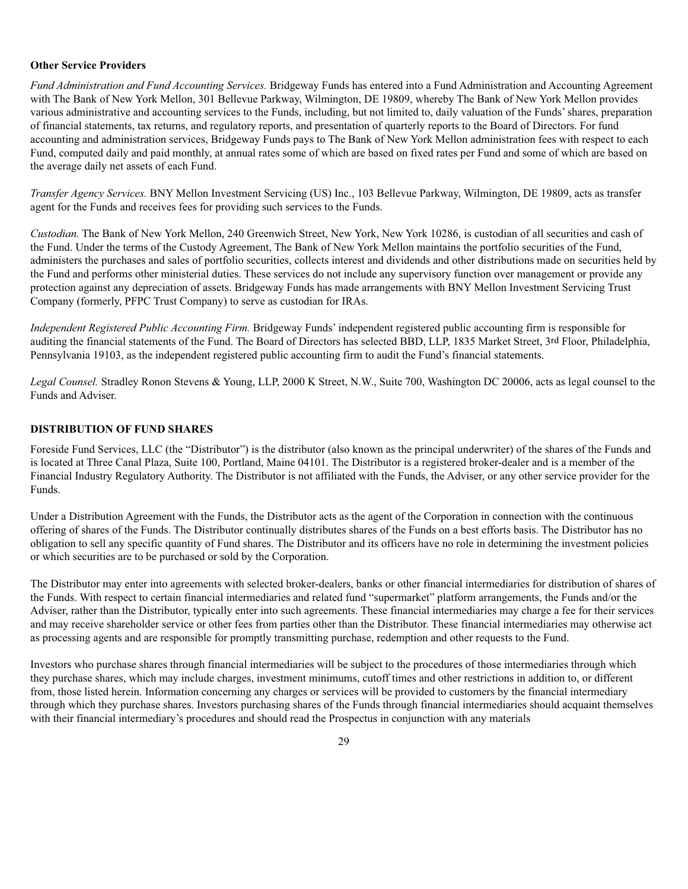### **Other Service Providers**

*Fund Administration and Fund Accounting Services.* Bridgeway Funds has entered into a Fund Administration and Accounting Agreement with The Bank of New York Mellon, 301 Bellevue Parkway, Wilmington, DE 19809, whereby The Bank of New York Mellon provides various administrative and accounting services to the Funds, including, but not limited to, daily valuation of the Funds' shares, preparation of financial statements, tax returns, and regulatory reports, and presentation of quarterly reports to the Board of Directors. For fund accounting and administration services, Bridgeway Funds pays to The Bank of New York Mellon administration fees with respect to each Fund, computed daily and paid monthly, at annual rates some of which are based on fixed rates per Fund and some of which are based on the average daily net assets of each Fund.

*Transfer Agency Services.* BNY Mellon Investment Servicing (US) Inc., 103 Bellevue Parkway, Wilmington, DE 19809, acts as transfer agent for the Funds and receives fees for providing such services to the Funds.

*Custodian.* The Bank of New York Mellon, 240 Greenwich Street, New York, New York 10286, is custodian of all securities and cash of the Fund. Under the terms of the Custody Agreement, The Bank of New York Mellon maintains the portfolio securities of the Fund, administers the purchases and sales of portfolio securities, collects interest and dividends and other distributions made on securities held by the Fund and performs other ministerial duties. These services do not include any supervisory function over management or provide any protection against any depreciation of assets. Bridgeway Funds has made arrangements with BNY Mellon Investment Servicing Trust Company (formerly, PFPC Trust Company) to serve as custodian for IRAs.

*Independent Registered Public Accounting Firm.* Bridgeway Funds' independent registered public accounting firm is responsible for auditing the financial statements of the Fund. The Board of Directors has selected BBD, LLP, 1835 Market Street, 3rd Floor, Philadelphia, Pennsylvania 19103, as the independent registered public accounting firm to audit the Fund's financial statements.

*Legal Counsel.* Stradley Ronon Stevens & Young, LLP, 2000 K Street, N.W., Suite 700, Washington DC 20006, acts as legal counsel to the Funds and Adviser.

### **DISTRIBUTION OF FUND SHARES**

Foreside Fund Services, LLC (the "Distributor") is the distributor (also known as the principal underwriter) of the shares of the Funds and is located at Three Canal Plaza, Suite 100, Portland, Maine 04101. The Distributor is a registered broker-dealer and is a member of the Financial Industry Regulatory Authority. The Distributor is not affiliated with the Funds, the Adviser, or any other service provider for the Funds.

Under a Distribution Agreement with the Funds, the Distributor acts as the agent of the Corporation in connection with the continuous offering of shares of the Funds. The Distributor continually distributes shares of the Funds on a best efforts basis. The Distributor has no obligation to sell any specific quantity of Fund shares. The Distributor and its officers have no role in determining the investment policies or which securities are to be purchased or sold by the Corporation.

The Distributor may enter into agreements with selected broker-dealers, banks or other financial intermediaries for distribution of shares of the Funds. With respect to certain financial intermediaries and related fund "supermarket" platform arrangements, the Funds and/or the Adviser, rather than the Distributor, typically enter into such agreements. These financial intermediaries may charge a fee for their services and may receive shareholder service or other fees from parties other than the Distributor. These financial intermediaries may otherwise act as processing agents and are responsible for promptly transmitting purchase, redemption and other requests to the Fund.

Investors who purchase shares through financial intermediaries will be subject to the procedures of those intermediaries through which they purchase shares, which may include charges, investment minimums, cutoff times and other restrictions in addition to, or different from, those listed herein. Information concerning any charges or services will be provided to customers by the financial intermediary through which they purchase shares. Investors purchasing shares of the Funds through financial intermediaries should acquaint themselves with their financial intermediary's procedures and should read the Prospectus in conjunction with any materials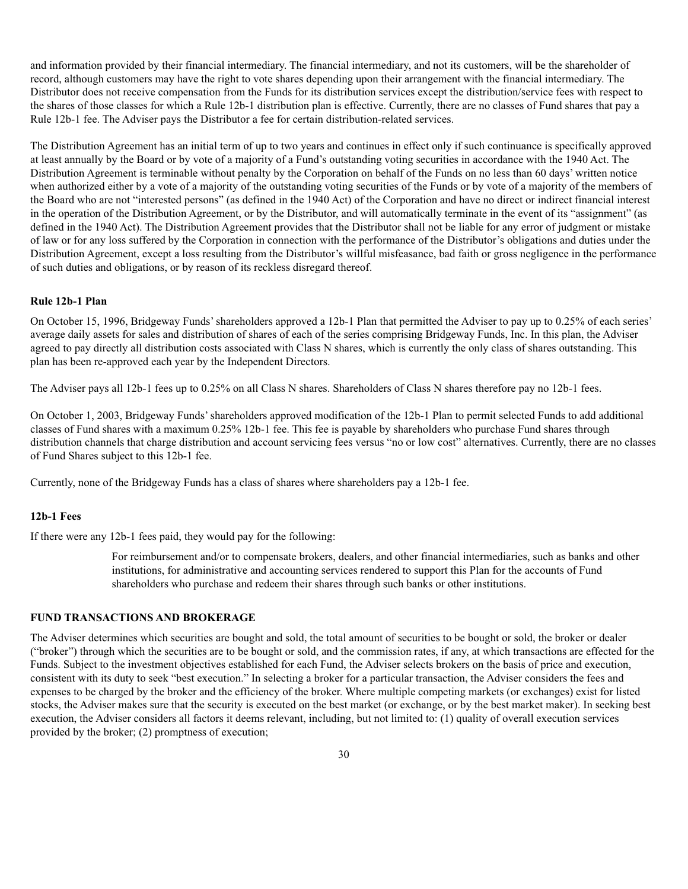and information provided by their financial intermediary. The financial intermediary, and not its customers, will be the shareholder of record, although customers may have the right to vote shares depending upon their arrangement with the financial intermediary. The Distributor does not receive compensation from the Funds for its distribution services except the distribution/service fees with respect to the shares of those classes for which a Rule 12b-1 distribution plan is effective. Currently, there are no classes of Fund shares that pay a Rule 12b-1 fee. The Adviser pays the Distributor a fee for certain distribution-related services.

The Distribution Agreement has an initial term of up to two years and continues in effect only if such continuance is specifically approved at least annually by the Board or by vote of a majority of a Fund's outstanding voting securities in accordance with the 1940 Act. The Distribution Agreement is terminable without penalty by the Corporation on behalf of the Funds on no less than 60 days' written notice when authorized either by a vote of a majority of the outstanding voting securities of the Funds or by vote of a majority of the members of the Board who are not "interested persons" (as defined in the 1940 Act) of the Corporation and have no direct or indirect financial interest in the operation of the Distribution Agreement, or by the Distributor, and will automatically terminate in the event of its "assignment" (as defined in the 1940 Act). The Distribution Agreement provides that the Distributor shall not be liable for any error of judgment or mistake of law or for any loss suffered by the Corporation in connection with the performance of the Distributor's obligations and duties under the Distribution Agreement, except a loss resulting from the Distributor's willful misfeasance, bad faith or gross negligence in the performance of such duties and obligations, or by reason of its reckless disregard thereof.

#### **Rule 12b-1 Plan**

On October 15, 1996, Bridgeway Funds' shareholders approved a 12b-1 Plan that permitted the Adviser to pay up to 0.25% of each series' average daily assets for sales and distribution of shares of each of the series comprising Bridgeway Funds, Inc. In this plan, the Adviser agreed to pay directly all distribution costs associated with Class N shares, which is currently the only class of shares outstanding. This plan has been re-approved each year by the Independent Directors.

The Adviser pays all 12b-1 fees up to 0.25% on all Class N shares. Shareholders of Class N shares therefore pay no 12b-1 fees.

On October 1, 2003, Bridgeway Funds' shareholders approved modification of the 12b-1 Plan to permit selected Funds to add additional classes of Fund shares with a maximum 0.25% 12b-1 fee. This fee is payable by shareholders who purchase Fund shares through distribution channels that charge distribution and account servicing fees versus "no or low cost" alternatives. Currently, there are no classes of Fund Shares subject to this 12b-1 fee.

Currently, none of the Bridgeway Funds has a class of shares where shareholders pay a 12b-1 fee.

#### **12b-1 Fees**

If there were any 12b-1 fees paid, they would pay for the following:

For reimbursement and/or to compensate brokers, dealers, and other financial intermediaries, such as banks and other institutions, for administrative and accounting services rendered to support this Plan for the accounts of Fund shareholders who purchase and redeem their shares through such banks or other institutions.

### **FUND TRANSACTIONS AND BROKERAGE**

The Adviser determines which securities are bought and sold, the total amount of securities to be bought or sold, the broker or dealer ("broker") through which the securities are to be bought or sold, and the commission rates, if any, at which transactions are effected for the Funds. Subject to the investment objectives established for each Fund, the Adviser selects brokers on the basis of price and execution, consistent with its duty to seek "best execution." In selecting a broker for a particular transaction, the Adviser considers the fees and expenses to be charged by the broker and the efficiency of the broker. Where multiple competing markets (or exchanges) exist for listed stocks, the Adviser makes sure that the security is executed on the best market (or exchange, or by the best market maker). In seeking best execution, the Adviser considers all factors it deems relevant, including, but not limited to: (1) quality of overall execution services provided by the broker; (2) promptness of execution;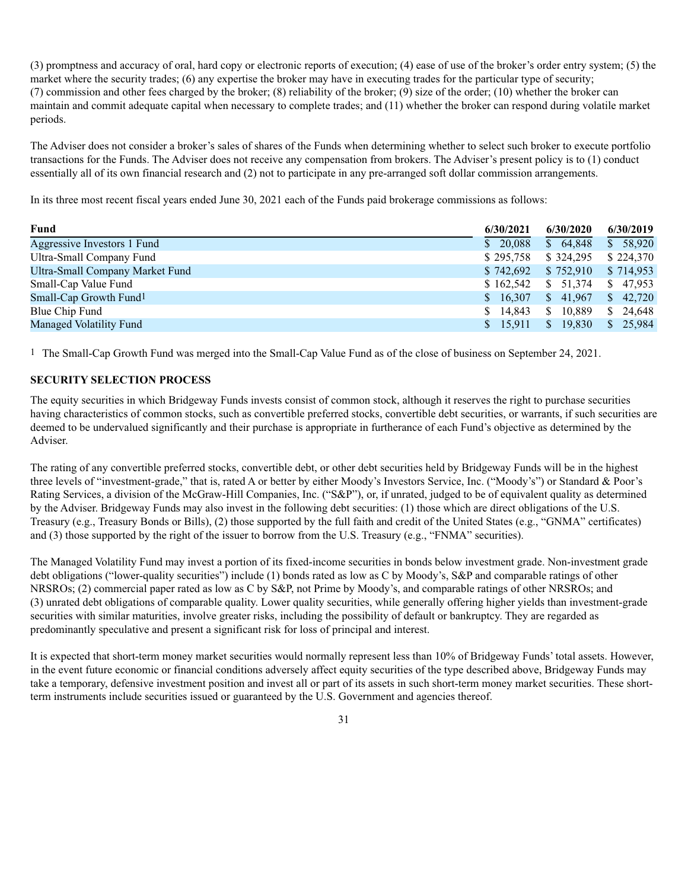(3) promptness and accuracy of oral, hard copy or electronic reports of execution; (4) ease of use of the broker's order entry system; (5) the market where the security trades; (6) any expertise the broker may have in executing trades for the particular type of security; (7) commission and other fees charged by the broker; (8) reliability of the broker; (9) size of the order; (10) whether the broker can maintain and commit adequate capital when necessary to complete trades; and (11) whether the broker can respond during volatile market periods.

The Adviser does not consider a broker's sales of shares of the Funds when determining whether to select such broker to execute portfolio transactions for the Funds. The Adviser does not receive any compensation from brokers. The Adviser's present policy is to (1) conduct essentially all of its own financial research and (2) not to participate in any pre-arranged soft dollar commission arrangements.

In its three most recent fiscal years ended June 30, 2021 each of the Funds paid brokerage commissions as follows:

| Fund                               | 6/30/2021              | 6/30/2020 | 6/30/2019            |
|------------------------------------|------------------------|-----------|----------------------|
| Aggressive Investors 1 Fund        | \$20,088               | \$64,848  | \$58,920             |
| Ultra-Small Company Fund           | \$295,758              | \$324,295 | \$224,370            |
| Ultra-Small Company Market Fund    | \$742,692              | \$752,910 | \$714,953            |
| Small-Cap Value Fund               | \$162,542              | \$51,374  | \$47,953             |
| Small-Cap Growth Fund <sup>1</sup> | \$16,307               | \$41,967  | $\frac{1}{2}$ 42.720 |
| Blue Chip Fund                     | 14.843<br><sup>S</sup> | \$10.889  | \$24,648             |
| <b>Managed Volatility Fund</b>     | \$15,911               | \$19.830  | \$25,984             |

1 The Small-Cap Growth Fund was merged into the Small-Cap Value Fund as of the close of business on September 24, 2021.

# **SECURITY SELECTION PROCESS**

The equity securities in which Bridgeway Funds invests consist of common stock, although it reserves the right to purchase securities having characteristics of common stocks, such as convertible preferred stocks, convertible debt securities, or warrants, if such securities are deemed to be undervalued significantly and their purchase is appropriate in furtherance of each Fund's objective as determined by the Adviser.

The rating of any convertible preferred stocks, convertible debt, or other debt securities held by Bridgeway Funds will be in the highest three levels of "investment-grade," that is, rated A or better by either Moody's Investors Service, Inc. ("Moody's") or Standard & Poor's Rating Services, a division of the McGraw-Hill Companies, Inc. ("S&P"), or, if unrated, judged to be of equivalent quality as determined by the Adviser. Bridgeway Funds may also invest in the following debt securities: (1) those which are direct obligations of the U.S. Treasury (e.g., Treasury Bonds or Bills), (2) those supported by the full faith and credit of the United States (e.g., "GNMA" certificates) and (3) those supported by the right of the issuer to borrow from the U.S. Treasury (e.g., "FNMA" securities).

The Managed Volatility Fund may invest a portion of its fixed-income securities in bonds below investment grade. Non-investment grade debt obligations ("lower-quality securities") include (1) bonds rated as low as C by Moody's, S&P and comparable ratings of other NRSROs; (2) commercial paper rated as low as C by S&P, not Prime by Moody's, and comparable ratings of other NRSROs; and (3) unrated debt obligations of comparable quality. Lower quality securities, while generally offering higher yields than investment-grade securities with similar maturities, involve greater risks, including the possibility of default or bankruptcy. They are regarded as predominantly speculative and present a significant risk for loss of principal and interest.

It is expected that short-term money market securities would normally represent less than 10% of Bridgeway Funds' total assets. However, in the event future economic or financial conditions adversely affect equity securities of the type described above, Bridgeway Funds may take a temporary, defensive investment position and invest all or part of its assets in such short-term money market securities. These shortterm instruments include securities issued or guaranteed by the U.S. Government and agencies thereof.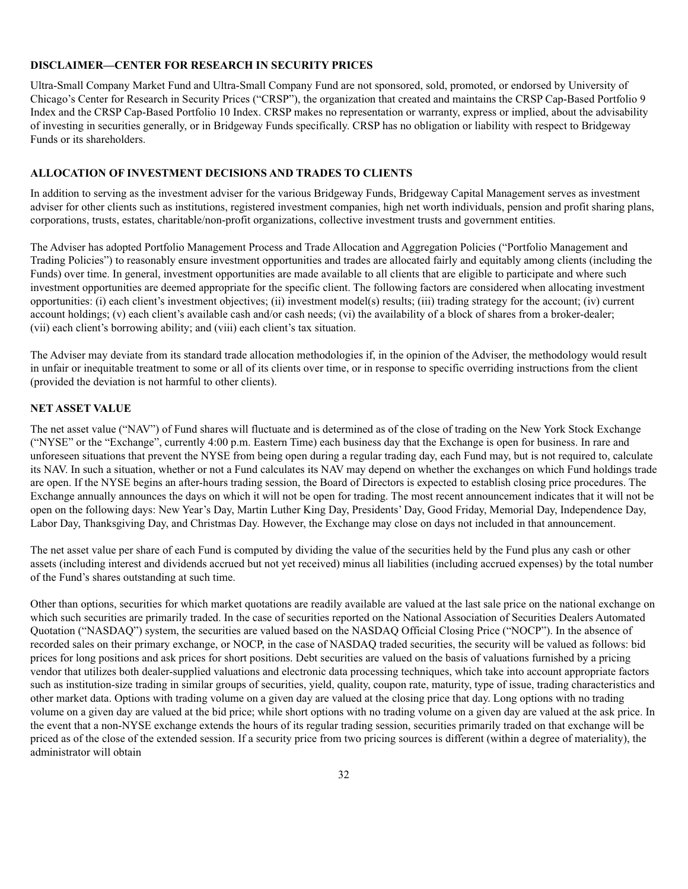#### **DISCLAIMER—CENTER FOR RESEARCH IN SECURITY PRICES**

Ultra-Small Company Market Fund and Ultra-Small Company Fund are not sponsored, sold, promoted, or endorsed by University of Chicago's Center for Research in Security Prices ("CRSP"), the organization that created and maintains the CRSP Cap-Based Portfolio 9 Index and the CRSP Cap-Based Portfolio 10 Index. CRSP makes no representation or warranty, express or implied, about the advisability of investing in securities generally, or in Bridgeway Funds specifically. CRSP has no obligation or liability with respect to Bridgeway Funds or its shareholders.

### **ALLOCATION OF INVESTMENT DECISIONS AND TRADES TO CLIENTS**

In addition to serving as the investment adviser for the various Bridgeway Funds, Bridgeway Capital Management serves as investment adviser for other clients such as institutions, registered investment companies, high net worth individuals, pension and profit sharing plans, corporations, trusts, estates, charitable/non-profit organizations, collective investment trusts and government entities.

The Adviser has adopted Portfolio Management Process and Trade Allocation and Aggregation Policies ("Portfolio Management and Trading Policies") to reasonably ensure investment opportunities and trades are allocated fairly and equitably among clients (including the Funds) over time. In general, investment opportunities are made available to all clients that are eligible to participate and where such investment opportunities are deemed appropriate for the specific client. The following factors are considered when allocating investment opportunities: (i) each client's investment objectives; (ii) investment model(s) results; (iii) trading strategy for the account; (iv) current account holdings; (v) each client's available cash and/or cash needs; (vi) the availability of a block of shares from a broker-dealer; (vii) each client's borrowing ability; and (viii) each client's tax situation.

The Adviser may deviate from its standard trade allocation methodologies if, in the opinion of the Adviser, the methodology would result in unfair or inequitable treatment to some or all of its clients over time, or in response to specific overriding instructions from the client (provided the deviation is not harmful to other clients).

#### **NET ASSET VALUE**

The net asset value ("NAV") of Fund shares will fluctuate and is determined as of the close of trading on the New York Stock Exchange ("NYSE" or the "Exchange", currently 4:00 p.m. Eastern Time) each business day that the Exchange is open for business. In rare and unforeseen situations that prevent the NYSE from being open during a regular trading day, each Fund may, but is not required to, calculate its NAV. In such a situation, whether or not a Fund calculates its NAV may depend on whether the exchanges on which Fund holdings trade are open. If the NYSE begins an after-hours trading session, the Board of Directors is expected to establish closing price procedures. The Exchange annually announces the days on which it will not be open for trading. The most recent announcement indicates that it will not be open on the following days: New Year's Day, Martin Luther King Day, Presidents' Day, Good Friday, Memorial Day, Independence Day, Labor Day, Thanksgiving Day, and Christmas Day. However, the Exchange may close on days not included in that announcement.

The net asset value per share of each Fund is computed by dividing the value of the securities held by the Fund plus any cash or other assets (including interest and dividends accrued but not yet received) minus all liabilities (including accrued expenses) by the total number of the Fund's shares outstanding at such time.

Other than options, securities for which market quotations are readily available are valued at the last sale price on the national exchange on which such securities are primarily traded. In the case of securities reported on the National Association of Securities Dealers Automated Quotation ("NASDAQ") system, the securities are valued based on the NASDAQ Official Closing Price ("NOCP"). In the absence of recorded sales on their primary exchange, or NOCP, in the case of NASDAQ traded securities, the security will be valued as follows: bid prices for long positions and ask prices for short positions. Debt securities are valued on the basis of valuations furnished by a pricing vendor that utilizes both dealer-supplied valuations and electronic data processing techniques, which take into account appropriate factors such as institution-size trading in similar groups of securities, yield, quality, coupon rate, maturity, type of issue, trading characteristics and other market data. Options with trading volume on a given day are valued at the closing price that day. Long options with no trading volume on a given day are valued at the bid price; while short options with no trading volume on a given day are valued at the ask price. In the event that a non-NYSE exchange extends the hours of its regular trading session, securities primarily traded on that exchange will be priced as of the close of the extended session. If a security price from two pricing sources is different (within a degree of materiality), the administrator will obtain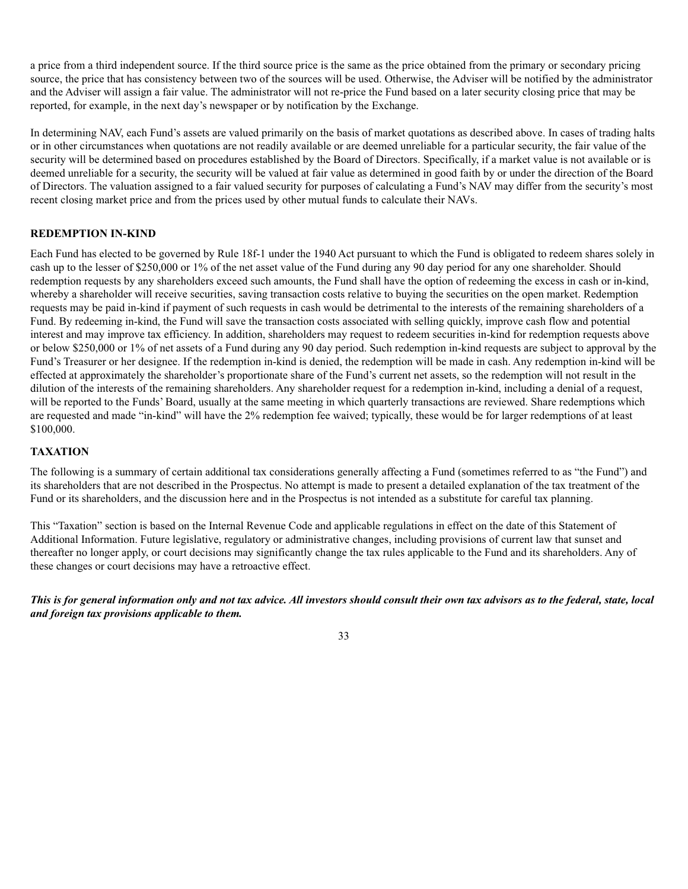a price from a third independent source. If the third source price is the same as the price obtained from the primary or secondary pricing source, the price that has consistency between two of the sources will be used. Otherwise, the Adviser will be notified by the administrator and the Adviser will assign a fair value. The administrator will not re-price the Fund based on a later security closing price that may be reported, for example, in the next day's newspaper or by notification by the Exchange.

In determining NAV, each Fund's assets are valued primarily on the basis of market quotations as described above. In cases of trading halts or in other circumstances when quotations are not readily available or are deemed unreliable for a particular security, the fair value of the security will be determined based on procedures established by the Board of Directors. Specifically, if a market value is not available or is deemed unreliable for a security, the security will be valued at fair value as determined in good faith by or under the direction of the Board of Directors. The valuation assigned to a fair valued security for purposes of calculating a Fund's NAV may differ from the security's most recent closing market price and from the prices used by other mutual funds to calculate their NAVs.

### **REDEMPTION IN-KIND**

Each Fund has elected to be governed by Rule 18f-1 under the 1940 Act pursuant to which the Fund is obligated to redeem shares solely in cash up to the lesser of \$250,000 or 1% of the net asset value of the Fund during any 90 day period for any one shareholder. Should redemption requests by any shareholders exceed such amounts, the Fund shall have the option of redeeming the excess in cash or in-kind, whereby a shareholder will receive securities, saving transaction costs relative to buying the securities on the open market. Redemption requests may be paid in-kind if payment of such requests in cash would be detrimental to the interests of the remaining shareholders of a Fund. By redeeming in-kind, the Fund will save the transaction costs associated with selling quickly, improve cash flow and potential interest and may improve tax efficiency. In addition, shareholders may request to redeem securities in-kind for redemption requests above or below \$250,000 or 1% of net assets of a Fund during any 90 day period. Such redemption in-kind requests are subject to approval by the Fund's Treasurer or her designee. If the redemption in-kind is denied, the redemption will be made in cash. Any redemption in-kind will be effected at approximately the shareholder's proportionate share of the Fund's current net assets, so the redemption will not result in the dilution of the interests of the remaining shareholders. Any shareholder request for a redemption in-kind, including a denial of a request, will be reported to the Funds' Board, usually at the same meeting in which quarterly transactions are reviewed. Share redemptions which are requested and made "in-kind" will have the 2% redemption fee waived; typically, these would be for larger redemptions of at least \$100,000.

### **TAXATION**

The following is a summary of certain additional tax considerations generally affecting a Fund (sometimes referred to as "the Fund") and its shareholders that are not described in the Prospectus. No attempt is made to present a detailed explanation of the tax treatment of the Fund or its shareholders, and the discussion here and in the Prospectus is not intended as a substitute for careful tax planning.

This "Taxation" section is based on the Internal Revenue Code and applicable regulations in effect on the date of this Statement of Additional Information. Future legislative, regulatory or administrative changes, including provisions of current law that sunset and thereafter no longer apply, or court decisions may significantly change the tax rules applicable to the Fund and its shareholders. Any of these changes or court decisions may have a retroactive effect.

*This is for general information only and not tax advice. All investors should consult their own tax advisors as to the federal, state, local and foreign tax provisions applicable to them.*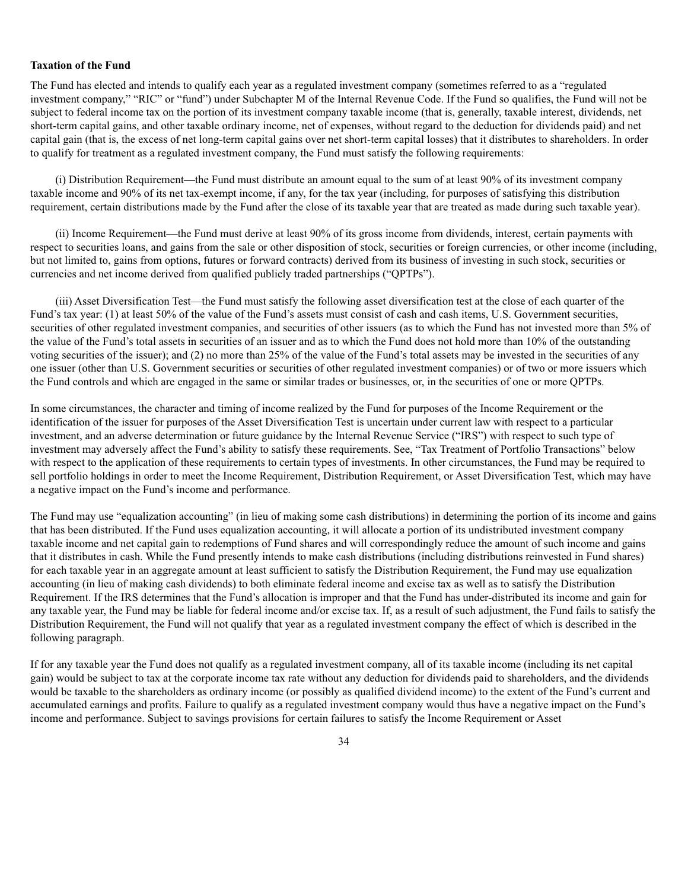#### **Taxation of the Fund**

The Fund has elected and intends to qualify each year as a regulated investment company (sometimes referred to as a "regulated investment company," "RIC" or "fund") under Subchapter M of the Internal Revenue Code. If the Fund so qualifies, the Fund will not be subject to federal income tax on the portion of its investment company taxable income (that is, generally, taxable interest, dividends, net short-term capital gains, and other taxable ordinary income, net of expenses, without regard to the deduction for dividends paid) and net capital gain (that is, the excess of net long-term capital gains over net short-term capital losses) that it distributes to shareholders. In order to qualify for treatment as a regulated investment company, the Fund must satisfy the following requirements:

(i) Distribution Requirement—the Fund must distribute an amount equal to the sum of at least 90% of its investment company taxable income and 90% of its net tax-exempt income, if any, for the tax year (including, for purposes of satisfying this distribution requirement, certain distributions made by the Fund after the close of its taxable year that are treated as made during such taxable year).

(ii) Income Requirement—the Fund must derive at least 90% of its gross income from dividends, interest, certain payments with respect to securities loans, and gains from the sale or other disposition of stock, securities or foreign currencies, or other income (including, but not limited to, gains from options, futures or forward contracts) derived from its business of investing in such stock, securities or currencies and net income derived from qualified publicly traded partnerships ("QPTPs").

(iii) Asset Diversification Test—the Fund must satisfy the following asset diversification test at the close of each quarter of the Fund's tax year: (1) at least 50% of the value of the Fund's assets must consist of cash and cash items, U.S. Government securities, securities of other regulated investment companies, and securities of other issuers (as to which the Fund has not invested more than 5% of the value of the Fund's total assets in securities of an issuer and as to which the Fund does not hold more than 10% of the outstanding voting securities of the issuer); and (2) no more than 25% of the value of the Fund's total assets may be invested in the securities of any one issuer (other than U.S. Government securities or securities of other regulated investment companies) or of two or more issuers which the Fund controls and which are engaged in the same or similar trades or businesses, or, in the securities of one or more QPTPs.

In some circumstances, the character and timing of income realized by the Fund for purposes of the Income Requirement or the identification of the issuer for purposes of the Asset Diversification Test is uncertain under current law with respect to a particular investment, and an adverse determination or future guidance by the Internal Revenue Service ("IRS") with respect to such type of investment may adversely affect the Fund's ability to satisfy these requirements. See, "Tax Treatment of Portfolio Transactions" below with respect to the application of these requirements to certain types of investments. In other circumstances, the Fund may be required to sell portfolio holdings in order to meet the Income Requirement, Distribution Requirement, or Asset Diversification Test, which may have a negative impact on the Fund's income and performance.

The Fund may use "equalization accounting" (in lieu of making some cash distributions) in determining the portion of its income and gains that has been distributed. If the Fund uses equalization accounting, it will allocate a portion of its undistributed investment company taxable income and net capital gain to redemptions of Fund shares and will correspondingly reduce the amount of such income and gains that it distributes in cash. While the Fund presently intends to make cash distributions (including distributions reinvested in Fund shares) for each taxable year in an aggregate amount at least sufficient to satisfy the Distribution Requirement, the Fund may use equalization accounting (in lieu of making cash dividends) to both eliminate federal income and excise tax as well as to satisfy the Distribution Requirement. If the IRS determines that the Fund's allocation is improper and that the Fund has under-distributed its income and gain for any taxable year, the Fund may be liable for federal income and/or excise tax. If, as a result of such adjustment, the Fund fails to satisfy the Distribution Requirement, the Fund will not qualify that year as a regulated investment company the effect of which is described in the following paragraph.

If for any taxable year the Fund does not qualify as a regulated investment company, all of its taxable income (including its net capital gain) would be subject to tax at the corporate income tax rate without any deduction for dividends paid to shareholders, and the dividends would be taxable to the shareholders as ordinary income (or possibly as qualified dividend income) to the extent of the Fund's current and accumulated earnings and profits. Failure to qualify as a regulated investment company would thus have a negative impact on the Fund's income and performance. Subject to savings provisions for certain failures to satisfy the Income Requirement or Asset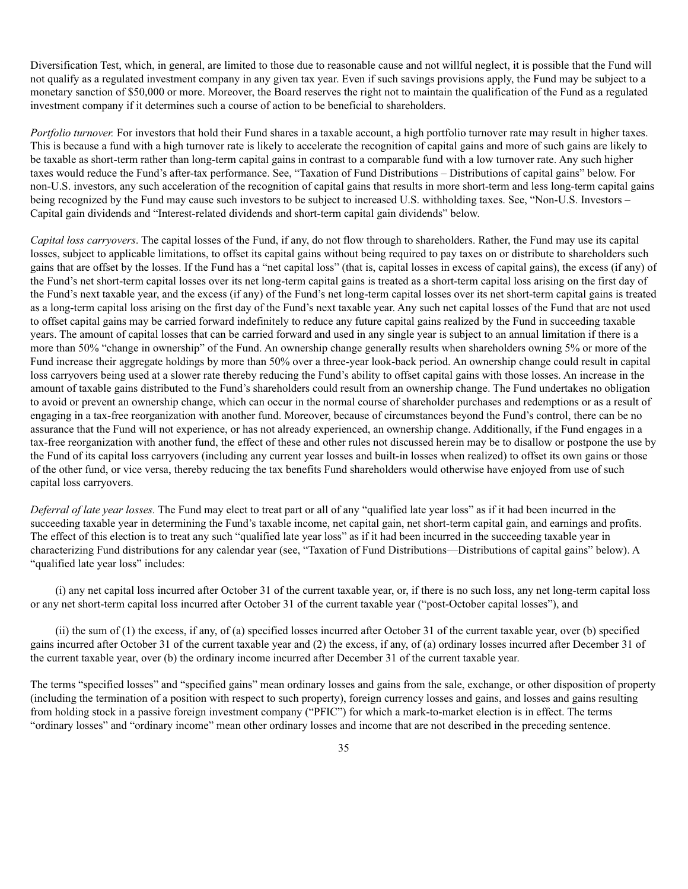Diversification Test, which, in general, are limited to those due to reasonable cause and not willful neglect, it is possible that the Fund will not qualify as a regulated investment company in any given tax year. Even if such savings provisions apply, the Fund may be subject to a monetary sanction of \$50,000 or more. Moreover, the Board reserves the right not to maintain the qualification of the Fund as a regulated investment company if it determines such a course of action to be beneficial to shareholders.

*Portfolio turnover.* For investors that hold their Fund shares in a taxable account, a high portfolio turnover rate may result in higher taxes. This is because a fund with a high turnover rate is likely to accelerate the recognition of capital gains and more of such gains are likely to be taxable as short-term rather than long-term capital gains in contrast to a comparable fund with a low turnover rate. Any such higher taxes would reduce the Fund's after-tax performance. See, "Taxation of Fund Distributions – Distributions of capital gains" below. For non-U.S. investors, any such acceleration of the recognition of capital gains that results in more short-term and less long-term capital gains being recognized by the Fund may cause such investors to be subject to increased U.S. withholding taxes. See, "Non-U.S. Investors – Capital gain dividends and "Interest-related dividends and short-term capital gain dividends" below.

*Capital loss carryovers*. The capital losses of the Fund, if any, do not flow through to shareholders. Rather, the Fund may use its capital losses, subject to applicable limitations, to offset its capital gains without being required to pay taxes on or distribute to shareholders such gains that are offset by the losses. If the Fund has a "net capital loss" (that is, capital losses in excess of capital gains), the excess (if any) of the Fund's net short-term capital losses over its net long-term capital gains is treated as a short-term capital loss arising on the first day of the Fund's next taxable year, and the excess (if any) of the Fund's net long-term capital losses over its net short-term capital gains is treated as a long-term capital loss arising on the first day of the Fund's next taxable year. Any such net capital losses of the Fund that are not used to offset capital gains may be carried forward indefinitely to reduce any future capital gains realized by the Fund in succeeding taxable years. The amount of capital losses that can be carried forward and used in any single year is subject to an annual limitation if there is a more than 50% "change in ownership" of the Fund. An ownership change generally results when shareholders owning 5% or more of the Fund increase their aggregate holdings by more than 50% over a three-year look-back period. An ownership change could result in capital loss carryovers being used at a slower rate thereby reducing the Fund's ability to offset capital gains with those losses. An increase in the amount of taxable gains distributed to the Fund's shareholders could result from an ownership change. The Fund undertakes no obligation to avoid or prevent an ownership change, which can occur in the normal course of shareholder purchases and redemptions or as a result of engaging in a tax-free reorganization with another fund. Moreover, because of circumstances beyond the Fund's control, there can be no assurance that the Fund will not experience, or has not already experienced, an ownership change. Additionally, if the Fund engages in a tax-free reorganization with another fund, the effect of these and other rules not discussed herein may be to disallow or postpone the use by the Fund of its capital loss carryovers (including any current year losses and built-in losses when realized) to offset its own gains or those of the other fund, or vice versa, thereby reducing the tax benefits Fund shareholders would otherwise have enjoyed from use of such capital loss carryovers.

*Deferral of late year losses.* The Fund may elect to treat part or all of any "qualified late year loss" as if it had been incurred in the succeeding taxable year in determining the Fund's taxable income, net capital gain, net short-term capital gain, and earnings and profits. The effect of this election is to treat any such "qualified late year loss" as if it had been incurred in the succeeding taxable year in characterizing Fund distributions for any calendar year (see, "Taxation of Fund Distributions—Distributions of capital gains" below). A "qualified late year loss" includes:

(i) any net capital loss incurred after October 31 of the current taxable year, or, if there is no such loss, any net long-term capital loss or any net short-term capital loss incurred after October 31 of the current taxable year ("post-October capital losses"), and

(ii) the sum of (1) the excess, if any, of (a) specified losses incurred after October 31 of the current taxable year, over (b) specified gains incurred after October 31 of the current taxable year and (2) the excess, if any, of (a) ordinary losses incurred after December 31 of the current taxable year, over (b) the ordinary income incurred after December 31 of the current taxable year.

The terms "specified losses" and "specified gains" mean ordinary losses and gains from the sale, exchange, or other disposition of property (including the termination of a position with respect to such property), foreign currency losses and gains, and losses and gains resulting from holding stock in a passive foreign investment company ("PFIC") for which a mark-to-market election is in effect. The terms "ordinary losses" and "ordinary income" mean other ordinary losses and income that are not described in the preceding sentence.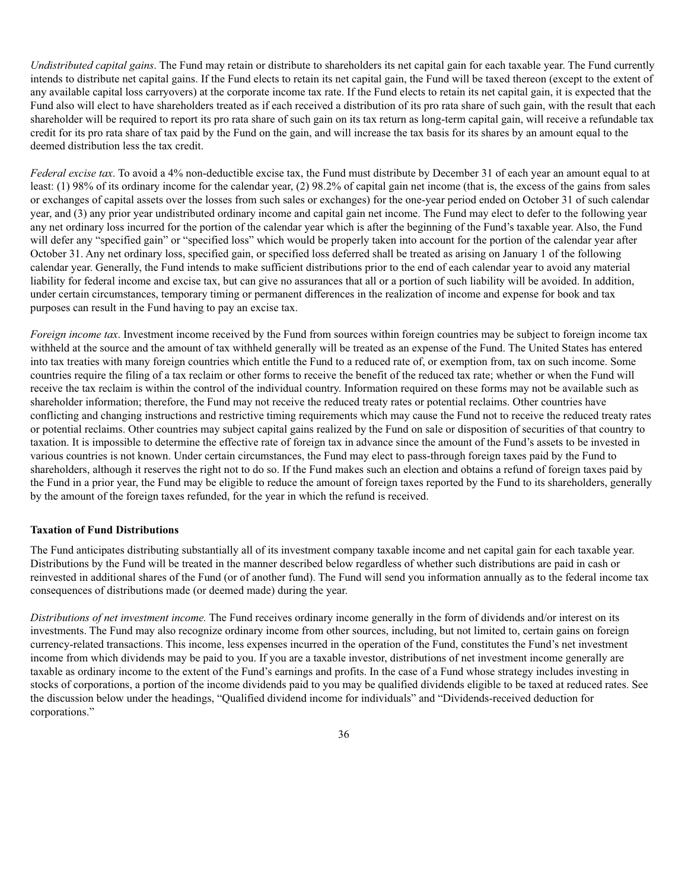*Undistributed capital gains*. The Fund may retain or distribute to shareholders its net capital gain for each taxable year. The Fund currently intends to distribute net capital gains. If the Fund elects to retain its net capital gain, the Fund will be taxed thereon (except to the extent of any available capital loss carryovers) at the corporate income tax rate. If the Fund elects to retain its net capital gain, it is expected that the Fund also will elect to have shareholders treated as if each received a distribution of its pro rata share of such gain, with the result that each shareholder will be required to report its pro rata share of such gain on its tax return as long-term capital gain, will receive a refundable tax credit for its pro rata share of tax paid by the Fund on the gain, and will increase the tax basis for its shares by an amount equal to the deemed distribution less the tax credit.

*Federal excise tax*. To avoid a 4% non-deductible excise tax, the Fund must distribute by December 31 of each year an amount equal to at least: (1) 98% of its ordinary income for the calendar year, (2) 98.2% of capital gain net income (that is, the excess of the gains from sales or exchanges of capital assets over the losses from such sales or exchanges) for the one-year period ended on October 31 of such calendar year, and (3) any prior year undistributed ordinary income and capital gain net income. The Fund may elect to defer to the following year any net ordinary loss incurred for the portion of the calendar year which is after the beginning of the Fund's taxable year. Also, the Fund will defer any "specified gain" or "specified loss" which would be properly taken into account for the portion of the calendar year after October 31. Any net ordinary loss, specified gain, or specified loss deferred shall be treated as arising on January 1 of the following calendar year. Generally, the Fund intends to make sufficient distributions prior to the end of each calendar year to avoid any material liability for federal income and excise tax, but can give no assurances that all or a portion of such liability will be avoided. In addition, under certain circumstances, temporary timing or permanent differences in the realization of income and expense for book and tax purposes can result in the Fund having to pay an excise tax.

*Foreign income tax*. Investment income received by the Fund from sources within foreign countries may be subject to foreign income tax withheld at the source and the amount of tax withheld generally will be treated as an expense of the Fund. The United States has entered into tax treaties with many foreign countries which entitle the Fund to a reduced rate of, or exemption from, tax on such income. Some countries require the filing of a tax reclaim or other forms to receive the benefit of the reduced tax rate; whether or when the Fund will receive the tax reclaim is within the control of the individual country. Information required on these forms may not be available such as shareholder information; therefore, the Fund may not receive the reduced treaty rates or potential reclaims. Other countries have conflicting and changing instructions and restrictive timing requirements which may cause the Fund not to receive the reduced treaty rates or potential reclaims. Other countries may subject capital gains realized by the Fund on sale or disposition of securities of that country to taxation. It is impossible to determine the effective rate of foreign tax in advance since the amount of the Fund's assets to be invested in various countries is not known. Under certain circumstances, the Fund may elect to pass-through foreign taxes paid by the Fund to shareholders, although it reserves the right not to do so. If the Fund makes such an election and obtains a refund of foreign taxes paid by the Fund in a prior year, the Fund may be eligible to reduce the amount of foreign taxes reported by the Fund to its shareholders, generally by the amount of the foreign taxes refunded, for the year in which the refund is received.

#### **Taxation of Fund Distributions**

The Fund anticipates distributing substantially all of its investment company taxable income and net capital gain for each taxable year. Distributions by the Fund will be treated in the manner described below regardless of whether such distributions are paid in cash or reinvested in additional shares of the Fund (or of another fund). The Fund will send you information annually as to the federal income tax consequences of distributions made (or deemed made) during the year.

*Distributions of net investment income.* The Fund receives ordinary income generally in the form of dividends and/or interest on its investments. The Fund may also recognize ordinary income from other sources, including, but not limited to, certain gains on foreign currency-related transactions. This income, less expenses incurred in the operation of the Fund, constitutes the Fund's net investment income from which dividends may be paid to you. If you are a taxable investor, distributions of net investment income generally are taxable as ordinary income to the extent of the Fund's earnings and profits. In the case of a Fund whose strategy includes investing in stocks of corporations, a portion of the income dividends paid to you may be qualified dividends eligible to be taxed at reduced rates. See the discussion below under the headings, "Qualified dividend income for individuals" and "Dividends-received deduction for corporations."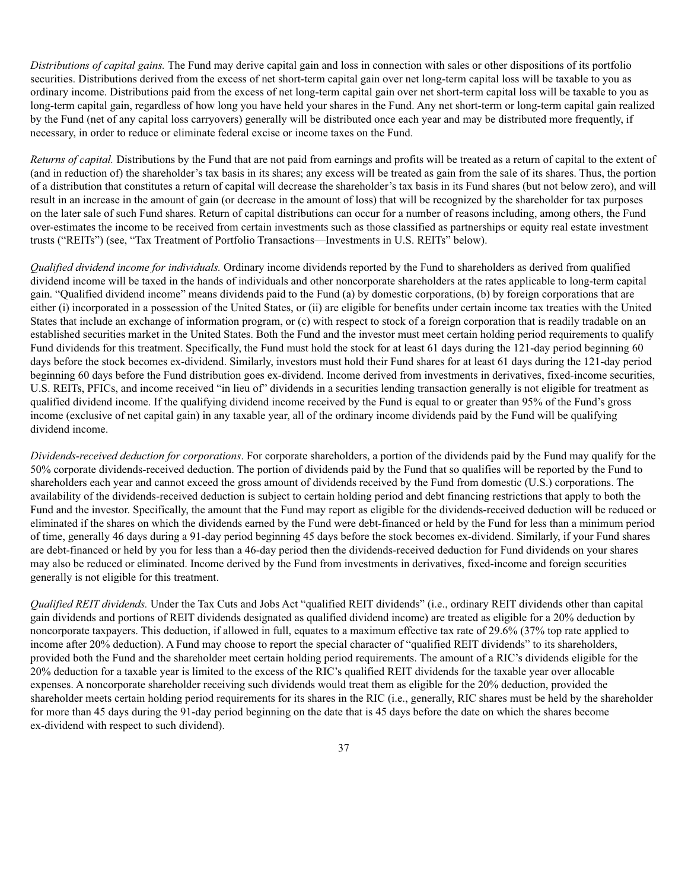*Distributions of capital gains.* The Fund may derive capital gain and loss in connection with sales or other dispositions of its portfolio securities. Distributions derived from the excess of net short-term capital gain over net long-term capital loss will be taxable to you as ordinary income. Distributions paid from the excess of net long-term capital gain over net short-term capital loss will be taxable to you as long-term capital gain, regardless of how long you have held your shares in the Fund. Any net short-term or long-term capital gain realized by the Fund (net of any capital loss carryovers) generally will be distributed once each year and may be distributed more frequently, if necessary, in order to reduce or eliminate federal excise or income taxes on the Fund.

*Returns of capital.* Distributions by the Fund that are not paid from earnings and profits will be treated as a return of capital to the extent of (and in reduction of) the shareholder's tax basis in its shares; any excess will be treated as gain from the sale of its shares. Thus, the portion of a distribution that constitutes a return of capital will decrease the shareholder's tax basis in its Fund shares (but not below zero), and will result in an increase in the amount of gain (or decrease in the amount of loss) that will be recognized by the shareholder for tax purposes on the later sale of such Fund shares. Return of capital distributions can occur for a number of reasons including, among others, the Fund over-estimates the income to be received from certain investments such as those classified as partnerships or equity real estate investment trusts ("REITs") (see, "Tax Treatment of Portfolio Transactions—Investments in U.S. REITs" below).

*Qualified dividend income for individuals.* Ordinary income dividends reported by the Fund to shareholders as derived from qualified dividend income will be taxed in the hands of individuals and other noncorporate shareholders at the rates applicable to long-term capital gain. "Qualified dividend income" means dividends paid to the Fund (a) by domestic corporations, (b) by foreign corporations that are either (i) incorporated in a possession of the United States, or (ii) are eligible for benefits under certain income tax treaties with the United States that include an exchange of information program, or (c) with respect to stock of a foreign corporation that is readily tradable on an established securities market in the United States. Both the Fund and the investor must meet certain holding period requirements to qualify Fund dividends for this treatment. Specifically, the Fund must hold the stock for at least 61 days during the 121-day period beginning 60 days before the stock becomes ex-dividend. Similarly, investors must hold their Fund shares for at least 61 days during the 121-day period beginning 60 days before the Fund distribution goes ex-dividend. Income derived from investments in derivatives, fixed-income securities, U.S. REITs, PFICs, and income received "in lieu of" dividends in a securities lending transaction generally is not eligible for treatment as qualified dividend income. If the qualifying dividend income received by the Fund is equal to or greater than 95% of the Fund's gross income (exclusive of net capital gain) in any taxable year, all of the ordinary income dividends paid by the Fund will be qualifying dividend income.

*Dividends-received deduction for corporations*. For corporate shareholders, a portion of the dividends paid by the Fund may qualify for the 50% corporate dividends-received deduction. The portion of dividends paid by the Fund that so qualifies will be reported by the Fund to shareholders each year and cannot exceed the gross amount of dividends received by the Fund from domestic (U.S.) corporations. The availability of the dividends-received deduction is subject to certain holding period and debt financing restrictions that apply to both the Fund and the investor. Specifically, the amount that the Fund may report as eligible for the dividends-received deduction will be reduced or eliminated if the shares on which the dividends earned by the Fund were debt-financed or held by the Fund for less than a minimum period of time, generally 46 days during a 91-day period beginning 45 days before the stock becomes ex-dividend. Similarly, if your Fund shares are debt-financed or held by you for less than a 46-day period then the dividends-received deduction for Fund dividends on your shares may also be reduced or eliminated. Income derived by the Fund from investments in derivatives, fixed-income and foreign securities generally is not eligible for this treatment.

*Qualified REIT dividends.* Under the Tax Cuts and Jobs Act "qualified REIT dividends" (i.e., ordinary REIT dividends other than capital gain dividends and portions of REIT dividends designated as qualified dividend income) are treated as eligible for a 20% deduction by noncorporate taxpayers. This deduction, if allowed in full, equates to a maximum effective tax rate of 29.6% (37% top rate applied to income after 20% deduction). A Fund may choose to report the special character of "qualified REIT dividends" to its shareholders, provided both the Fund and the shareholder meet certain holding period requirements. The amount of a RIC's dividends eligible for the 20% deduction for a taxable year is limited to the excess of the RIC's qualified REIT dividends for the taxable year over allocable expenses. A noncorporate shareholder receiving such dividends would treat them as eligible for the 20% deduction, provided the shareholder meets certain holding period requirements for its shares in the RIC (i.e., generally, RIC shares must be held by the shareholder for more than 45 days during the 91-day period beginning on the date that is 45 days before the date on which the shares become ex-dividend with respect to such dividend).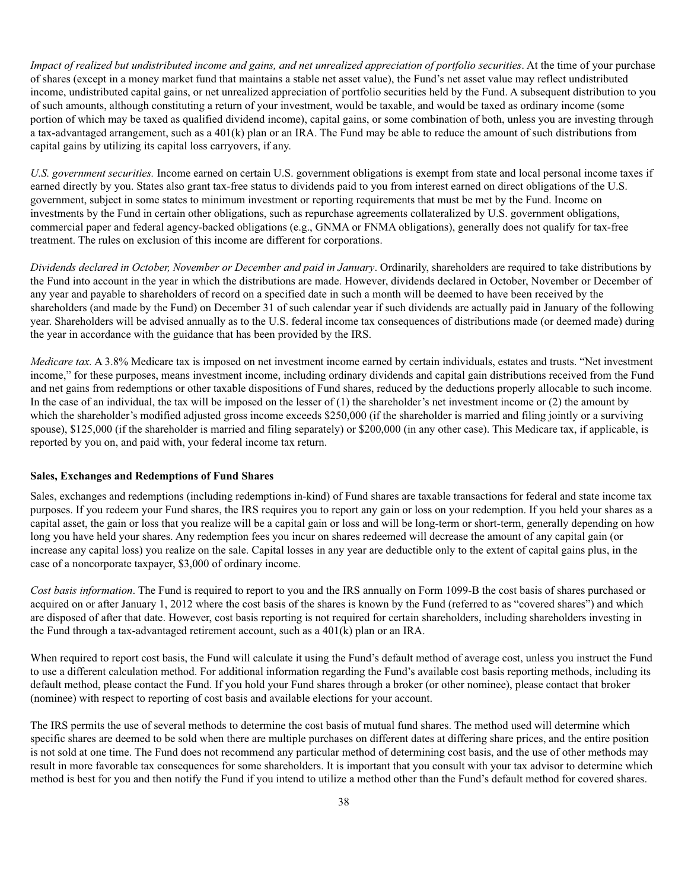*Impact of realized but undistributed income and gains, and net unrealized appreciation of portfolio securities*. At the time of your purchase of shares (except in a money market fund that maintains a stable net asset value), the Fund's net asset value may reflect undistributed income, undistributed capital gains, or net unrealized appreciation of portfolio securities held by the Fund. A subsequent distribution to you of such amounts, although constituting a return of your investment, would be taxable, and would be taxed as ordinary income (some portion of which may be taxed as qualified dividend income), capital gains, or some combination of both, unless you are investing through a tax-advantaged arrangement, such as a 401(k) plan or an IRA. The Fund may be able to reduce the amount of such distributions from capital gains by utilizing its capital loss carryovers, if any.

*U.S. government securities.* Income earned on certain U.S. government obligations is exempt from state and local personal income taxes if earned directly by you. States also grant tax-free status to dividends paid to you from interest earned on direct obligations of the U.S. government, subject in some states to minimum investment or reporting requirements that must be met by the Fund. Income on investments by the Fund in certain other obligations, such as repurchase agreements collateralized by U.S. government obligations, commercial paper and federal agency-backed obligations (e.g., GNMA or FNMA obligations), generally does not qualify for tax-free treatment. The rules on exclusion of this income are different for corporations.

*Dividends declared in October, November or December and paid in January*. Ordinarily, shareholders are required to take distributions by the Fund into account in the year in which the distributions are made. However, dividends declared in October, November or December of any year and payable to shareholders of record on a specified date in such a month will be deemed to have been received by the shareholders (and made by the Fund) on December 31 of such calendar year if such dividends are actually paid in January of the following year. Shareholders will be advised annually as to the U.S. federal income tax consequences of distributions made (or deemed made) during the year in accordance with the guidance that has been provided by the IRS.

*Medicare tax.* A 3.8% Medicare tax is imposed on net investment income earned by certain individuals, estates and trusts. "Net investment income," for these purposes, means investment income, including ordinary dividends and capital gain distributions received from the Fund and net gains from redemptions or other taxable dispositions of Fund shares, reduced by the deductions properly allocable to such income. In the case of an individual, the tax will be imposed on the lesser of (1) the shareholder's net investment income or (2) the amount by which the shareholder's modified adjusted gross income exceeds \$250,000 (if the shareholder is married and filing jointly or a surviving spouse), \$125,000 (if the shareholder is married and filing separately) or \$200,000 (in any other case). This Medicare tax, if applicable, is reported by you on, and paid with, your federal income tax return.

#### **Sales, Exchanges and Redemptions of Fund Shares**

Sales, exchanges and redemptions (including redemptions in-kind) of Fund shares are taxable transactions for federal and state income tax purposes. If you redeem your Fund shares, the IRS requires you to report any gain or loss on your redemption. If you held your shares as a capital asset, the gain or loss that you realize will be a capital gain or loss and will be long-term or short-term, generally depending on how long you have held your shares. Any redemption fees you incur on shares redeemed will decrease the amount of any capital gain (or increase any capital loss) you realize on the sale. Capital losses in any year are deductible only to the extent of capital gains plus, in the case of a noncorporate taxpayer, \$3,000 of ordinary income.

*Cost basis information*. The Fund is required to report to you and the IRS annually on Form 1099-B the cost basis of shares purchased or acquired on or after January 1, 2012 where the cost basis of the shares is known by the Fund (referred to as "covered shares") and which are disposed of after that date. However, cost basis reporting is not required for certain shareholders, including shareholders investing in the Fund through a tax-advantaged retirement account, such as a  $401(k)$  plan or an IRA.

When required to report cost basis, the Fund will calculate it using the Fund's default method of average cost, unless you instruct the Fund to use a different calculation method. For additional information regarding the Fund's available cost basis reporting methods, including its default method, please contact the Fund. If you hold your Fund shares through a broker (or other nominee), please contact that broker (nominee) with respect to reporting of cost basis and available elections for your account.

The IRS permits the use of several methods to determine the cost basis of mutual fund shares. The method used will determine which specific shares are deemed to be sold when there are multiple purchases on different dates at differing share prices, and the entire position is not sold at one time. The Fund does not recommend any particular method of determining cost basis, and the use of other methods may result in more favorable tax consequences for some shareholders. It is important that you consult with your tax advisor to determine which method is best for you and then notify the Fund if you intend to utilize a method other than the Fund's default method for covered shares.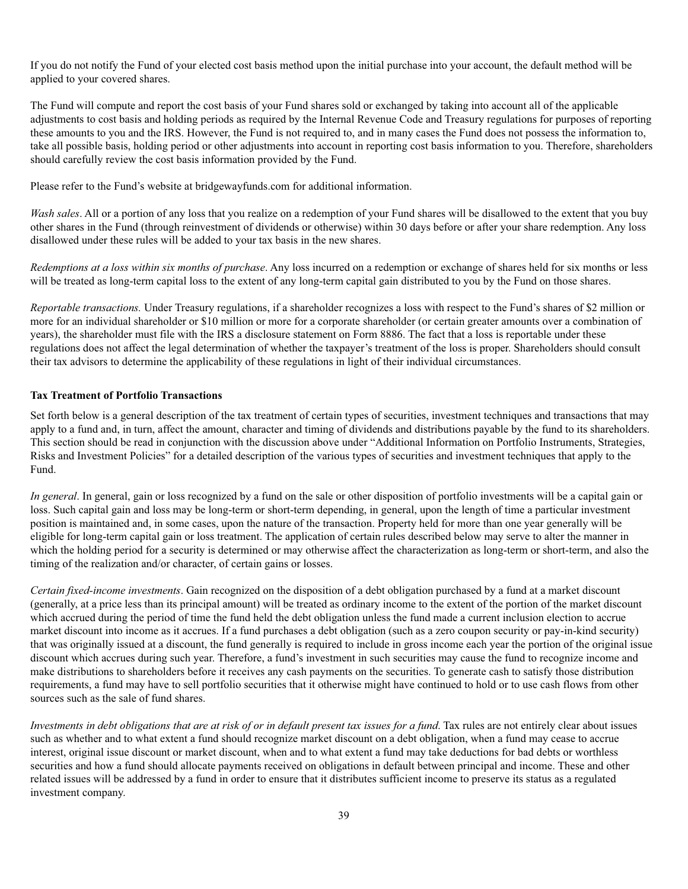If you do not notify the Fund of your elected cost basis method upon the initial purchase into your account, the default method will be applied to your covered shares.

The Fund will compute and report the cost basis of your Fund shares sold or exchanged by taking into account all of the applicable adjustments to cost basis and holding periods as required by the Internal Revenue Code and Treasury regulations for purposes of reporting these amounts to you and the IRS. However, the Fund is not required to, and in many cases the Fund does not possess the information to, take all possible basis, holding period or other adjustments into account in reporting cost basis information to you. Therefore, shareholders should carefully review the cost basis information provided by the Fund.

Please refer to the Fund's website at bridgewayfunds.com for additional information.

*Wash sales*. All or a portion of any loss that you realize on a redemption of your Fund shares will be disallowed to the extent that you buy other shares in the Fund (through reinvestment of dividends or otherwise) within 30 days before or after your share redemption. Any loss disallowed under these rules will be added to your tax basis in the new shares.

*Redemptions at a loss within six months of purchase*. Any loss incurred on a redemption or exchange of shares held for six months or less will be treated as long-term capital loss to the extent of any long-term capital gain distributed to you by the Fund on those shares.

*Reportable transactions.* Under Treasury regulations, if a shareholder recognizes a loss with respect to the Fund's shares of \$2 million or more for an individual shareholder or \$10 million or more for a corporate shareholder (or certain greater amounts over a combination of years), the shareholder must file with the IRS a disclosure statement on Form 8886. The fact that a loss is reportable under these regulations does not affect the legal determination of whether the taxpayer's treatment of the loss is proper. Shareholders should consult their tax advisors to determine the applicability of these regulations in light of their individual circumstances.

### **Tax Treatment of Portfolio Transactions**

Set forth below is a general description of the tax treatment of certain types of securities, investment techniques and transactions that may apply to a fund and, in turn, affect the amount, character and timing of dividends and distributions payable by the fund to its shareholders. This section should be read in conjunction with the discussion above under "Additional Information on Portfolio Instruments, Strategies, Risks and Investment Policies" for a detailed description of the various types of securities and investment techniques that apply to the Fund.

*In general*. In general, gain or loss recognized by a fund on the sale or other disposition of portfolio investments will be a capital gain or loss. Such capital gain and loss may be long-term or short-term depending, in general, upon the length of time a particular investment position is maintained and, in some cases, upon the nature of the transaction. Property held for more than one year generally will be eligible for long-term capital gain or loss treatment. The application of certain rules described below may serve to alter the manner in which the holding period for a security is determined or may otherwise affect the characterization as long-term or short-term, and also the timing of the realization and/or character, of certain gains or losses.

*Certain fixed-income investments*. Gain recognized on the disposition of a debt obligation purchased by a fund at a market discount (generally, at a price less than its principal amount) will be treated as ordinary income to the extent of the portion of the market discount which accrued during the period of time the fund held the debt obligation unless the fund made a current inclusion election to accrue market discount into income as it accrues. If a fund purchases a debt obligation (such as a zero coupon security or pay-in-kind security) that was originally issued at a discount, the fund generally is required to include in gross income each year the portion of the original issue discount which accrues during such year. Therefore, a fund's investment in such securities may cause the fund to recognize income and make distributions to shareholders before it receives any cash payments on the securities. To generate cash to satisfy those distribution requirements, a fund may have to sell portfolio securities that it otherwise might have continued to hold or to use cash flows from other sources such as the sale of fund shares.

*Investments in debt obligations that are at risk of or in default present tax issues for a fund*. Tax rules are not entirely clear about issues such as whether and to what extent a fund should recognize market discount on a debt obligation, when a fund may cease to accrue interest, original issue discount or market discount, when and to what extent a fund may take deductions for bad debts or worthless securities and how a fund should allocate payments received on obligations in default between principal and income. These and other related issues will be addressed by a fund in order to ensure that it distributes sufficient income to preserve its status as a regulated investment company.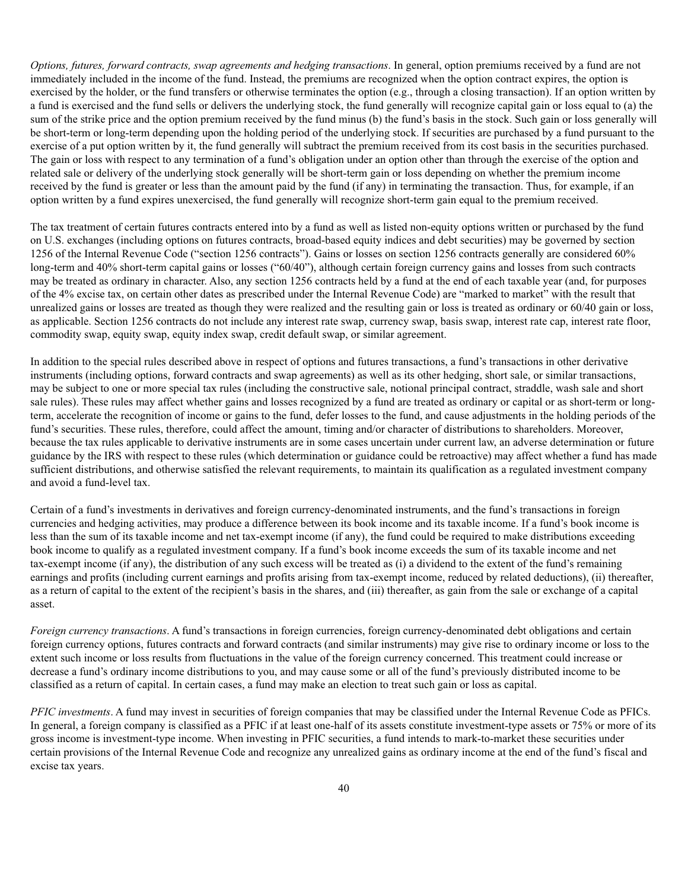*Options, futures, forward contracts, swap agreements and hedging transactions*. In general, option premiums received by a fund are not immediately included in the income of the fund. Instead, the premiums are recognized when the option contract expires, the option is exercised by the holder, or the fund transfers or otherwise terminates the option (e.g., through a closing transaction). If an option written by a fund is exercised and the fund sells or delivers the underlying stock, the fund generally will recognize capital gain or loss equal to (a) the sum of the strike price and the option premium received by the fund minus (b) the fund's basis in the stock. Such gain or loss generally will be short-term or long-term depending upon the holding period of the underlying stock. If securities are purchased by a fund pursuant to the exercise of a put option written by it, the fund generally will subtract the premium received from its cost basis in the securities purchased. The gain or loss with respect to any termination of a fund's obligation under an option other than through the exercise of the option and related sale or delivery of the underlying stock generally will be short-term gain or loss depending on whether the premium income received by the fund is greater or less than the amount paid by the fund (if any) in terminating the transaction. Thus, for example, if an option written by a fund expires unexercised, the fund generally will recognize short-term gain equal to the premium received.

The tax treatment of certain futures contracts entered into by a fund as well as listed non-equity options written or purchased by the fund on U.S. exchanges (including options on futures contracts, broad-based equity indices and debt securities) may be governed by section 1256 of the Internal Revenue Code ("section 1256 contracts"). Gains or losses on section 1256 contracts generally are considered 60% long-term and 40% short-term capital gains or losses ("60/40"), although certain foreign currency gains and losses from such contracts may be treated as ordinary in character. Also, any section 1256 contracts held by a fund at the end of each taxable year (and, for purposes of the 4% excise tax, on certain other dates as prescribed under the Internal Revenue Code) are "marked to market" with the result that unrealized gains or losses are treated as though they were realized and the resulting gain or loss is treated as ordinary or 60/40 gain or loss, as applicable. Section 1256 contracts do not include any interest rate swap, currency swap, basis swap, interest rate cap, interest rate floor, commodity swap, equity swap, equity index swap, credit default swap, or similar agreement.

In addition to the special rules described above in respect of options and futures transactions, a fund's transactions in other derivative instruments (including options, forward contracts and swap agreements) as well as its other hedging, short sale, or similar transactions, may be subject to one or more special tax rules (including the constructive sale, notional principal contract, straddle, wash sale and short sale rules). These rules may affect whether gains and losses recognized by a fund are treated as ordinary or capital or as short-term or longterm, accelerate the recognition of income or gains to the fund, defer losses to the fund, and cause adjustments in the holding periods of the fund's securities. These rules, therefore, could affect the amount, timing and/or character of distributions to shareholders. Moreover, because the tax rules applicable to derivative instruments are in some cases uncertain under current law, an adverse determination or future guidance by the IRS with respect to these rules (which determination or guidance could be retroactive) may affect whether a fund has made sufficient distributions, and otherwise satisfied the relevant requirements, to maintain its qualification as a regulated investment company and avoid a fund-level tax.

Certain of a fund's investments in derivatives and foreign currency-denominated instruments, and the fund's transactions in foreign currencies and hedging activities, may produce a difference between its book income and its taxable income. If a fund's book income is less than the sum of its taxable income and net tax-exempt income (if any), the fund could be required to make distributions exceeding book income to qualify as a regulated investment company. If a fund's book income exceeds the sum of its taxable income and net tax-exempt income (if any), the distribution of any such excess will be treated as (i) a dividend to the extent of the fund's remaining earnings and profits (including current earnings and profits arising from tax-exempt income, reduced by related deductions), (ii) thereafter, as a return of capital to the extent of the recipient's basis in the shares, and (iii) thereafter, as gain from the sale or exchange of a capital asset.

*Foreign currency transactions*. A fund's transactions in foreign currencies, foreign currency-denominated debt obligations and certain foreign currency options, futures contracts and forward contracts (and similar instruments) may give rise to ordinary income or loss to the extent such income or loss results from fluctuations in the value of the foreign currency concerned. This treatment could increase or decrease a fund's ordinary income distributions to you, and may cause some or all of the fund's previously distributed income to be classified as a return of capital. In certain cases, a fund may make an election to treat such gain or loss as capital.

*PFIC investments*. A fund may invest in securities of foreign companies that may be classified under the Internal Revenue Code as PFICs. In general, a foreign company is classified as a PFIC if at least one-half of its assets constitute investment-type assets or 75% or more of its gross income is investment-type income. When investing in PFIC securities, a fund intends to mark-to-market these securities under certain provisions of the Internal Revenue Code and recognize any unrealized gains as ordinary income at the end of the fund's fiscal and excise tax years.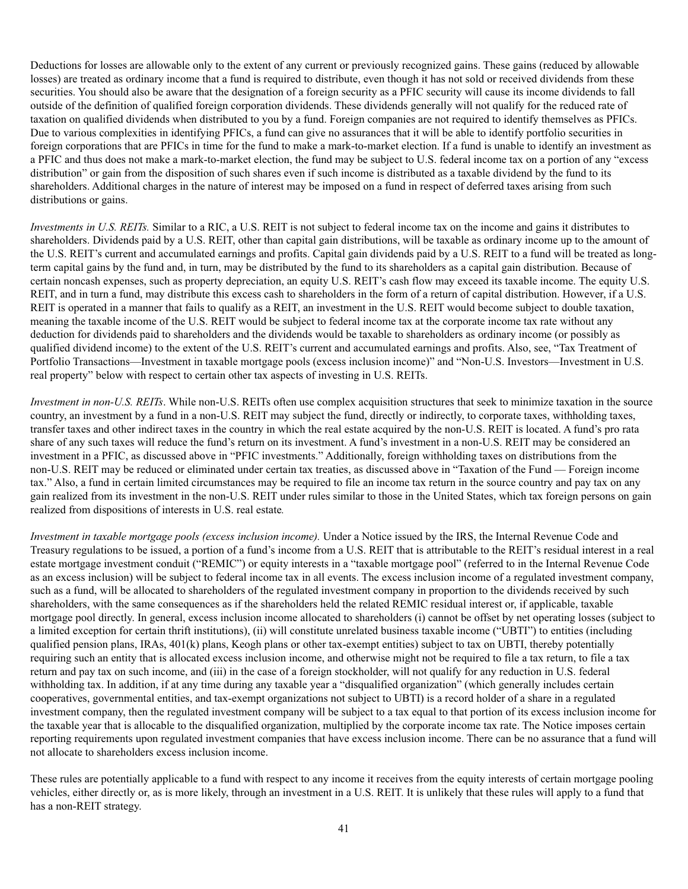Deductions for losses are allowable only to the extent of any current or previously recognized gains. These gains (reduced by allowable losses) are treated as ordinary income that a fund is required to distribute, even though it has not sold or received dividends from these securities. You should also be aware that the designation of a foreign security as a PFIC security will cause its income dividends to fall outside of the definition of qualified foreign corporation dividends. These dividends generally will not qualify for the reduced rate of taxation on qualified dividends when distributed to you by a fund. Foreign companies are not required to identify themselves as PFICs. Due to various complexities in identifying PFICs, a fund can give no assurances that it will be able to identify portfolio securities in foreign corporations that are PFICs in time for the fund to make a mark-to-market election. If a fund is unable to identify an investment as a PFIC and thus does not make a mark-to-market election, the fund may be subject to U.S. federal income tax on a portion of any "excess distribution" or gain from the disposition of such shares even if such income is distributed as a taxable dividend by the fund to its shareholders. Additional charges in the nature of interest may be imposed on a fund in respect of deferred taxes arising from such distributions or gains.

*Investments in U.S. REITs.* Similar to a RIC, a U.S. REIT is not subject to federal income tax on the income and gains it distributes to shareholders. Dividends paid by a U.S. REIT, other than capital gain distributions, will be taxable as ordinary income up to the amount of the U.S. REIT's current and accumulated earnings and profits. Capital gain dividends paid by a U.S. REIT to a fund will be treated as longterm capital gains by the fund and, in turn, may be distributed by the fund to its shareholders as a capital gain distribution. Because of certain noncash expenses, such as property depreciation, an equity U.S. REIT's cash flow may exceed its taxable income. The equity U.S. REIT, and in turn a fund, may distribute this excess cash to shareholders in the form of a return of capital distribution. However, if a U.S. REIT is operated in a manner that fails to qualify as a REIT, an investment in the U.S. REIT would become subject to double taxation, meaning the taxable income of the U.S. REIT would be subject to federal income tax at the corporate income tax rate without any deduction for dividends paid to shareholders and the dividends would be taxable to shareholders as ordinary income (or possibly as qualified dividend income) to the extent of the U.S. REIT's current and accumulated earnings and profits. Also, see, "Tax Treatment of Portfolio Transactions—Investment in taxable mortgage pools (excess inclusion income)" and "Non-U.S. Investors—Investment in U.S. real property" below with respect to certain other tax aspects of investing in U.S. REITs.

*Investment in non-U.S. REITs*. While non-U.S. REITs often use complex acquisition structures that seek to minimize taxation in the source country, an investment by a fund in a non-U.S. REIT may subject the fund, directly or indirectly, to corporate taxes, withholding taxes, transfer taxes and other indirect taxes in the country in which the real estate acquired by the non-U.S. REIT is located. A fund's pro rata share of any such taxes will reduce the fund's return on its investment. A fund's investment in a non-U.S. REIT may be considered an investment in a PFIC, as discussed above in "PFIC investments." Additionally, foreign withholding taxes on distributions from the non-U.S. REIT may be reduced or eliminated under certain tax treaties, as discussed above in "Taxation of the Fund — Foreign income tax." Also, a fund in certain limited circumstances may be required to file an income tax return in the source country and pay tax on any gain realized from its investment in the non-U.S. REIT under rules similar to those in the United States, which tax foreign persons on gain realized from dispositions of interests in U.S. real estate*.*

*Investment in taxable mortgage pools (excess inclusion income).* Under a Notice issued by the IRS, the Internal Revenue Code and Treasury regulations to be issued, a portion of a fund's income from a U.S. REIT that is attributable to the REIT's residual interest in a real estate mortgage investment conduit ("REMIC") or equity interests in a "taxable mortgage pool" (referred to in the Internal Revenue Code as an excess inclusion) will be subject to federal income tax in all events. The excess inclusion income of a regulated investment company, such as a fund, will be allocated to shareholders of the regulated investment company in proportion to the dividends received by such shareholders, with the same consequences as if the shareholders held the related REMIC residual interest or, if applicable, taxable mortgage pool directly. In general, excess inclusion income allocated to shareholders (i) cannot be offset by net operating losses (subject to a limited exception for certain thrift institutions), (ii) will constitute unrelated business taxable income ("UBTI") to entities (including qualified pension plans, IRAs, 401(k) plans, Keogh plans or other tax-exempt entities) subject to tax on UBTI, thereby potentially requiring such an entity that is allocated excess inclusion income, and otherwise might not be required to file a tax return, to file a tax return and pay tax on such income, and (iii) in the case of a foreign stockholder, will not qualify for any reduction in U.S. federal withholding tax. In addition, if at any time during any taxable year a "disqualified organization" (which generally includes certain cooperatives, governmental entities, and tax-exempt organizations not subject to UBTI) is a record holder of a share in a regulated investment company, then the regulated investment company will be subject to a tax equal to that portion of its excess inclusion income for the taxable year that is allocable to the disqualified organization, multiplied by the corporate income tax rate. The Notice imposes certain reporting requirements upon regulated investment companies that have excess inclusion income. There can be no assurance that a fund will not allocate to shareholders excess inclusion income.

These rules are potentially applicable to a fund with respect to any income it receives from the equity interests of certain mortgage pooling vehicles, either directly or, as is more likely, through an investment in a U.S. REIT. It is unlikely that these rules will apply to a fund that has a non-REIT strategy.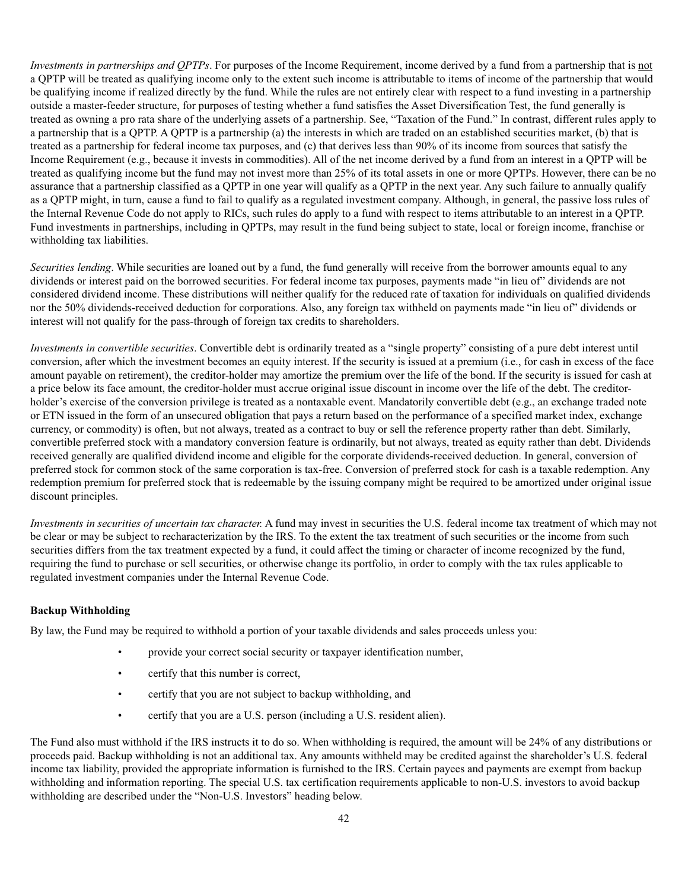*Investments in partnerships and QPTPs*. For purposes of the Income Requirement, income derived by a fund from a partnership that is not a QPTP will be treated as qualifying income only to the extent such income is attributable to items of income of the partnership that would be qualifying income if realized directly by the fund. While the rules are not entirely clear with respect to a fund investing in a partnership outside a master-feeder structure, for purposes of testing whether a fund satisfies the Asset Diversification Test, the fund generally is treated as owning a pro rata share of the underlying assets of a partnership. See, "Taxation of the Fund." In contrast, different rules apply to a partnership that is a QPTP. A QPTP is a partnership (a) the interests in which are traded on an established securities market, (b) that is treated as a partnership for federal income tax purposes, and (c) that derives less than 90% of its income from sources that satisfy the Income Requirement (e.g., because it invests in commodities). All of the net income derived by a fund from an interest in a QPTP will be treated as qualifying income but the fund may not invest more than 25% of its total assets in one or more QPTPs. However, there can be no assurance that a partnership classified as a QPTP in one year will qualify as a QPTP in the next year. Any such failure to annually qualify as a QPTP might, in turn, cause a fund to fail to qualify as a regulated investment company. Although, in general, the passive loss rules of the Internal Revenue Code do not apply to RICs, such rules do apply to a fund with respect to items attributable to an interest in a QPTP. Fund investments in partnerships, including in QPTPs, may result in the fund being subject to state, local or foreign income, franchise or withholding tax liabilities.

*Securities lending*. While securities are loaned out by a fund, the fund generally will receive from the borrower amounts equal to any dividends or interest paid on the borrowed securities. For federal income tax purposes, payments made "in lieu of" dividends are not considered dividend income. These distributions will neither qualify for the reduced rate of taxation for individuals on qualified dividends nor the 50% dividends-received deduction for corporations. Also, any foreign tax withheld on payments made "in lieu of" dividends or interest will not qualify for the pass-through of foreign tax credits to shareholders.

*Investments in convertible securities*. Convertible debt is ordinarily treated as a "single property" consisting of a pure debt interest until conversion, after which the investment becomes an equity interest. If the security is issued at a premium (i.e., for cash in excess of the face amount payable on retirement), the creditor-holder may amortize the premium over the life of the bond. If the security is issued for cash at a price below its face amount, the creditor-holder must accrue original issue discount in income over the life of the debt. The creditorholder's exercise of the conversion privilege is treated as a nontaxable event. Mandatorily convertible debt (e.g., an exchange traded note or ETN issued in the form of an unsecured obligation that pays a return based on the performance of a specified market index, exchange currency, or commodity) is often, but not always, treated as a contract to buy or sell the reference property rather than debt. Similarly, convertible preferred stock with a mandatory conversion feature is ordinarily, but not always, treated as equity rather than debt. Dividends received generally are qualified dividend income and eligible for the corporate dividends-received deduction. In general, conversion of preferred stock for common stock of the same corporation is tax-free. Conversion of preferred stock for cash is a taxable redemption. Any redemption premium for preferred stock that is redeemable by the issuing company might be required to be amortized under original issue discount principles.

*Investments in securities of uncertain tax character.* A fund may invest in securities the U.S. federal income tax treatment of which may not be clear or may be subject to recharacterization by the IRS. To the extent the tax treatment of such securities or the income from such securities differs from the tax treatment expected by a fund, it could affect the timing or character of income recognized by the fund, requiring the fund to purchase or sell securities, or otherwise change its portfolio, in order to comply with the tax rules applicable to regulated investment companies under the Internal Revenue Code.

### **Backup Withholding**

By law, the Fund may be required to withhold a portion of your taxable dividends and sales proceeds unless you:

- provide your correct social security or taxpayer identification number,
- certify that this number is correct,
- certify that you are not subject to backup withholding, and
- certify that you are a U.S. person (including a U.S. resident alien).

The Fund also must withhold if the IRS instructs it to do so. When withholding is required, the amount will be 24% of any distributions or proceeds paid. Backup withholding is not an additional tax. Any amounts withheld may be credited against the shareholder's U.S. federal income tax liability, provided the appropriate information is furnished to the IRS. Certain payees and payments are exempt from backup withholding and information reporting. The special U.S. tax certification requirements applicable to non-U.S. investors to avoid backup withholding are described under the "Non-U.S. Investors" heading below.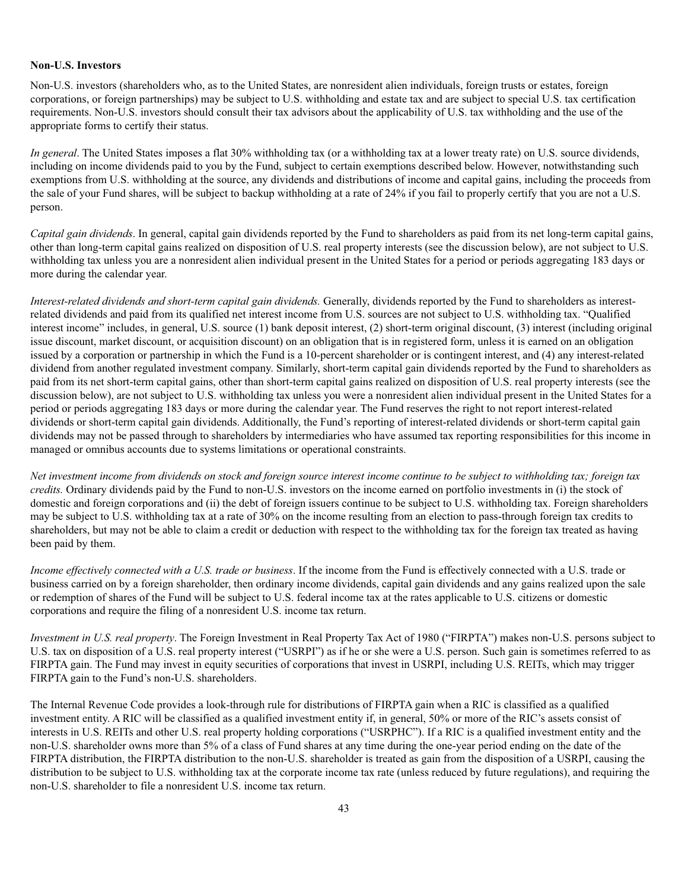#### **Non-U.S. Investors**

Non-U.S. investors (shareholders who, as to the United States, are nonresident alien individuals, foreign trusts or estates, foreign corporations, or foreign partnerships) may be subject to U.S. withholding and estate tax and are subject to special U.S. tax certification requirements. Non-U.S. investors should consult their tax advisors about the applicability of U.S. tax withholding and the use of the appropriate forms to certify their status.

*In general*. The United States imposes a flat 30% withholding tax (or a withholding tax at a lower treaty rate) on U.S. source dividends, including on income dividends paid to you by the Fund, subject to certain exemptions described below. However, notwithstanding such exemptions from U.S. withholding at the source, any dividends and distributions of income and capital gains, including the proceeds from the sale of your Fund shares, will be subject to backup withholding at a rate of 24% if you fail to properly certify that you are not a U.S. person.

*Capital gain dividends*. In general, capital gain dividends reported by the Fund to shareholders as paid from its net long-term capital gains, other than long-term capital gains realized on disposition of U.S. real property interests (see the discussion below), are not subject to U.S. withholding tax unless you are a nonresident alien individual present in the United States for a period or periods aggregating 183 days or more during the calendar year.

*Interest-related dividends and short-term capital gain dividends.* Generally, dividends reported by the Fund to shareholders as interestrelated dividends and paid from its qualified net interest income from U.S. sources are not subject to U.S. withholding tax. "Qualified interest income" includes, in general, U.S. source (1) bank deposit interest, (2) short-term original discount, (3) interest (including original issue discount, market discount, or acquisition discount) on an obligation that is in registered form, unless it is earned on an obligation issued by a corporation or partnership in which the Fund is a 10-percent shareholder or is contingent interest, and (4) any interest-related dividend from another regulated investment company. Similarly, short-term capital gain dividends reported by the Fund to shareholders as paid from its net short-term capital gains, other than short-term capital gains realized on disposition of U.S. real property interests (see the discussion below), are not subject to U.S. withholding tax unless you were a nonresident alien individual present in the United States for a period or periods aggregating 183 days or more during the calendar year. The Fund reserves the right to not report interest-related dividends or short-term capital gain dividends. Additionally, the Fund's reporting of interest-related dividends or short-term capital gain dividends may not be passed through to shareholders by intermediaries who have assumed tax reporting responsibilities for this income in managed or omnibus accounts due to systems limitations or operational constraints.

*Net investment income from dividends on stock and foreign source interest income continue to be subject to withholding tax; foreign tax credits.* Ordinary dividends paid by the Fund to non-U.S. investors on the income earned on portfolio investments in (i) the stock of domestic and foreign corporations and (ii) the debt of foreign issuers continue to be subject to U.S. withholding tax. Foreign shareholders may be subject to U.S. withholding tax at a rate of 30% on the income resulting from an election to pass-through foreign tax credits to shareholders, but may not be able to claim a credit or deduction with respect to the withholding tax for the foreign tax treated as having been paid by them.

*Income effectively connected with a U.S. trade or business*. If the income from the Fund is effectively connected with a U.S. trade or business carried on by a foreign shareholder, then ordinary income dividends, capital gain dividends and any gains realized upon the sale or redemption of shares of the Fund will be subject to U.S. federal income tax at the rates applicable to U.S. citizens or domestic corporations and require the filing of a nonresident U.S. income tax return.

*Investment in U.S. real property*. The Foreign Investment in Real Property Tax Act of 1980 ("FIRPTA") makes non-U.S. persons subject to U.S. tax on disposition of a U.S. real property interest ("USRPI") as if he or she were a U.S. person. Such gain is sometimes referred to as FIRPTA gain. The Fund may invest in equity securities of corporations that invest in USRPI, including U.S. REITs, which may trigger FIRPTA gain to the Fund's non-U.S. shareholders.

The Internal Revenue Code provides a look-through rule for distributions of FIRPTA gain when a RIC is classified as a qualified investment entity. A RIC will be classified as a qualified investment entity if, in general, 50% or more of the RIC's assets consist of interests in U.S. REITs and other U.S. real property holding corporations ("USRPHC"). If a RIC is a qualified investment entity and the non-U.S. shareholder owns more than 5% of a class of Fund shares at any time during the one-year period ending on the date of the FIRPTA distribution, the FIRPTA distribution to the non-U.S. shareholder is treated as gain from the disposition of a USRPI, causing the distribution to be subject to U.S. withholding tax at the corporate income tax rate (unless reduced by future regulations), and requiring the non-U.S. shareholder to file a nonresident U.S. income tax return.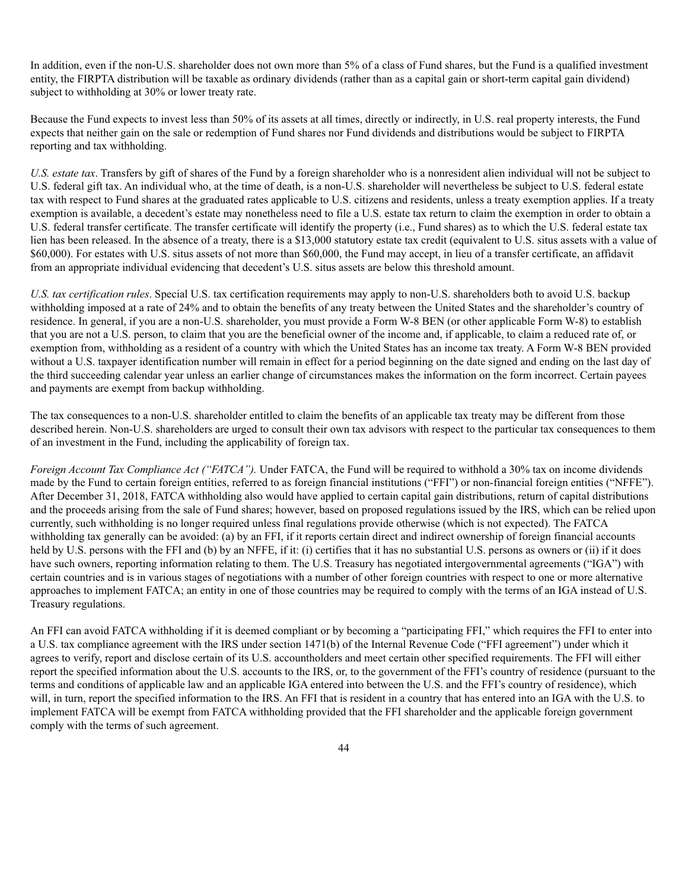In addition, even if the non-U.S. shareholder does not own more than 5% of a class of Fund shares, but the Fund is a qualified investment entity, the FIRPTA distribution will be taxable as ordinary dividends (rather than as a capital gain or short-term capital gain dividend) subject to withholding at 30% or lower treaty rate.

Because the Fund expects to invest less than 50% of its assets at all times, directly or indirectly, in U.S. real property interests, the Fund expects that neither gain on the sale or redemption of Fund shares nor Fund dividends and distributions would be subject to FIRPTA reporting and tax withholding.

*U.S. estate tax*. Transfers by gift of shares of the Fund by a foreign shareholder who is a nonresident alien individual will not be subject to U.S. federal gift tax. An individual who, at the time of death, is a non-U.S. shareholder will nevertheless be subject to U.S. federal estate tax with respect to Fund shares at the graduated rates applicable to U.S. citizens and residents, unless a treaty exemption applies. If a treaty exemption is available, a decedent's estate may nonetheless need to file a U.S. estate tax return to claim the exemption in order to obtain a U.S. federal transfer certificate. The transfer certificate will identify the property (i.e., Fund shares) as to which the U.S. federal estate tax lien has been released. In the absence of a treaty, there is a \$13,000 statutory estate tax credit (equivalent to U.S. situs assets with a value of \$60,000). For estates with U.S. situs assets of not more than \$60,000, the Fund may accept, in lieu of a transfer certificate, an affidavit from an appropriate individual evidencing that decedent's U.S. situs assets are below this threshold amount.

*U.S. tax certification rules*. Special U.S. tax certification requirements may apply to non-U.S. shareholders both to avoid U.S. backup withholding imposed at a rate of 24% and to obtain the benefits of any treaty between the United States and the shareholder's country of residence. In general, if you are a non-U.S. shareholder, you must provide a Form W-8 BEN (or other applicable Form W-8) to establish that you are not a U.S. person, to claim that you are the beneficial owner of the income and, if applicable, to claim a reduced rate of, or exemption from, withholding as a resident of a country with which the United States has an income tax treaty. A Form W-8 BEN provided without a U.S. taxpayer identification number will remain in effect for a period beginning on the date signed and ending on the last day of the third succeeding calendar year unless an earlier change of circumstances makes the information on the form incorrect. Certain payees and payments are exempt from backup withholding.

The tax consequences to a non-U.S. shareholder entitled to claim the benefits of an applicable tax treaty may be different from those described herein. Non-U.S. shareholders are urged to consult their own tax advisors with respect to the particular tax consequences to them of an investment in the Fund, including the applicability of foreign tax.

*Foreign Account Tax Compliance Act ("FATCA").* Under FATCA, the Fund will be required to withhold a 30% tax on income dividends made by the Fund to certain foreign entities, referred to as foreign financial institutions ("FFI") or non-financial foreign entities ("NFFE"). After December 31, 2018, FATCA withholding also would have applied to certain capital gain distributions, return of capital distributions and the proceeds arising from the sale of Fund shares; however, based on proposed regulations issued by the IRS, which can be relied upon currently, such withholding is no longer required unless final regulations provide otherwise (which is not expected). The FATCA withholding tax generally can be avoided: (a) by an FFI, if it reports certain direct and indirect ownership of foreign financial accounts held by U.S. persons with the FFI and (b) by an NFFE, if it: (i) certifies that it has no substantial U.S. persons as owners or (ii) if it does have such owners, reporting information relating to them. The U.S. Treasury has negotiated intergovernmental agreements ("IGA") with certain countries and is in various stages of negotiations with a number of other foreign countries with respect to one or more alternative approaches to implement FATCA; an entity in one of those countries may be required to comply with the terms of an IGA instead of U.S. Treasury regulations.

An FFI can avoid FATCA withholding if it is deemed compliant or by becoming a "participating FFI," which requires the FFI to enter into a U.S. tax compliance agreement with the IRS under section 1471(b) of the Internal Revenue Code ("FFI agreement") under which it agrees to verify, report and disclose certain of its U.S. accountholders and meet certain other specified requirements. The FFI will either report the specified information about the U.S. accounts to the IRS, or, to the government of the FFI's country of residence (pursuant to the terms and conditions of applicable law and an applicable IGA entered into between the U.S. and the FFI's country of residence), which will, in turn, report the specified information to the IRS. An FFI that is resident in a country that has entered into an IGA with the U.S. to implement FATCA will be exempt from FATCA withholding provided that the FFI shareholder and the applicable foreign government comply with the terms of such agreement.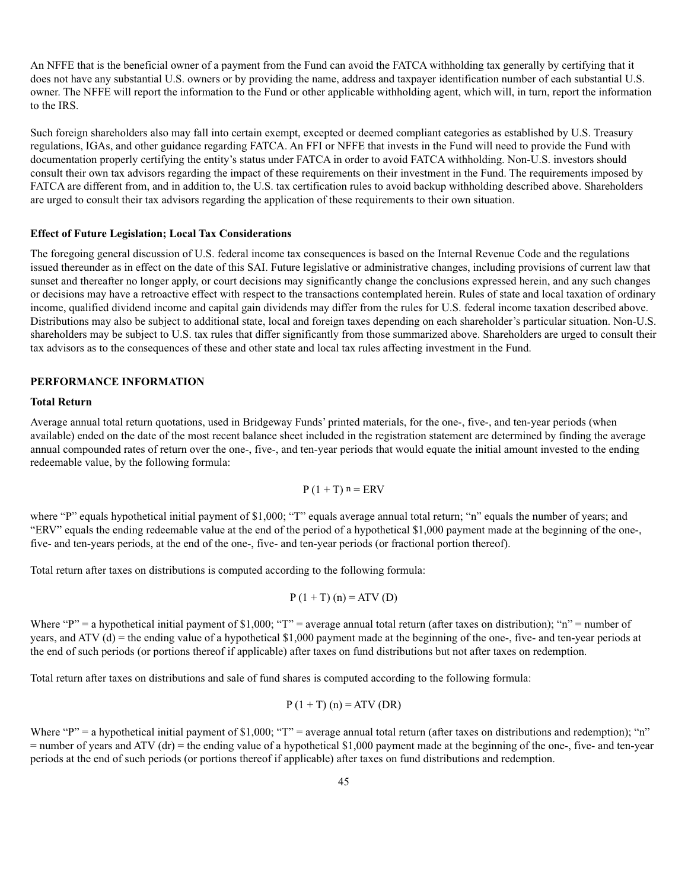An NFFE that is the beneficial owner of a payment from the Fund can avoid the FATCA withholding tax generally by certifying that it does not have any substantial U.S. owners or by providing the name, address and taxpayer identification number of each substantial U.S. owner. The NFFE will report the information to the Fund or other applicable withholding agent, which will, in turn, report the information to the IRS.

Such foreign shareholders also may fall into certain exempt, excepted or deemed compliant categories as established by U.S. Treasury regulations, IGAs, and other guidance regarding FATCA. An FFI or NFFE that invests in the Fund will need to provide the Fund with documentation properly certifying the entity's status under FATCA in order to avoid FATCA withholding. Non-U.S. investors should consult their own tax advisors regarding the impact of these requirements on their investment in the Fund. The requirements imposed by FATCA are different from, and in addition to, the U.S. tax certification rules to avoid backup withholding described above. Shareholders are urged to consult their tax advisors regarding the application of these requirements to their own situation.

#### **Effect of Future Legislation; Local Tax Considerations**

The foregoing general discussion of U.S. federal income tax consequences is based on the Internal Revenue Code and the regulations issued thereunder as in effect on the date of this SAI. Future legislative or administrative changes, including provisions of current law that sunset and thereafter no longer apply, or court decisions may significantly change the conclusions expressed herein, and any such changes or decisions may have a retroactive effect with respect to the transactions contemplated herein. Rules of state and local taxation of ordinary income, qualified dividend income and capital gain dividends may differ from the rules for U.S. federal income taxation described above. Distributions may also be subject to additional state, local and foreign taxes depending on each shareholder's particular situation. Non-U.S. shareholders may be subject to U.S. tax rules that differ significantly from those summarized above. Shareholders are urged to consult their tax advisors as to the consequences of these and other state and local tax rules affecting investment in the Fund.

#### **PERFORMANCE INFORMATION**

#### **Total Return**

Average annual total return quotations, used in Bridgeway Funds' printed materials, for the one-, five-, and ten-year periods (when available) ended on the date of the most recent balance sheet included in the registration statement are determined by finding the average annual compounded rates of return over the one-, five-, and ten-year periods that would equate the initial amount invested to the ending redeemable value, by the following formula:

$$
P(1+T) n = ERV
$$

where "P" equals hypothetical initial payment of \$1,000; "T" equals average annual total return; "n" equals the number of years; and "ERV" equals the ending redeemable value at the end of the period of a hypothetical \$1,000 payment made at the beginning of the one-, five- and ten-years periods, at the end of the one-, five- and ten-year periods (or fractional portion thereof).

Total return after taxes on distributions is computed according to the following formula:

$$
P(1 + T)(n) = ATV(D)
$$

Where "P" = a hypothetical initial payment of \$1,000; "T" = average annual total return (after taxes on distribution); "n" = number of years, and ATV (d) = the ending value of a hypothetical \$1,000 payment made at the beginning of the one-, five- and ten-year periods at the end of such periods (or portions thereof if applicable) after taxes on fund distributions but not after taxes on redemption.

Total return after taxes on distributions and sale of fund shares is computed according to the following formula:

$$
P(1+T)(n) = ATV(DR)
$$

Where "P" = a hypothetical initial payment of \$1,000; "T" = average annual total return (after taxes on distributions and redemption); "n"  $=$  number of years and ATV (dr)  $=$  the ending value of a hypothetical \$1,000 payment made at the beginning of the one-, five- and ten-year periods at the end of such periods (or portions thereof if applicable) after taxes on fund distributions and redemption.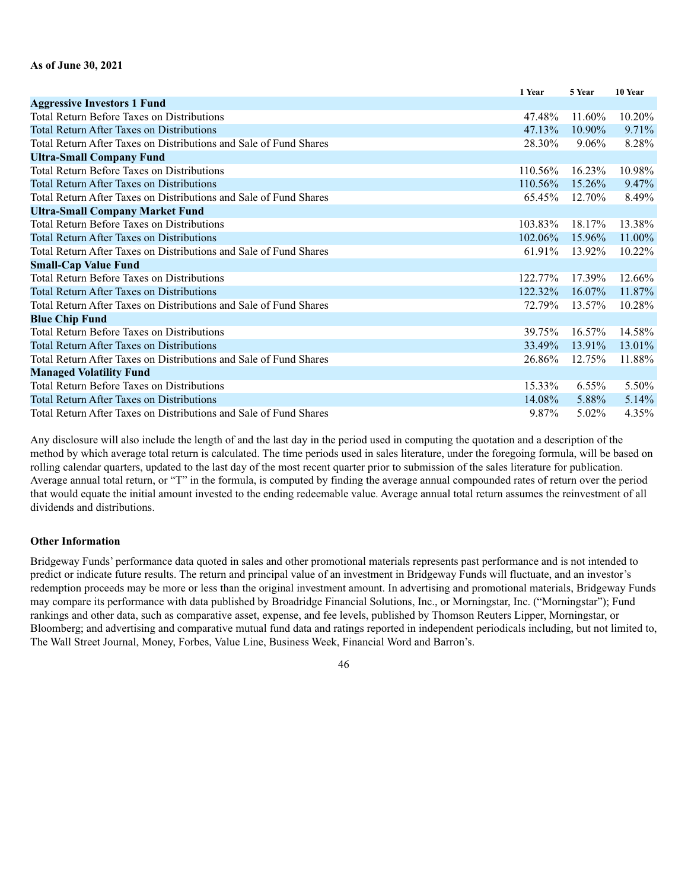|                                                                   | 1 Year     | 5 Year   | 10 Year   |
|-------------------------------------------------------------------|------------|----------|-----------|
| <b>Aggressive Investors 1 Fund</b>                                |            |          |           |
| <b>Total Return Before Taxes on Distributions</b>                 | 47.48%     | 11.60%   | 10.20%    |
| <b>Total Return After Taxes on Distributions</b>                  | 47.13%     | 10.90%   | 9.71%     |
| Total Return After Taxes on Distributions and Sale of Fund Shares | 28.30%     | $9.06\%$ | 8.28%     |
| <b>Ultra-Small Company Fund</b>                                   |            |          |           |
| <b>Total Return Before Taxes on Distributions</b>                 | 110.56%    | 16.23%   | 10.98%    |
| <b>Total Return After Taxes on Distributions</b>                  | 110.56%    | 15.26%   | $9.47\%$  |
| Total Return After Taxes on Distributions and Sale of Fund Shares | 65.45%     | 12.70%   | 8.49%     |
| <b>Ultra-Small Company Market Fund</b>                            |            |          |           |
| <b>Total Return Before Taxes on Distributions</b>                 | 103.83%    | 18.17%   | 13.38%    |
| <b>Total Return After Taxes on Distributions</b>                  | $102.06\%$ | 15.96%   | 11.00%    |
| Total Return After Taxes on Distributions and Sale of Fund Shares | 61.91%     | 13.92%   | $10.22\%$ |
| <b>Small-Cap Value Fund</b>                                       |            |          |           |
| Total Return Before Taxes on Distributions                        | 122.77%    | 17.39%   | 12.66%    |
| <b>Total Return After Taxes on Distributions</b>                  | 122.32%    | 16.07%   | 11.87%    |
| Total Return After Taxes on Distributions and Sale of Fund Shares | 72.79%     | 13.57%   | 10.28%    |
| <b>Blue Chip Fund</b>                                             |            |          |           |
| <b>Total Return Before Taxes on Distributions</b>                 | 39.75%     | 16.57%   | 14.58%    |
| <b>Total Return After Taxes on Distributions</b>                  | 33.49%     | 13.91%   | 13.01%    |
| Total Return After Taxes on Distributions and Sale of Fund Shares | 26.86%     | 12.75%   | 11.88%    |
| <b>Managed Volatility Fund</b>                                    |            |          |           |
| <b>Total Return Before Taxes on Distributions</b>                 | 15.33%     | $6.55\%$ | 5.50%     |
| <b>Total Return After Taxes on Distributions</b>                  | 14.08%     | 5.88%    | 5.14%     |
| Total Return After Taxes on Distributions and Sale of Fund Shares | 9.87%      | 5.02%    | 4.35%     |

Any disclosure will also include the length of and the last day in the period used in computing the quotation and a description of the method by which average total return is calculated. The time periods used in sales literature, under the foregoing formula, will be based on rolling calendar quarters, updated to the last day of the most recent quarter prior to submission of the sales literature for publication. Average annual total return, or "T" in the formula, is computed by finding the average annual compounded rates of return over the period that would equate the initial amount invested to the ending redeemable value. Average annual total return assumes the reinvestment of all dividends and distributions.

#### **Other Information**

Bridgeway Funds' performance data quoted in sales and other promotional materials represents past performance and is not intended to predict or indicate future results. The return and principal value of an investment in Bridgeway Funds will fluctuate, and an investor's redemption proceeds may be more or less than the original investment amount. In advertising and promotional materials, Bridgeway Funds may compare its performance with data published by Broadridge Financial Solutions, Inc., or Morningstar, Inc. ("Morningstar"); Fund rankings and other data, such as comparative asset, expense, and fee levels, published by Thomson Reuters Lipper, Morningstar, or Bloomberg; and advertising and comparative mutual fund data and ratings reported in independent periodicals including, but not limited to, The Wall Street Journal, Money, Forbes, Value Line, Business Week, Financial Word and Barron's.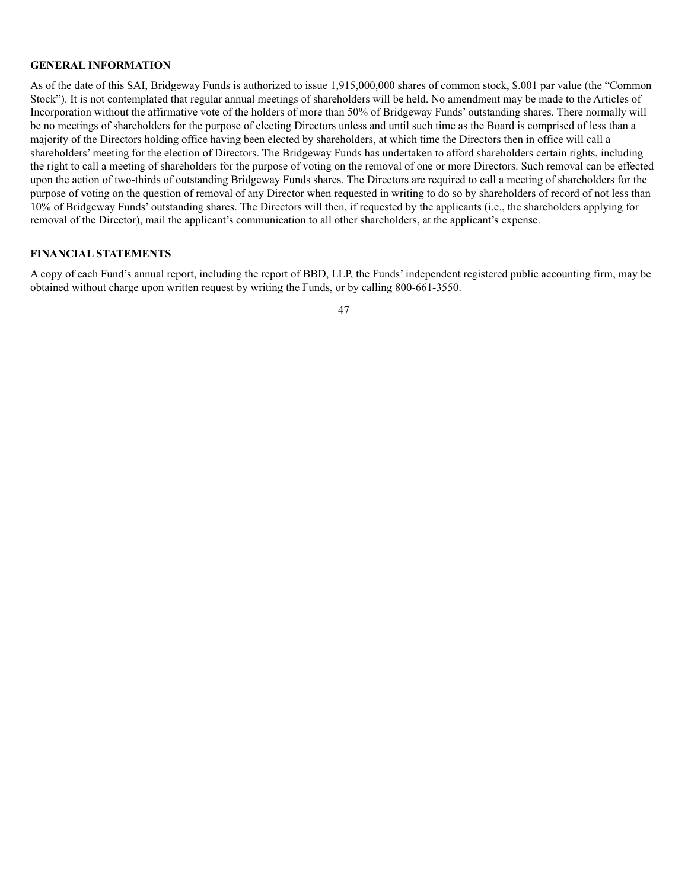### **GENERAL INFORMATION**

As of the date of this SAI, Bridgeway Funds is authorized to issue 1,915,000,000 shares of common stock, \$.001 par value (the "Common Stock"). It is not contemplated that regular annual meetings of shareholders will be held. No amendment may be made to the Articles of Incorporation without the affirmative vote of the holders of more than 50% of Bridgeway Funds' outstanding shares. There normally will be no meetings of shareholders for the purpose of electing Directors unless and until such time as the Board is comprised of less than a majority of the Directors holding office having been elected by shareholders, at which time the Directors then in office will call a shareholders' meeting for the election of Directors. The Bridgeway Funds has undertaken to afford shareholders certain rights, including the right to call a meeting of shareholders for the purpose of voting on the removal of one or more Directors. Such removal can be effected upon the action of two-thirds of outstanding Bridgeway Funds shares. The Directors are required to call a meeting of shareholders for the purpose of voting on the question of removal of any Director when requested in writing to do so by shareholders of record of not less than 10% of Bridgeway Funds' outstanding shares. The Directors will then, if requested by the applicants (i.e., the shareholders applying for removal of the Director), mail the applicant's communication to all other shareholders, at the applicant's expense.

# **FINANCIAL STATEMENTS**

A copy of each Fund's annual report, including the report of BBD, LLP, the Funds' independent registered public accounting firm, may be obtained without charge upon written request by writing the Funds, or by calling 800-661-3550.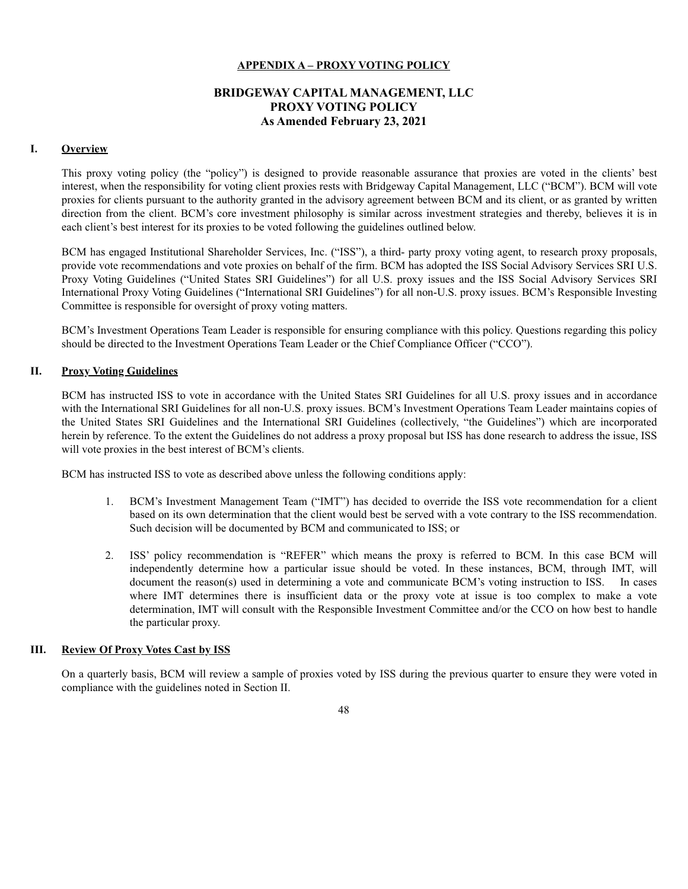### **APPENDIX A – PROXY VOTING POLICY**

# **BRIDGEWAY CAPITAL MANAGEMENT, LLC PROXY VOTING POLICY As Amended February 23, 2021**

### **I. Overview**

This proxy voting policy (the "policy") is designed to provide reasonable assurance that proxies are voted in the clients' best interest, when the responsibility for voting client proxies rests with Bridgeway Capital Management, LLC ("BCM"). BCM will vote proxies for clients pursuant to the authority granted in the advisory agreement between BCM and its client, or as granted by written direction from the client. BCM's core investment philosophy is similar across investment strategies and thereby, believes it is in each client's best interest for its proxies to be voted following the guidelines outlined below.

BCM has engaged Institutional Shareholder Services, Inc. ("ISS"), a third- party proxy voting agent, to research proxy proposals, provide vote recommendations and vote proxies on behalf of the firm. BCM has adopted the ISS Social Advisory Services SRI U.S. Proxy Voting Guidelines ("United States SRI Guidelines") for all U.S. proxy issues and the ISS Social Advisory Services SRI International Proxy Voting Guidelines ("International SRI Guidelines") for all non-U.S. proxy issues. BCM's Responsible Investing Committee is responsible for oversight of proxy voting matters.

BCM's Investment Operations Team Leader is responsible for ensuring compliance with this policy. Questions regarding this policy should be directed to the Investment Operations Team Leader or the Chief Compliance Officer ("CCO").

### **II. Proxy Voting Guidelines**

BCM has instructed ISS to vote in accordance with the United States SRI Guidelines for all U.S. proxy issues and in accordance with the International SRI Guidelines for all non-U.S. proxy issues. BCM's Investment Operations Team Leader maintains copies of the United States SRI Guidelines and the International SRI Guidelines (collectively, "the Guidelines") which are incorporated herein by reference. To the extent the Guidelines do not address a proxy proposal but ISS has done research to address the issue, ISS will vote proxies in the best interest of BCM's clients.

BCM has instructed ISS to vote as described above unless the following conditions apply:

- 1. BCM's Investment Management Team ("IMT") has decided to override the ISS vote recommendation for a client based on its own determination that the client would best be served with a vote contrary to the ISS recommendation. Such decision will be documented by BCM and communicated to ISS; or
- 2. ISS' policy recommendation is "REFER" which means the proxy is referred to BCM. In this case BCM will independently determine how a particular issue should be voted. In these instances, BCM, through IMT, will document the reason(s) used in determining a vote and communicate BCM's voting instruction to ISS. In cases where IMT determines there is insufficient data or the proxy vote at issue is too complex to make a vote determination, IMT will consult with the Responsible Investment Committee and/or the CCO on how best to handle the particular proxy.

### **III. Review Of Proxy Votes Cast by ISS**

On a quarterly basis, BCM will review a sample of proxies voted by ISS during the previous quarter to ensure they were voted in compliance with the guidelines noted in Section II.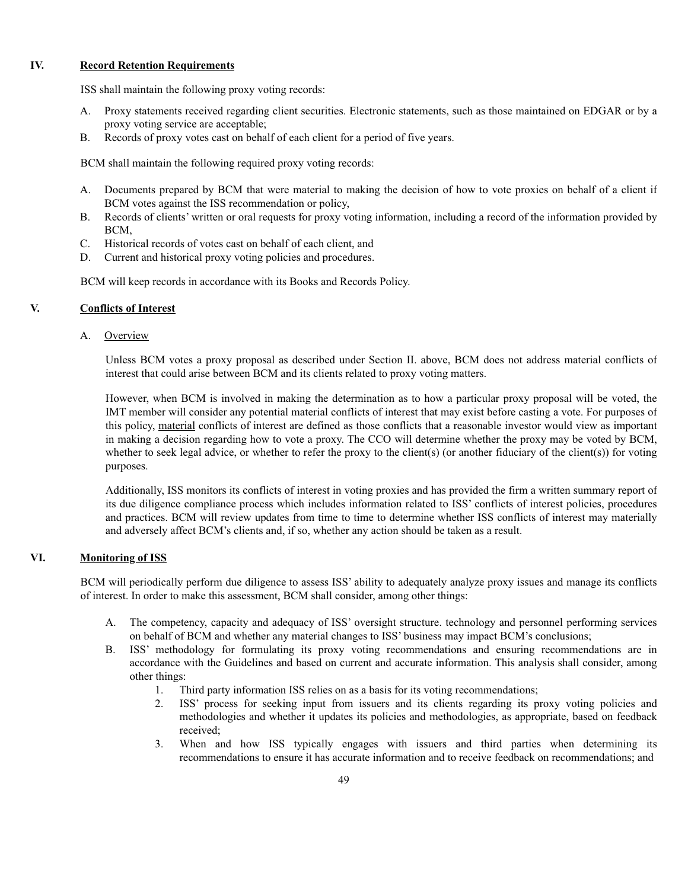### **IV. Record Retention Requirements**

ISS shall maintain the following proxy voting records:

- A. Proxy statements received regarding client securities. Electronic statements, such as those maintained on EDGAR or by a proxy voting service are acceptable;
- B. Records of proxy votes cast on behalf of each client for a period of five years.

BCM shall maintain the following required proxy voting records:

- A. Documents prepared by BCM that were material to making the decision of how to vote proxies on behalf of a client if BCM votes against the ISS recommendation or policy,
- B. Records of clients' written or oral requests for proxy voting information, including a record of the information provided by BCM,
- C. Historical records of votes cast on behalf of each client, and
- D. Current and historical proxy voting policies and procedures.

BCM will keep records in accordance with its Books and Records Policy.

### **V. Conflicts of Interest**

A. Overview

Unless BCM votes a proxy proposal as described under Section II. above, BCM does not address material conflicts of interest that could arise between BCM and its clients related to proxy voting matters.

However, when BCM is involved in making the determination as to how a particular proxy proposal will be voted, the IMT member will consider any potential material conflicts of interest that may exist before casting a vote. For purposes of this policy, material conflicts of interest are defined as those conflicts that a reasonable investor would view as important in making a decision regarding how to vote a proxy. The CCO will determine whether the proxy may be voted by BCM, whether to seek legal advice, or whether to refer the proxy to the client(s) (or another fiduciary of the client(s)) for voting purposes.

Additionally, ISS monitors its conflicts of interest in voting proxies and has provided the firm a written summary report of its due diligence compliance process which includes information related to ISS' conflicts of interest policies, procedures and practices. BCM will review updates from time to time to determine whether ISS conflicts of interest may materially and adversely affect BCM's clients and, if so, whether any action should be taken as a result.

### **VI. Monitoring of ISS**

BCM will periodically perform due diligence to assess ISS' ability to adequately analyze proxy issues and manage its conflicts of interest. In order to make this assessment, BCM shall consider, among other things:

- A. The competency, capacity and adequacy of ISS' oversight structure. technology and personnel performing services on behalf of BCM and whether any material changes to ISS' business may impact BCM's conclusions;
- B. ISS' methodology for formulating its proxy voting recommendations and ensuring recommendations are in accordance with the Guidelines and based on current and accurate information. This analysis shall consider, among other things:
	- 1. Third party information ISS relies on as a basis for its voting recommendations;
	- 2. ISS' process for seeking input from issuers and its clients regarding its proxy voting policies and methodologies and whether it updates its policies and methodologies, as appropriate, based on feedback received;
	- 3. When and how ISS typically engages with issuers and third parties when determining its recommendations to ensure it has accurate information and to receive feedback on recommendations; and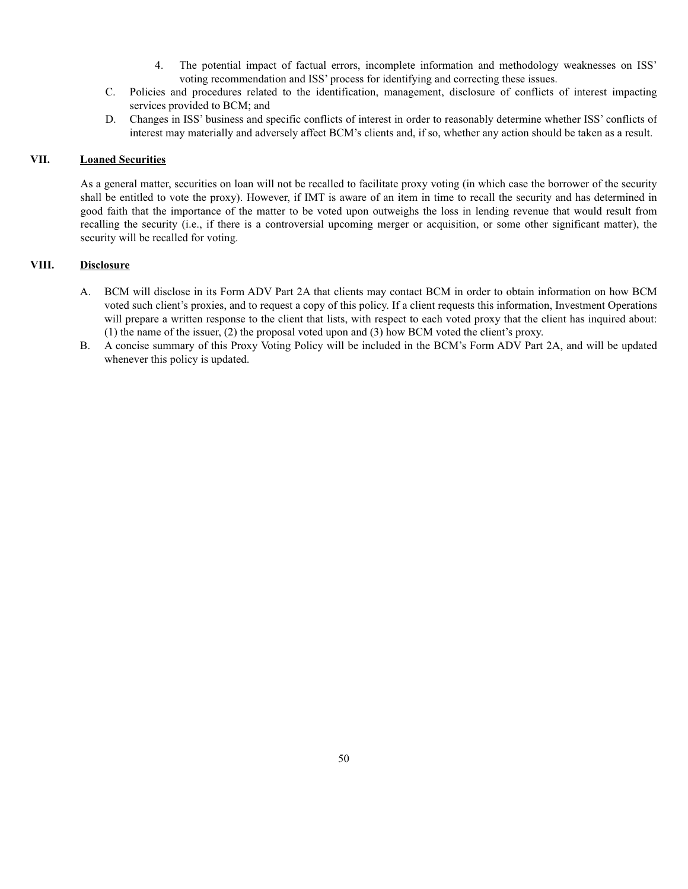- 4. The potential impact of factual errors, incomplete information and methodology weaknesses on ISS' voting recommendation and ISS' process for identifying and correcting these issues.
- C. Policies and procedures related to the identification, management, disclosure of conflicts of interest impacting services provided to BCM; and
- D. Changes in ISS' business and specific conflicts of interest in order to reasonably determine whether ISS' conflicts of interest may materially and adversely affect BCM's clients and, if so, whether any action should be taken as a result.

### **VII. Loaned Securities**

As a general matter, securities on loan will not be recalled to facilitate proxy voting (in which case the borrower of the security shall be entitled to vote the proxy). However, if IMT is aware of an item in time to recall the security and has determined in good faith that the importance of the matter to be voted upon outweighs the loss in lending revenue that would result from recalling the security (i.e., if there is a controversial upcoming merger or acquisition, or some other significant matter), the security will be recalled for voting.

### **VIII. Disclosure**

- A. BCM will disclose in its Form ADV Part 2A that clients may contact BCM in order to obtain information on how BCM voted such client's proxies, and to request a copy of this policy. If a client requests this information, Investment Operations will prepare a written response to the client that lists, with respect to each voted proxy that the client has inquired about: (1) the name of the issuer, (2) the proposal voted upon and (3) how BCM voted the client's proxy.
- B. A concise summary of this Proxy Voting Policy will be included in the BCM's Form ADV Part 2A, and will be updated whenever this policy is updated.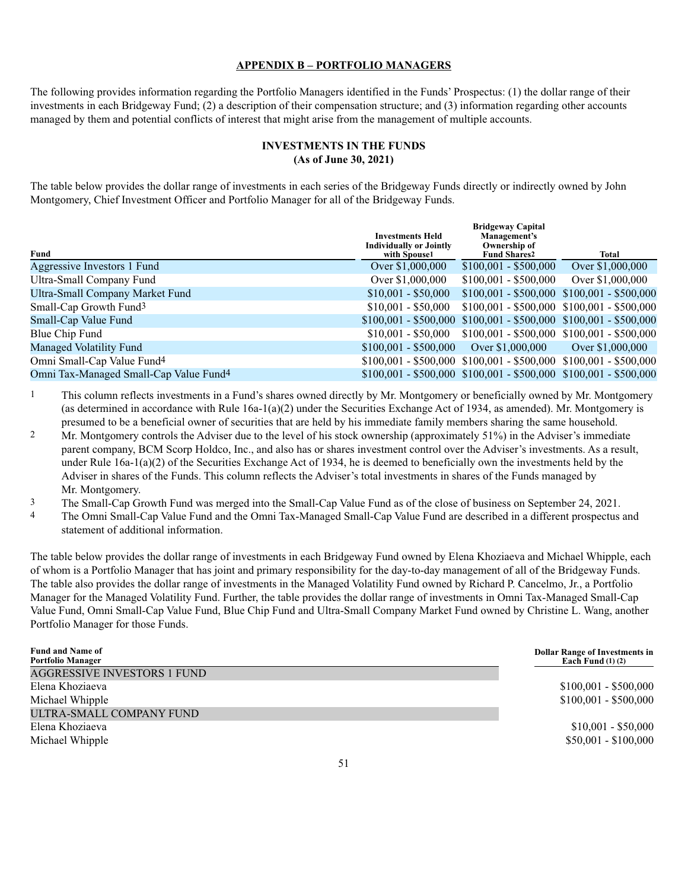#### **APPENDIX B – PORTFOLIO MANAGERS**

The following provides information regarding the Portfolio Managers identified in the Funds' Prospectus: (1) the dollar range of their investments in each Bridgeway Fund; (2) a description of their compensation structure; and (3) information regarding other accounts managed by them and potential conflicts of interest that might arise from the management of multiple accounts.

### **INVESTMENTS IN THE FUNDS (As of June 30, 2021)**

The table below provides the dollar range of investments in each series of the Bridgeway Funds directly or indirectly owned by John Montgomery, Chief Investment Officer and Portfolio Manager for all of the Bridgeway Funds.

|                                                    | <b>Investments Held</b><br><b>Individually or Jointly</b> | <b>Bridgeway Capital</b><br>Management's<br>Ownership of            |                  |
|----------------------------------------------------|-----------------------------------------------------------|---------------------------------------------------------------------|------------------|
| Fund                                               | with Spouse1                                              | <b>Fund Shares2</b>                                                 | <b>Total</b>     |
| Aggressive Investors 1 Fund                        | Over \$1,000,000                                          | $$100,001 - $500,000$                                               | Over \$1,000,000 |
| Ultra-Small Company Fund                           | Over \$1,000,000                                          | $$100,001 - $500,000$                                               | Over \$1,000,000 |
| Ultra-Small Company Market Fund                    | $$10,001 - $50,000$                                       | $$100,001 - $500,000  $100,001 - $500,000$                          |                  |
| Small-Cap Growth Fund <sup>3</sup>                 | $$10.001 - $50.000$                                       | $$100,001 - $500,000  $100,001 - $500,000$                          |                  |
| Small-Cap Value Fund                               |                                                           | $$100,001 - $500,000  $100,001 - $500,000  $100,001 - $500,000$     |                  |
| Blue Chip Fund                                     | $$10.001 - $50.000$                                       | $$100,001 - $500,000  $100,001 - $500,000$                          |                  |
| Managed Volatility Fund                            | $$100,001 - $500,000$                                     | Over \$1,000,000                                                    | Over \$1,000,000 |
| Omni Small-Cap Value Fund <sup>4</sup>             |                                                           | $$100,001 - $500,000 $ $$100,001 - $500,000 $ $$100,001 - $500,000$ |                  |
| Omni Tax-Managed Small-Cap Value Fund <sup>4</sup> |                                                           | $$100,001 - $500,000  $100,001 - $500,000  $100,001 - $500,000$     |                  |

1 This column reflects investments in a Fund's shares owned directly by Mr. Montgomery or beneficially owned by Mr. Montgomery (as determined in accordance with Rule 16a-1(a)(2) under the Securities Exchange Act of 1934, as amended). Mr. Montgomery is presumed to be a beneficial owner of securities that are held by his immediate family members sharing the same household.

2 Mr. Montgomery controls the Adviser due to the level of his stock ownership (approximately 51%) in the Adviser's immediate parent company, BCM Scorp Holdco, Inc., and also has or shares investment control over the Adviser's investments. As a result, under Rule 16a-1(a)(2) of the Securities Exchange Act of 1934, he is deemed to beneficially own the investments held by the Adviser in shares of the Funds. This column reflects the Adviser's total investments in shares of the Funds managed by Mr. Montgomery.

3 The Small-Cap Growth Fund was merged into the Small-Cap Value Fund as of the close of business on September 24, 2021.<br>4 The Omni Small-Cap Value Fund and the Omni Tax-Managed Small-Cap Value Fund are described in a diffe

4 The Omni Small-Cap Value Fund and the Omni Tax-Managed Small-Cap Value Fund are described in a different prospectus and statement of additional information.

The table below provides the dollar range of investments in each Bridgeway Fund owned by Elena Khoziaeva and Michael Whipple, each of whom is a Portfolio Manager that has joint and primary responsibility for the day-to-day management of all of the Bridgeway Funds. The table also provides the dollar range of investments in the Managed Volatility Fund owned by Richard P. Cancelmo, Jr., a Portfolio Manager for the Managed Volatility Fund. Further, the table provides the dollar range of investments in Omni Tax-Managed Small-Cap Value Fund, Omni Small-Cap Value Fund, Blue Chip Fund and Ultra-Small Company Market Fund owned by Christine L. Wang, another Portfolio Manager for those Funds.

| <b>Fund and Name of</b><br><b>Portfolio Manager</b> | <b>Dollar Range of Investments in</b><br>Each Fund $(1)$ $(2)$ |
|-----------------------------------------------------|----------------------------------------------------------------|
| <b>AGGRESSIVE INVESTORS 1 FUND</b>                  |                                                                |
| Elena Khoziaeva                                     | $$100,001 - $500,000$                                          |
| Michael Whipple                                     | $$100,001 - $500,000$                                          |
| ULTRA-SMALL COMPANY FUND                            |                                                                |
| Elena Khoziaeva                                     | $$10,001 - $50,000$                                            |
| Michael Whipple                                     | $$50,001 - $100,000$                                           |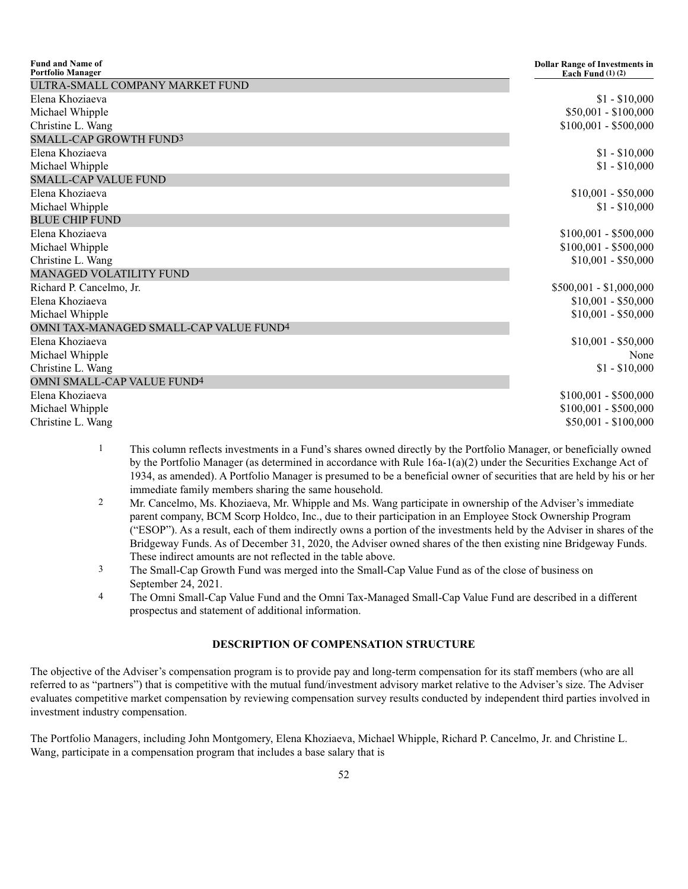| <b>Fund and Name of</b><br><b>Portfolio Manager</b> | <b>Dollar Range of Investments in</b><br>Each Fund $(1)$ $(2)$ |
|-----------------------------------------------------|----------------------------------------------------------------|
| ULTRA-SMALL COMPANY MARKET FUND                     |                                                                |
| Elena Khoziaeva                                     | $$1 - $10,000$                                                 |
| Michael Whipple                                     | $$50,001 - $100,000$                                           |
| Christine L. Wang                                   | $$100,001 - $500,000$                                          |
| SMALL-CAP GROWTH FUND3                              |                                                                |
| Elena Khoziaeva                                     | $$1 - $10,000$                                                 |
| Michael Whipple                                     | $$1 - $10,000$                                                 |
| <b>SMALL-CAP VALUE FUND</b>                         |                                                                |
| Elena Khoziaeva                                     | $$10,001 - $50,000$                                            |
| Michael Whipple                                     | $$1 - $10,000$                                                 |
| <b>BLUE CHIP FUND</b>                               |                                                                |
| Elena Khoziaeva                                     | $$100,001 - $500,000$                                          |
| Michael Whipple                                     | $$100,001 - $500,000$                                          |
| Christine L. Wang                                   | $$10,001 - $50,000$                                            |
| <b>MANAGED VOLATILITY FUND</b>                      |                                                                |
| Richard P. Cancelmo, Jr.                            | $$500,001 - $1,000,000$                                        |
| Elena Khoziaeva                                     | $$10,001 - $50,000$                                            |
| Michael Whipple                                     | $$10,001 - $50,000$                                            |
| OMNI TAX-MANAGED SMALL-CAP VALUE FUND <sup>4</sup>  |                                                                |
| Elena Khoziaeva                                     | $$10,001 - $50,000$                                            |
| Michael Whipple                                     | None                                                           |
| Christine L. Wang                                   | $$1 - $10,000$                                                 |
| OMNI SMALL-CAP VALUE FUND <sup>4</sup>              |                                                                |
| Elena Khoziaeva                                     | $$100,001 - $500,000$                                          |
| Michael Whipple                                     | $$100,001 - $500,000$                                          |
| Christine L. Wang                                   | $$50,001 - $100,000$                                           |

- 1 This column reflects investments in a Fund's shares owned directly by the Portfolio Manager, or beneficially owned by the Portfolio Manager (as determined in accordance with Rule 16a-1(a)(2) under the Securities Exchange Act of 1934, as amended). A Portfolio Manager is presumed to be a beneficial owner of securities that are held by his or her immediate family members sharing the same household.
- 2 Mr. Cancelmo, Ms. Khoziaeva, Mr. Whipple and Ms. Wang participate in ownership of the Adviser's immediate parent company, BCM Scorp Holdco, Inc., due to their participation in an Employee Stock Ownership Program ("ESOP"). As a result, each of them indirectly owns a portion of the investments held by the Adviser in shares of the Bridgeway Funds. As of December 31, 2020, the Adviser owned shares of the then existing nine Bridgeway Funds. These indirect amounts are not reflected in the table above.
- 3 The Small-Cap Growth Fund was merged into the Small-Cap Value Fund as of the close of business on September 24, 2021.
- 4 The Omni Small-Cap Value Fund and the Omni Tax-Managed Small-Cap Value Fund are described in a different prospectus and statement of additional information.

### **DESCRIPTION OF COMPENSATION STRUCTURE**

The objective of the Adviser's compensation program is to provide pay and long-term compensation for its staff members (who are all referred to as "partners") that is competitive with the mutual fund/investment advisory market relative to the Adviser's size. The Adviser evaluates competitive market compensation by reviewing compensation survey results conducted by independent third parties involved in investment industry compensation.

The Portfolio Managers, including John Montgomery, Elena Khoziaeva, Michael Whipple, Richard P. Cancelmo, Jr. and Christine L. Wang, participate in a compensation program that includes a base salary that is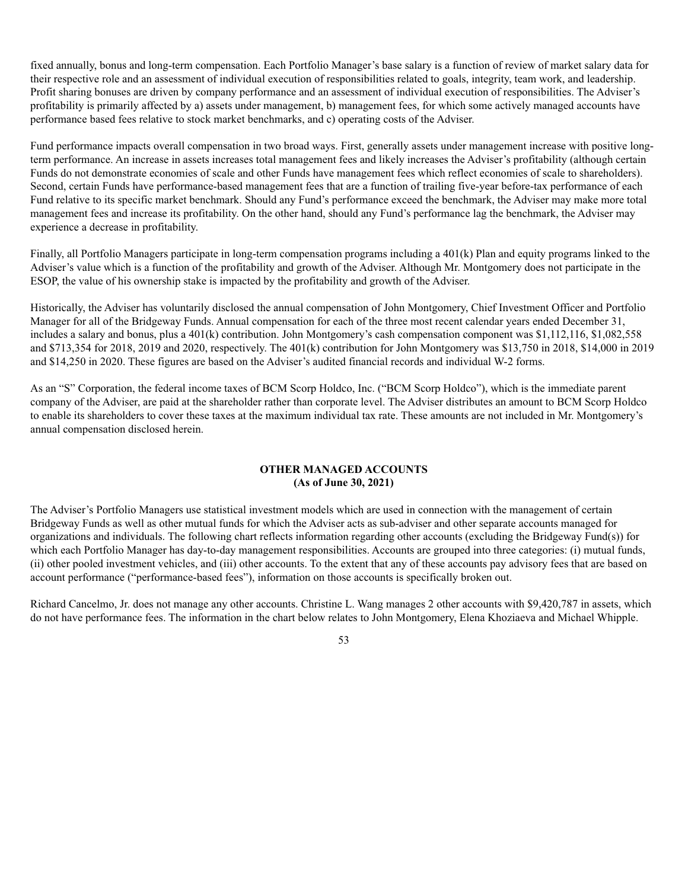fixed annually, bonus and long-term compensation. Each Portfolio Manager's base salary is a function of review of market salary data for their respective role and an assessment of individual execution of responsibilities related to goals, integrity, team work, and leadership. Profit sharing bonuses are driven by company performance and an assessment of individual execution of responsibilities. The Adviser's profitability is primarily affected by a) assets under management, b) management fees, for which some actively managed accounts have performance based fees relative to stock market benchmarks, and c) operating costs of the Adviser.

Fund performance impacts overall compensation in two broad ways. First, generally assets under management increase with positive longterm performance. An increase in assets increases total management fees and likely increases the Adviser's profitability (although certain Funds do not demonstrate economies of scale and other Funds have management fees which reflect economies of scale to shareholders). Second, certain Funds have performance-based management fees that are a function of trailing five-year before-tax performance of each Fund relative to its specific market benchmark. Should any Fund's performance exceed the benchmark, the Adviser may make more total management fees and increase its profitability. On the other hand, should any Fund's performance lag the benchmark, the Adviser may experience a decrease in profitability.

Finally, all Portfolio Managers participate in long-term compensation programs including a 401(k) Plan and equity programs linked to the Adviser's value which is a function of the profitability and growth of the Adviser. Although Mr. Montgomery does not participate in the ESOP, the value of his ownership stake is impacted by the profitability and growth of the Adviser.

Historically, the Adviser has voluntarily disclosed the annual compensation of John Montgomery, Chief Investment Officer and Portfolio Manager for all of the Bridgeway Funds. Annual compensation for each of the three most recent calendar years ended December 31, includes a salary and bonus, plus a 401(k) contribution. John Montgomery's cash compensation component was \$1,112,116, \$1,082,558 and \$713,354 for 2018, 2019 and 2020, respectively. The 401(k) contribution for John Montgomery was \$13,750 in 2018, \$14,000 in 2019 and \$14,250 in 2020. These figures are based on the Adviser's audited financial records and individual W-2 forms.

As an "S" Corporation, the federal income taxes of BCM Scorp Holdco, Inc. ("BCM Scorp Holdco"), which is the immediate parent company of the Adviser, are paid at the shareholder rather than corporate level. The Adviser distributes an amount to BCM Scorp Holdco to enable its shareholders to cover these taxes at the maximum individual tax rate. These amounts are not included in Mr. Montgomery's annual compensation disclosed herein.

### **OTHER MANAGED ACCOUNTS (As of June 30, 2021)**

The Adviser's Portfolio Managers use statistical investment models which are used in connection with the management of certain Bridgeway Funds as well as other mutual funds for which the Adviser acts as sub-adviser and other separate accounts managed for organizations and individuals. The following chart reflects information regarding other accounts (excluding the Bridgeway Fund(s)) for which each Portfolio Manager has day-to-day management responsibilities. Accounts are grouped into three categories: (i) mutual funds, (ii) other pooled investment vehicles, and (iii) other accounts. To the extent that any of these accounts pay advisory fees that are based on account performance ("performance-based fees"), information on those accounts is specifically broken out.

Richard Cancelmo, Jr. does not manage any other accounts. Christine L. Wang manages 2 other accounts with \$9,420,787 in assets, which do not have performance fees. The information in the chart below relates to John Montgomery, Elena Khoziaeva and Michael Whipple.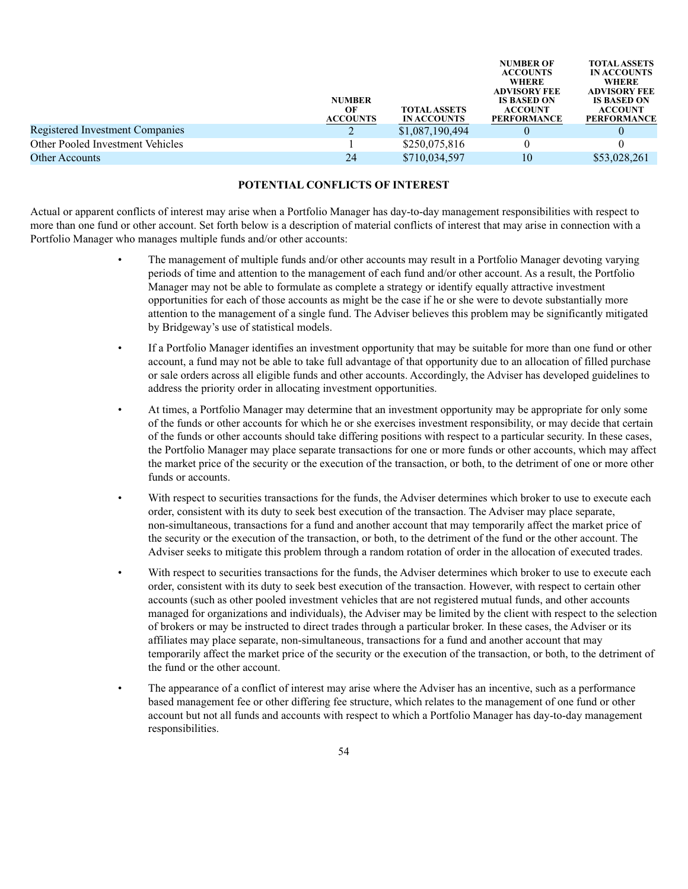|                                  | <b>NUMBER</b><br>OЕ<br><b>ACCOUNTS</b> | <b>TOTAL ASSETS</b><br><b>IN ACCOUNTS</b> | <b>NUMBER OF</b><br><b>ACCOUNTS</b><br><b>WHERE</b><br><b>ADVISORY FEE</b><br><b>IS BASED ON</b><br><b>ACCOUNT</b><br><b>PERFORMANCE</b> | <b>TOTAL ASSETS</b><br><b>IN ACCOUNTS</b><br><b>WHERE</b><br><b>ADVISORY FEE</b><br><b>IS BASED ON</b><br><b>ACCOUNT</b><br><b>PERFORMANCE</b> |
|----------------------------------|----------------------------------------|-------------------------------------------|------------------------------------------------------------------------------------------------------------------------------------------|------------------------------------------------------------------------------------------------------------------------------------------------|
| Registered Investment Companies  |                                        | \$1,087,190,494                           |                                                                                                                                          |                                                                                                                                                |
| Other Pooled Investment Vehicles |                                        | \$250,075,816                             |                                                                                                                                          |                                                                                                                                                |
| Other Accounts                   | 24                                     | \$710,034,597                             | 10                                                                                                                                       | \$53,028,261                                                                                                                                   |
|                                  |                                        |                                           |                                                                                                                                          |                                                                                                                                                |

### **POTENTIAL CONFLICTS OF INTEREST**

Actual or apparent conflicts of interest may arise when a Portfolio Manager has day-to-day management responsibilities with respect to more than one fund or other account. Set forth below is a description of material conflicts of interest that may arise in connection with a Portfolio Manager who manages multiple funds and/or other accounts:

- The management of multiple funds and/or other accounts may result in a Portfolio Manager devoting varying periods of time and attention to the management of each fund and/or other account. As a result, the Portfolio Manager may not be able to formulate as complete a strategy or identify equally attractive investment opportunities for each of those accounts as might be the case if he or she were to devote substantially more attention to the management of a single fund. The Adviser believes this problem may be significantly mitigated by Bridgeway's use of statistical models.
- If a Portfolio Manager identifies an investment opportunity that may be suitable for more than one fund or other account, a fund may not be able to take full advantage of that opportunity due to an allocation of filled purchase or sale orders across all eligible funds and other accounts. Accordingly, the Adviser has developed guidelines to address the priority order in allocating investment opportunities.
- At times, a Portfolio Manager may determine that an investment opportunity may be appropriate for only some of the funds or other accounts for which he or she exercises investment responsibility, or may decide that certain of the funds or other accounts should take differing positions with respect to a particular security. In these cases, the Portfolio Manager may place separate transactions for one or more funds or other accounts, which may affect the market price of the security or the execution of the transaction, or both, to the detriment of one or more other funds or accounts.
- With respect to securities transactions for the funds, the Adviser determines which broker to use to execute each order, consistent with its duty to seek best execution of the transaction. The Adviser may place separate, non-simultaneous, transactions for a fund and another account that may temporarily affect the market price of the security or the execution of the transaction, or both, to the detriment of the fund or the other account. The Adviser seeks to mitigate this problem through a random rotation of order in the allocation of executed trades.
- With respect to securities transactions for the funds, the Adviser determines which broker to use to execute each order, consistent with its duty to seek best execution of the transaction. However, with respect to certain other accounts (such as other pooled investment vehicles that are not registered mutual funds, and other accounts managed for organizations and individuals), the Adviser may be limited by the client with respect to the selection of brokers or may be instructed to direct trades through a particular broker. In these cases, the Adviser or its affiliates may place separate, non-simultaneous, transactions for a fund and another account that may temporarily affect the market price of the security or the execution of the transaction, or both, to the detriment of the fund or the other account.
- The appearance of a conflict of interest may arise where the Adviser has an incentive, such as a performance based management fee or other differing fee structure, which relates to the management of one fund or other account but not all funds and accounts with respect to which a Portfolio Manager has day-to-day management responsibilities.